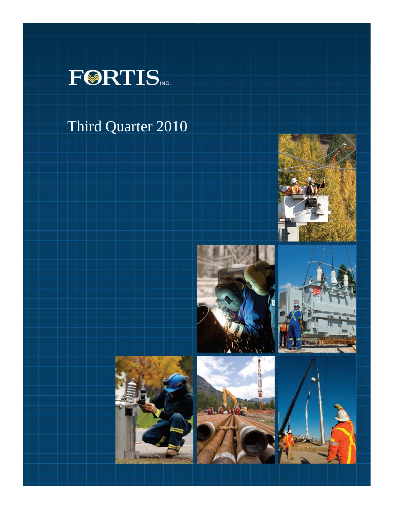

# Third Quarter 2010











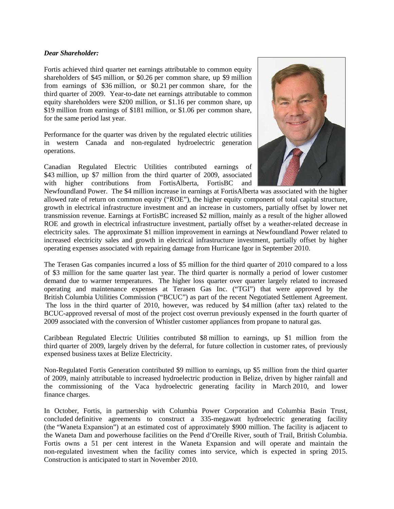## *Dear Shareholder:*

Fortis achieved third quarter net earnings attributable to common equity shareholders of \$45 million, or \$0.26 per common share, up \$9 million from earnings of \$36 million, or \$0.21 per common share, for the third quarter of 2009. Year-to-date net earnings attributable to common equity shareholders were \$200 million, or \$1.16 per common share, up \$19 million from earnings of \$181 million, or \$1.06 per common share, for the same period last year.

Performance for the quarter was driven by the regulated electric utilities in western Canada and non-regulated hydroelectric generation operations.

Canadian Regulated Electric Utilities contributed earnings of \$43 million, up \$7 million from the third quarter of 2009, associated with higher contributions from FortisAlberta, FortisBC and



Newfoundland Power. The \$4 million increase in earnings at FortisAlberta was associated with the higher allowed rate of return on common equity ("ROE"), the higher equity component of total capital structure, growth in electrical infrastructure investment and an increase in customers, partially offset by lower net transmission revenue. Earnings at FortisBC increased \$2 million, mainly as a result of the higher allowed ROE and growth in electrical infrastructure investment, partially offset by a weather-related decrease in electricity sales. The approximate \$1 million improvement in earnings at Newfoundland Power related to increased electricity sales and growth in electrical infrastructure investment, partially offset by higher operating expenses associated with repairing damage from Hurricane Igor in September 2010.

The Terasen Gas companies incurred a loss of \$5 million for the third quarter of 2010 compared to a loss of \$3 million for the same quarter last year. The third quarter is normally a period of lower customer demand due to warmer temperatures. The higher loss quarter over quarter largely related to increased operating and maintenance expenses at Terasen Gas Inc. ("TGI") that were approved by the British Columbia Utilities Commission ("BCUC") as part of the recent Negotiated Settlement Agreement. The loss in the third quarter of 2010, however, was reduced by \$4 million (after tax) related to the BCUC-approved reversal of most of the project cost overrun previously expensed in the fourth quarter of 2009 associated with the conversion of Whistler customer appliances from propane to natural gas.

Caribbean Regulated Electric Utilities contributed \$8 million to earnings, up \$1 million from the third quarter of 2009, largely driven by the deferral, for future collection in customer rates, of previously expensed business taxes at Belize Electricity.

Non-Regulated Fortis Generation contributed \$9 million to earnings, up \$5 million from the third quarter of 2009, mainly attributable to increased hydroelectric production in Belize, driven by higher rainfall and the commissioning of the Vaca hydroelectric generating facility in March 2010, and lower finance charges.

In October, Fortis, in partnership with Columbia Power Corporation and Columbia Basin Trust, concluded definitive agreements to construct a 335-megawatt hydroelectric generating facility (the "Waneta Expansion") at an estimated cost of approximately \$900 million. The facility is adjacent to the Waneta Dam and powerhouse facilities on the Pend d'Oreille River, south of Trail, British Columbia. Fortis owns a 51 per cent interest in the Waneta Expansion and will operate and maintain the non-regulated investment when the facility comes into service, which is expected in spring 2015. Construction is anticipated to start in November 2010.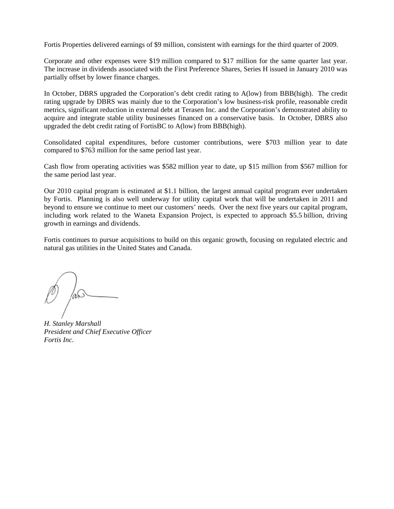Fortis Properties delivered earnings of \$9 million, consistent with earnings for the third quarter of 2009.

Corporate and other expenses were \$19 million compared to \$17 million for the same quarter last year. The increase in dividends associated with the First Preference Shares, Series H issued in January 2010 was partially offset by lower finance charges.

In October, DBRS upgraded the Corporation's debt credit rating to A(low) from BBB(high). The credit rating upgrade by DBRS was mainly due to the Corporation's low business-risk profile, reasonable credit metrics, significant reduction in external debt at Terasen Inc. and the Corporation's demonstrated ability to acquire and integrate stable utility businesses financed on a conservative basis. In October, DBRS also upgraded the debt credit rating of FortisBC to A(low) from BBB(high).

Consolidated capital expenditures, before customer contributions, were \$703 million year to date compared to \$763 million for the same period last year.

Cash flow from operating activities was \$582 million year to date, up \$15 million from \$567 million for the same period last year.

Our 2010 capital program is estimated at \$1.1 billion, the largest annual capital program ever undertaken by Fortis. Planning is also well underway for utility capital work that will be undertaken in 2011 and beyond to ensure we continue to meet our customers' needs. Over the next five years our capital program, including work related to the Waneta Expansion Project, is expected to approach \$5.5 billion, driving growth in earnings and dividends.

Fortis continues to pursue acquisitions to build on this organic growth, focusing on regulated electric and natural gas utilities in the United States and Canada.

*H. Stanley Marshall President and Chief Executive Officer Fortis Inc.*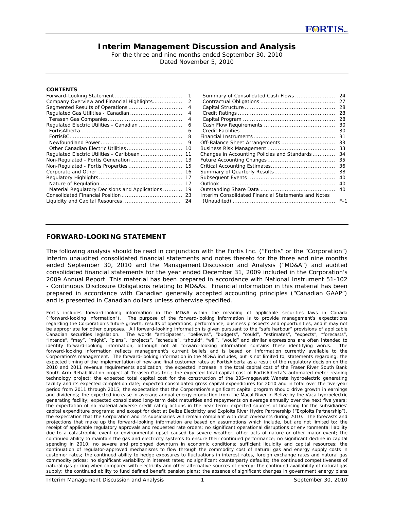# **Interim Management Discussion and Analysis**

For the three and nine months ended September 30, 2010 Dated November 5, 2010

#### **CONTENTS**

|                                                | 1  |
|------------------------------------------------|----|
| Company Overview and Financial Highlights      | 2  |
| Segmented Results of Operations                | 4  |
| Regulated Gas Utilities - Canadian             | 4  |
|                                                | 4  |
| Regulated Electric Utilities - Canadian        | 6  |
|                                                | 6  |
|                                                | 8  |
|                                                | 9  |
| Other Canadian Electric Utilities              | 10 |
| Regulated Electric Utilities - Caribbean       | 11 |
| Non-Regulated - Fortis Generation              | 13 |
| Non-Regulated - Fortis Properties              | 15 |
|                                                | 16 |
|                                                | 17 |
|                                                | 17 |
| Material Regulatory Decisions and Applications | 19 |
|                                                | 23 |
|                                                | 24 |

| 24      |
|---------|
| 27      |
| 28      |
| 28      |
| 28      |
| 30      |
| 30      |
| 31      |
| 33      |
| 33      |
| 34      |
| 35      |
| 36      |
| 38      |
| 40      |
| 40      |
| 40      |
|         |
| $F - 1$ |
|         |

## **FORWARD-LOOKING STATEMENT**

The following analysis should be read in conjunction with the Fortis Inc. ("Fortis" or the "Corporation") interim unaudited consolidated financial statements and notes thereto for the three and nine months ended September 30, 2010 and the Management Discussion and Analysis ("MD&A") and audited consolidated financial statements for the year ended December 31, 2009 included in the Corporation's 2009 Annual Report. This material has been prepared in accordance with National Instrument 51-102 - *Continuous Disclosure Obligations* relating to MD&As. Financial information in this material has been prepared in accordance with Canadian generally accepted accounting principles ("Canadian GAAP") and is presented in Canadian dollars unless otherwise specified.

*Fortis includes forward-looking information in the MD&A within the meaning of applicable securities laws in Canada ("forward-looking information"). The purpose of the forward-looking information is to provide management's expectations regarding the Corporation's future growth, results of operations, performance, business prospects and opportunities, and it may not be appropriate for other purposes. All forward-looking information is given pursuant to the "safe harbour" provisions of applicable Canadian securities legislation. The words "anticipates", "believes", "budgets", "could", "estimates", "expects", "forecasts", "intends", "may", "might", "plans", "projects", "schedule", "should", "will", "would" and similar expressions are often intended to identify forward-looking information, although not all forward-looking information contains these identifying words. The forward-looking information reflects management's current beliefs and is based on information currently available to the Corporation's management. The forward-looking information in the MD&A includes, but is not limited to, statements regarding: the expected timing of the implementation of new and final customer rates at FortisAlberta as a result of the regulatory decision on the 2010 and 2011 revenue requirements application; the expected increase in the total capital cost of the Fraser River South Bank South Arm Rehabilitation project at Terasen Gas Inc.; the expected total capital cost of FortisAlberta's automated meter reading technology project; the expected total capital cost for the construction of the 335-megawatt Waneta hydroelectric generating facility and its expected completion date; expected consolidated gross capital expenditures for 2010 and in total over the five-year period from 2011 through 2015; the expectation that the Corporation's significant capital program should drive growth in earnings and dividends; the expected increase in average annual energy production from the Macal River in Belize by the Vaca hydroelectric generating facility; expected consolidated long-term debt maturities and repayments on average annually over the next five years; the expectation of no material adverse credit rating actions in the near term; expected sources of financing for the subsidiaries' capital expenditure programs; and except for debt at Belize Electricity and Exploits River Hydro Partnership ("Exploits Partnership"), the expectation that the Corporation and its subsidiaries will remain compliant with debt covenants during 2010. The forecasts and projections that make up the forward-looking information are based on assumptions which include, but are not limited to: the receipt of applicable regulatory approvals and requested rate orders; no significant operational disruptions or environmental liability due to a catastrophic event or environmental upset caused by severe weather, other acts of nature or other major event; the continued ability to maintain the gas and electricity systems to ensure their continued performance; no significant decline in capital spending in 2010; no severe and prolonged downturn in economic conditions; sufficient liquidity and capital resources; the continuation of regulator-approved mechanisms to flow through the commodity cost of natural gas and energy supply costs in customer rates; the continued ability to hedge exposures to fluctuations in interest rates, foreign exchange rates and natural gas commodity prices; no significant variability in interest rates; no significant counterparty defaults; the continued competitiveness of natural gas pricing when compared with electricity and other alternative sources of energy; the continued availability of natural gas supply; the continued ability to fund defined benefit pension plans; the absence of significant changes in government energy plans*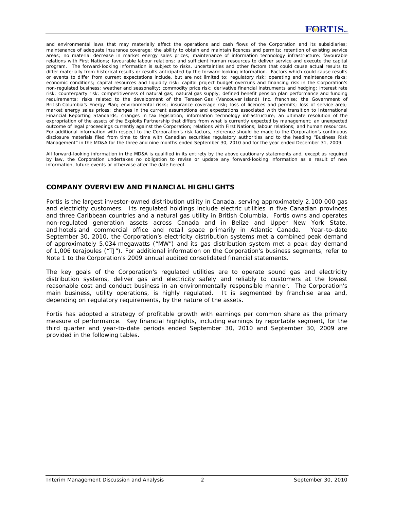*and environmental laws that may materially affect the operations and cash flows of the Corporation and its subsidiaries; maintenance of adequate insurance coverage; the ability to obtain and maintain licences and permits; retention of existing service areas; no material decrease in market energy sales prices; maintenance of information technology infrastructure; favourable relations with First Nations; favourable labour relations; and sufficient human resources to deliver service and execute the capital program. The forward-looking information is subject to risks, uncertainties and other factors that could cause actual results to differ materially from historical results or results anticipated by the forward-looking information. Factors which could cause results or events to differ from current expectations include, but are not limited to: regulatory risk; operating and maintenance risks; economic conditions; capital resources and liquidity risk; capital project budget overruns and financing risk in the Corporation's non-regulated business; weather and seasonality; commodity price risk; derivative financial instruments and hedging; interest rate risk; counterparty risk; competitiveness of natural gas; natural gas supply; defined benefit pension plan performance and funding*  requirements; risks related to the development of the Terasen Gas (Vancouver Island) Inc. franchise; the Government of *British Columbia's Energy Plan; environmental risks; insurance coverage risk; loss of licences and permits; loss of service area; market energy sales prices; changes in the current assumptions and expectations associated with the transition to International Financial Reporting Standards; changes in tax legislation; information technology infrastructure; an ultimate resolution of the expropriation of the assets of the Exploits Partnership that differs from what is currently expected by management; an unexpected outcome of legal proceedings currently against the Corporation; relations with First Nations; labour relations; and human resources. For additional information with respect to the Corporation's risk factors, reference should be made to the Corporation's continuous disclosure materials filed from time to time with Canadian securities regulatory authorities and to the heading "Business Risk Management" in the MD&A for the three and nine months ended September 30, 2010 and for the year ended December 31, 2009.* 

*All forward-looking information in the MD&A is qualified in its entirety by the above cautionary statements and, except as required by law, the Corporation undertakes no obligation to revise or update any forward-looking information as a result of new information, future events or otherwise after the date hereof.* 

# **COMPANY OVERVIEW AND FINANCIAL HIGHLIGHTS**

Fortis is the largest investor-owned distribution utility in Canada, serving approximately 2,100,000 gas and electricity customers. Its regulated holdings include electric utilities in five Canadian provinces and three Caribbean countries and a natural gas utility in British Columbia. Fortis owns and operates non-regulated generation assets across Canada and in Belize and Upper New York State, and hotels and commercial office and retail space primarily in Atlantic Canada. Year-to-date September 30, 2010, the Corporation's electricity distribution systems met a combined peak demand of approximately 5,034 megawatts ("MW") and its gas distribution system met a peak day demand of 1,006 terajoules ("TJ"). For additional information on the Corporation's business segments, refer to Note 1 to the Corporation's 2009 annual audited consolidated financial statements.

The key goals of the Corporation's regulated utilities are to operate sound gas and electricity distribution systems, deliver gas and electricity safely and reliably to customers at the lowest reasonable cost and conduct business in an environmentally responsible manner. The Corporation's main business, utility operations, is highly regulated. It is segmented by franchise area and, depending on regulatory requirements, by the nature of the assets.

Fortis has adopted a strategy of profitable growth with earnings per common share as the primary measure of performance. Key financial highlights, including earnings by reportable segment, for the third quarter and year-to-date periods ended September 30, 2010 and September 30, 2009 are provided in the following tables.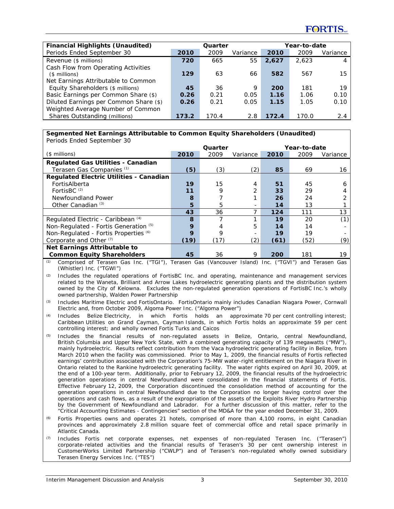| <b>Financial Highlights (Unaudited)</b> | Quarter |       |          |            | Year-to-date |          |
|-----------------------------------------|---------|-------|----------|------------|--------------|----------|
| Periods Ended September 30              | 2010    | 2009  | Variance | 2010       | 2009         | Variance |
| Revenue (\$ millions)                   | 720     | 665   | 55       | 2.627      | 2.623        | 4        |
| Cash Flow from Operating Activities     |         |       |          |            |              |          |
| $($$ millions)                          | 129     | 63    | 66       | 582        | 567          | 15.      |
| Net Earnings Attributable to Common     |         |       |          |            |              |          |
| Equity Shareholders (\$ millions)       | 45      | 36    | 9        | <b>200</b> | 181          | 19       |
| Basic Earnings per Common Share (\$)    | 0.26    | 0.21  | 0.05     | 1.16       | 1.06         | 0.10     |
| Diluted Earnings per Common Share (\$)  | 0.26    | 0.21  | 0.05     | 1.15       | 1.05         | 0.10     |
| Weighted Average Number of Common       |         |       |          |            |              |          |
| Shares Outstanding (millions)           | 173.2   | 170.4 | 2.8      | 172.4      | 170.0        | 2.4      |

# **Segmented Net Earnings Attributable to Common Equity Shareholders (Unaudited)**

| Periods Ended September 30                     |                         |      |          |      |      |          |
|------------------------------------------------|-------------------------|------|----------|------|------|----------|
|                                                | Year-to-date<br>Quarter |      |          |      |      |          |
| $($$ millions)                                 | 2010                    | 2009 | Variance | 2010 | 2009 | Variance |
| <b>Regulated Gas Utilities - Canadian</b>      |                         |      |          |      |      |          |
| Terasen Gas Companies (1)                      | (5)                     | (3)  | (2)      | 85   | 69   | 16       |
| <b>Regulated Electric Utilities - Canadian</b> |                         |      |          |      |      |          |
| FortisAlberta                                  | 19                      | 15   | 4        | 51   | 45   | 6        |
| FortisBC <sup>(2)</sup>                        | 11                      | 9    | 2        | 33   | 29   |          |
| Newfoundland Power                             | 8                       |      |          | 26   | 24   | 2        |
| Other Canadian $(3)$                           | 5                       | 5    |          | 14   | 13   |          |
|                                                | 43                      | 36   |          | 124  | 111  | 13       |
| Regulated Electric - Caribbean (4)             | 8                       |      |          | 19   | 20   | (1)      |
| Non-Regulated - Fortis Generation (5)          | 9                       | 4    | 5        | 14   | 14   |          |
| Non-Regulated - Fortis Properties (6)          | 9                       | 9    |          | 19   | 19   |          |
| Corporate and Other <sup>(7)</sup>             | (19)                    | (17) | (2)      | (61) | (52) | (9)      |
| Net Earnings Attributable to                   |                         |      |          |      |      |          |
| <b>Common Equity Shareholders</b>              | 45                      | 36   | 9        | 200  | 181  | 19       |

*(1)* Comprised of Terasen Gas Inc. ("TGI"), Terasen Gas (Vancouver Island) Inc. ("TGVI") and Terasen Gas (Whistler) Inc. ("TGWI")

*(2)* Includes the regulated operations of FortisBC Inc. and operating, maintenance and management services related to the Waneta, Brilliant and Arrow Lakes hydroelectric generating plants and the distribution system owned by the City of Kelowna. Excludes the non-regulated generation operations of FortisBC Inc.'s wholly owned partnership, Walden Power Partnership

*(3)* Includes Maritime Electric and FortisOntario. FortisOntario mainly includes Canadian Niagara Power, Cornwall Electric and, from October 2009, Algoma Power Inc. ("Algoma Power")

*(4)* Includes Belize Electricity, in which Fortis holds an approximate 70 per cent controlling interest; Caribbean Utilities on Grand Cayman, Cayman Islands, in which Fortis holds an approximate 59 per cent controlling interest; and wholly owned Fortis Turks and Caicos

- *(5)* Includes the financial results of non-regulated assets in Belize, Ontario, central Newfoundland, British Columbia and Upper New York State, with a combined generating capacity of 139 megawatts ("MW"), mainly hydroelectric. Results reflect contribution from the Vaca hydroelectric generating facility in Belize, from March 2010 when the facility was commissioned. Prior to May 1, 2009, the financial results of Fortis reflected earnings' contribution associated with the Corporation's 75-MW water-right entitlement on the Niagara River in Ontario related to the Rankine hydroelectric generating facility. The water rights expired on April 30, 2009, at the end of a 100-year term. Additionally, prior to February 12, 2009, the financial results of the hydroelectric generation operations in central Newfoundland were consolidated in the financial statements of Fortis. Effective February 12, 2009, the Corporation discontinued the consolidation method of accounting for the generation operations in central Newfoundland due to the Corporation no longer having control over the operations and cash flows, as a result of the expropriation of the assets of the Exploits River Hydro Partnership by the Government of Newfoundland and Labrador. For a further discussion of this matter, refer to the "Critical Accounting Estimates - Contingencies" section of the MD&A for the year ended December 31, 2009.
- *(6)* Fortis Properties owns and operates 21 hotels, comprised of more than 4,100 rooms, in eight Canadian provinces and approximately 2.8 million square feet of commercial office and retail space primarily in Atlantic Canada.
- *(7)* Includes Fortis net corporate expenses, net expenses of non-regulated Terasen Inc. ("Terasen") corporate-related activities and the financial results of Terasen's 30 per cent ownership interest in CustomerWorks Limited Partnership ("CWLP") and of Terasen's non-regulated wholly owned subsidiary Terasen Energy Services Inc. ("TES")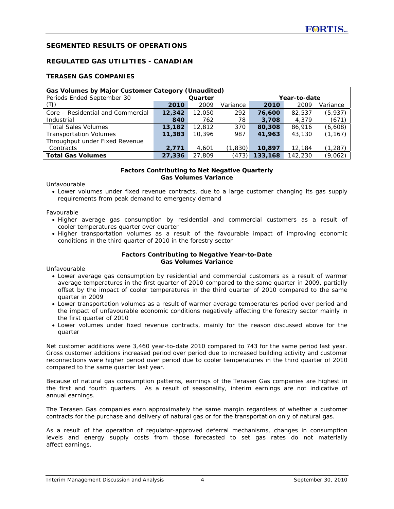# **SEGMENTED RESULTS OF OPERATIONS**

# **REGULATED GAS UTILITIES - CANADIAN**

# **TERASEN GAS COMPANIES**

| Gas Volumes by Major Customer Category (Unaudited) |        |         |          |              |         |          |  |  |  |  |  |  |
|----------------------------------------------------|--------|---------|----------|--------------|---------|----------|--|--|--|--|--|--|
| Periods Ended September 30                         |        | Quarter |          | Year-to-date |         |          |  |  |  |  |  |  |
| (TJ)                                               | 2010   | 2009    | Variance | 2010         | 2009    | Variance |  |  |  |  |  |  |
| Core – Residential and Commercial                  | 12,342 | 12,050  | 292      | 76,600       | 82,537  | (5,937)  |  |  |  |  |  |  |
| Industrial                                         | 840    | 762     | 78       | 3,708        | 4.379   | (671)    |  |  |  |  |  |  |
| <b>Total Sales Volumes</b>                         | 13,182 | 12,812  | 370      | 80,308       | 86,916  | (6,608)  |  |  |  |  |  |  |
| <b>Transportation Volumes</b>                      | 11,383 | 10,396  | 987      | 41,963       | 43,130  | (1, 167) |  |  |  |  |  |  |
| Throughput under Fixed Revenue                     |        |         |          |              |         |          |  |  |  |  |  |  |
| Contracts                                          | 2,771  | 4,601   | (1,830)  | 10,897       | 12,184  | (1, 287) |  |  |  |  |  |  |
| <b>Total Gas Volumes</b>                           | 27,336 | 27,809  | (473)    | 133,168      | 142,230 | (9,062)  |  |  |  |  |  |  |

#### **Factors Contributing to Net Negative Quarterly Gas Volumes Variance**

Unfavourable

• Lower volumes under fixed revenue contracts, due to a large customer changing its gas supply requirements from peak demand to emergency demand

Favourable

- Higher average gas consumption by residential and commercial customers as a result of cooler temperatures quarter over quarter
- Higher transportation volumes as a result of the favourable impact of improving economic conditions in the third quarter of 2010 in the forestry sector

#### **Factors Contributing to Negative Year-to-Date Gas Volumes Variance**

Unfavourable

- Lower average gas consumption by residential and commercial customers as a result of warmer average temperatures in the first quarter of 2010 compared to the same quarter in 2009, partially offset by the impact of cooler temperatures in the third quarter of 2010 compared to the same quarter in 2009
- Lower transportation volumes as a result of warmer average temperatures period over period and the impact of unfavourable economic conditions negatively affecting the forestry sector mainly in the first quarter of 2010
- Lower volumes under fixed revenue contracts, mainly for the reason discussed above for the quarter

Net customer additions were 3,460 year-to-date 2010 compared to 743 for the same period last year. Gross customer additions increased period over period due to increased building activity and customer reconnections were higher period over period due to cooler temperatures in the third quarter of 2010 compared to the same quarter last year.

Because of natural gas consumption patterns, earnings of the Terasen Gas companies are highest in the first and fourth quarters. As a result of seasonality, interim earnings are not indicative of annual earnings.

The Terasen Gas companies earn approximately the same margin regardless of whether a customer contracts for the purchase and delivery of natural gas or for the transportation only of natural gas.

As a result of the operation of regulator-approved deferral mechanisms, changes in consumption levels and energy supply costs from those forecasted to set gas rates do not materially affect earnings.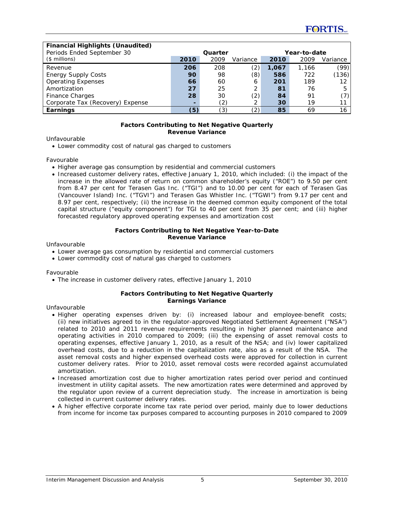| <b>Financial Highlights (Unaudited)</b> |                          |         |          |       |              |                   |
|-----------------------------------------|--------------------------|---------|----------|-------|--------------|-------------------|
| Periods Ended September 30              |                          | Quarter |          |       | Year-to-date |                   |
| $($$ millions)                          | 2010                     | 2009    | Variance | 2010  | 2009         | Variance          |
| Revenue                                 | 206                      | 208     | (2)      | 1,067 | 1,166        | (99)              |
| <b>Energy Supply Costs</b>              | 90                       | 98      | (8)      | 586   | 722          | (136)             |
| <b>Operating Expenses</b>               | 66                       | 60      | 6        | 201   | 189          | $12 \overline{ }$ |
| Amortization                            | 27                       | 25      |          | 81    | 76           | 5                 |
| <b>Finance Charges</b>                  | 28                       | 30      | (2)      | 84    | 91           | (7)               |
| Corporate Tax (Recovery) Expense        | $\overline{\phantom{0}}$ | (2)     |          | 30    | 19           | 11                |
| Earnings                                | (5)                      | (3)     | (2)      | 85    | 69           | 16                |

#### **Factors Contributing to Net Negative Quarterly Revenue Variance**

Unfavourable

• Lower commodity cost of natural gas charged to customers

Favourable

- Higher average gas consumption by residential and commercial customers
- Increased customer delivery rates, effective January 1, 2010, which included: (i) the impact of the increase in the allowed rate of return on common shareholder's equity ("ROE") to 9.50 per cent from 8.47 per cent for Terasen Gas Inc. ("TGI") and to 10.00 per cent for each of Terasen Gas (Vancouver Island) Inc. ("TGVI") and Terasen Gas Whistler Inc. ("TGWI") from 9.17 per cent and 8.97 per cent, respectively; (ii) the increase in the deemed common equity component of the total capital structure ("equity component") for TGI to 40 per cent from 35 per cent; and (iii) higher forecasted regulatory approved operating expenses and amortization cost

#### **Factors Contributing to Net Negative Year-to-Date Revenue Variance**

Unfavourable

- Lower average gas consumption by residential and commercial customers
- Lower commodity cost of natural gas charged to customers

Favourable

• The increase in customer delivery rates, effective January 1, 2010

#### **Factors Contributing to Net Negative Quarterly Earnings Variance**

Unfavourable

- Higher operating expenses driven by: (i) increased labour and employee-benefit costs; (ii) new initiatives agreed to in the regulator-approved Negotiated Settlement Agreement ("NSA") related to 2010 and 2011 revenue requirements resulting in higher planned maintenance and operating activities in 2010 compared to 2009; (iii) the expensing of asset removal costs to operating expenses, effective January 1, 2010, as a result of the NSA; and (iv) lower capitalized overhead costs, due to a reduction in the capitalization rate, also as a result of the NSA. The asset removal costs and higher expensed overhead costs were approved for collection in current customer delivery rates. Prior to 2010, asset removal costs were recorded against accumulated amortization.
- Increased amortization cost due to higher amortization rates period over period and continued investment in utility capital assets. The new amortization rates were determined and approved by the regulator upon review of a current depreciation study. The increase in amortization is being collected in current customer delivery rates.
- A higher effective corporate income tax rate period over period, mainly due to lower deductions from income for income tax purposes compared to accounting purposes in 2010 compared to 2009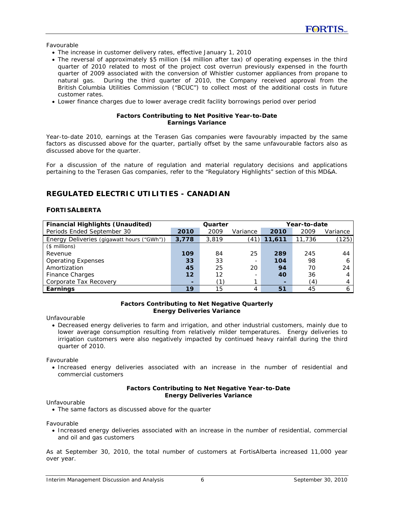Favourable

- The increase in customer delivery rates, effective January 1, 2010
- The reversal of approximately \$5 million (\$4 million after tax) of operating expenses in the third quarter of 2010 related to most of the project cost overrun previously expensed in the fourth quarter of 2009 associated with the conversion of Whistler customer appliances from propane to natural gas. During the third quarter of 2010, the Company received approval from the British Columbia Utilities Commission ("BCUC") to collect most of the additional costs in future customer rates.
- Lower finance charges due to lower average credit facility borrowings period over period

#### **Factors Contributing to Net Positive Year-to-Date Earnings Variance**

Year-to-date 2010, earnings at the Terasen Gas companies were favourably impacted by the same factors as discussed above for the quarter, partially offset by the same unfavourable factors also as discussed above for the quarter.

For a discussion of the nature of regulation and material regulatory decisions and applications pertaining to the Terasen Gas companies, refer to the "Regulatory Highlights" section of this MD&A.

# **REGULATED ELECTRIC UTILITIES - CANADIAN**

## **FORTISALBERTA**

| <b>Financial Highlights (Unaudited)</b>    | Year-to-date<br>Quarter |       |          |                          |        |          |
|--------------------------------------------|-------------------------|-------|----------|--------------------------|--------|----------|
| Periods Ended September 30                 | 2010                    | 2009  | Variance | 2010                     | 2009   | Variance |
| Energy Deliveries (gigawatt hours ("GWh")) | 3,778                   | 3,819 | (41)     | 11,611                   | 11,736 | (125)    |
| $($$ millions)                             |                         |       |          |                          |        |          |
| Revenue                                    | 109                     | 84    | 25       | 289                      | 245    | 44       |
| <b>Operating Expenses</b>                  | 33                      | 33    | -        | 104                      | 98     | 6        |
| Amortization                               | 45                      | 25    | 20       | 94                       | 70     | 24       |
| Finance Charges                            | 12                      | 12    | -        | 40                       | 36     | 4        |
| Corporate Tax Recovery                     | -                       | (1)   |          | $\overline{\phantom{a}}$ | (4)    | 4        |
| Earnings                                   | 19                      | 15    |          | 51                       | 45     | 6        |

#### **Factors Contributing to Net Negative Quarterly Energy Deliveries Variance**

Unfavourable

• Decreased energy deliveries to farm and irrigation, and other industrial customers, mainly due to lower average consumption resulting from relatively milder temperatures. Energy deliveries to irrigation customers were also negatively impacted by continued heavy rainfall during the third quarter of 2010.

Favourable

• Increased energy deliveries associated with an increase in the number of residential and commercial customers

#### **Factors Contributing to Net Negative Year-to-Date Energy Deliveries Variance**

Unfavourable

• The same factors as discussed above for the quarter

Favourable

• Increased energy deliveries associated with an increase in the number of residential, commercial and oil and gas customers

As at September 30, 2010, the total number of customers at FortisAlberta increased 11,000 year over year.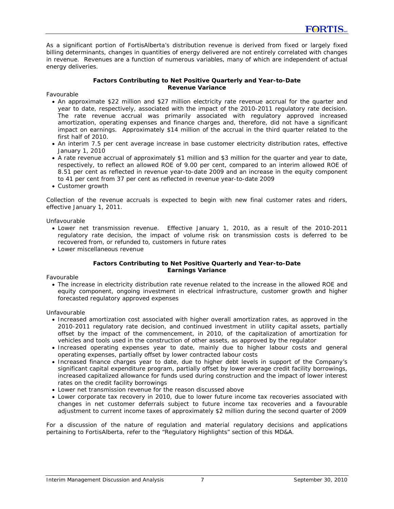As a significant portion of FortisAlberta's distribution revenue is derived from fixed or largely fixed billing determinants, changes in quantities of energy delivered are not entirely correlated with changes in revenue. Revenues are a function of numerous variables, many of which are independent of actual energy deliveries.

#### **Factors Contributing to Net Positive Quarterly and Year-to-Date Revenue Variance**

Favourable

- An approximate \$22 million and \$27 million electricity rate revenue accrual for the quarter and year to date, respectively, associated with the impact of the 2010-2011 regulatory rate decision. The rate revenue accrual was primarily associated with regulatory approved increased amortization, operating expenses and finance charges and, therefore, did not have a significant impact on earnings. Approximately \$14 million of the accrual in the third quarter related to the first half of 2010.
- An interim 7.5 per cent average increase in base customer electricity distribution rates, effective January 1, 2010
- A rate revenue accrual of approximately \$1 million and \$3 million for the quarter and year to date, respectively, to reflect an allowed ROE of 9.00 per cent, compared to an interim allowed ROE of 8.51 per cent as reflected in revenue year-to-date 2009 and an increase in the equity component to 41 per cent from 37 per cent as reflected in revenue year-to-date 2009
- Customer growth

Collection of the revenue accruals is expected to begin with new final customer rates and riders, effective January 1, 2011.

Unfavourable

- Lower net transmission revenue. Effective January 1, 2010, as a result of the 2010-2011 regulatory rate decision, the impact of volume risk on transmission costs is deferred to be recovered from, or refunded to, customers in future rates
- Lower miscellaneous revenue

#### **Factors Contributing to Net Positive Quarterly and Year-to-Date Earnings Variance**

Favourable

• The increase in electricity distribution rate revenue related to the increase in the allowed ROE and equity component, ongoing investment in electrical infrastructure, customer growth and higher forecasted regulatory approved expenses

Unfavourable

- Increased amortization cost associated with higher overall amortization rates, as approved in the 2010-2011 regulatory rate decision, and continued investment in utility capital assets, partially offset by the impact of the commencement, in 2010, of the capitalization of amortization for vehicles and tools used in the construction of other assets, as approved by the regulator
- Increased operating expenses year to date, mainly due to higher labour costs and general operating expenses, partially offset by lower contracted labour costs
- Increased finance charges year to date, due to higher debt levels in support of the Company's significant capital expenditure program, partially offset by lower average credit facility borrowings, increased capitalized allowance for funds used during construction and the impact of lower interest rates on the credit facility borrowings
- Lower net transmission revenue for the reason discussed above
- Lower corporate tax recovery in 2010, due to lower future income tax recoveries associated with changes in net customer deferrals subject to future income tax recoveries and a favourable adjustment to current income taxes of approximately \$2 million during the second quarter of 2009

For a discussion of the nature of regulation and material regulatory decisions and applications pertaining to FortisAlberta, refer to the "Regulatory Highlights" section of this MD&A.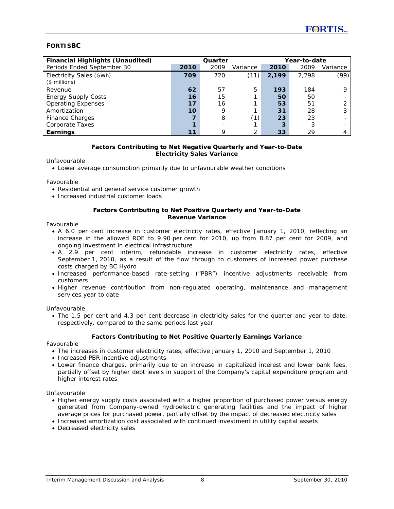# **FORTISBC**

| <b>Financial Highlights (Unaudited)</b> | Year-to-date<br>Quarter |      |          |       |       |          |
|-----------------------------------------|-------------------------|------|----------|-------|-------|----------|
| Periods Ended September 30              | 2010                    | 2009 | Variance | 2010  | 2009  | Variance |
| Electricity Sales (GWh)                 | 709                     | 720  |          | 2.199 | 2.298 | (99)     |
| $($$ millions)                          |                         |      |          |       |       |          |
| Revenue                                 | 62                      | 57   | 5        | 193   | 184   | Q        |
| <b>Energy Supply Costs</b>              | 16                      | 15   |          | 50    | 50    |          |
| <b>Operating Expenses</b>               | 17                      | 16   |          | 53    | 51    |          |
| Amortization                            | 10                      | 9    |          | 31    | 28    | 3        |
| <b>Finance Charges</b>                  |                         | 8    | (1)      | 23    | 23    |          |
| Corporate Taxes                         |                         |      |          | 3     |       |          |
| Earnings                                | 11                      | Q    | ◠        | 33    | 29    |          |

#### **Factors Contributing to Net Negative Quarterly and Year-to-Date Electricity Sales Variance**

Unfavourable

• Lower average consumption primarily due to unfavourable weather conditions

Favourable

- Residential and general service customer growth
- Increased industrial customer loads

#### **Factors Contributing to Net Positive Quarterly and Year-to-Date Revenue Variance**

Favourable

- A 6.0 per cent increase in customer electricity rates, effective January 1, 2010, reflecting an increase in the allowed ROE to 9.90 per cent for 2010, up from 8.87 per cent for 2009, and ongoing investment in electrical infrastructure
- A 2.9 per cent interim, refundable increase in customer electricity rates, effective September 1, 2010, as a result of the flow through to customers of increased power purchase costs charged by BC Hydro
- Increased performance-based rate-setting ("PBR") incentive adjustments receivable from customers
- Higher revenue contribution from non-regulated operating, maintenance and management services year to date

Unfavourable

• The 1.5 per cent and 4.3 per cent decrease in electricity sales for the quarter and year to date, respectively, compared to the same periods last year

#### **Factors Contributing to Net Positive Quarterly Earnings Variance**

Favourable

- The increases in customer electricity rates, effective January 1, 2010 and September 1, 2010
- Increased PBR incentive adjustments
- Lower finance charges, primarily due to an increase in capitalized interest and lower bank fees, partially offset by higher debt levels in support of the Company's capital expenditure program and higher interest rates

Unfavourable

- Higher energy supply costs associated with a higher proportion of purchased power versus energy generated from Company-owned hydroelectric generating facilities and the impact of higher average prices for purchased power, partially offset by the impact of decreased electricity sales
- Increased amortization cost associated with continued investment in utility capital assets
- Decreased electricity sales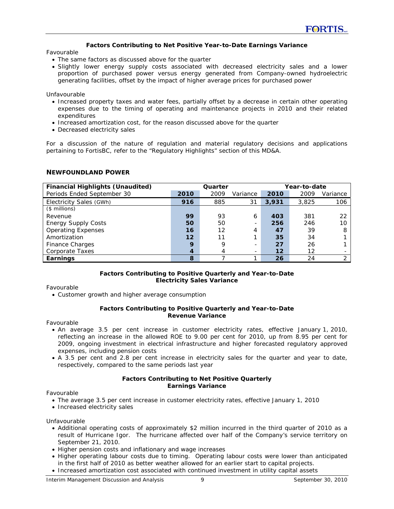#### **Factors Contributing to Net Positive Year-to-Date Earnings Variance**

Favourable

- The same factors as discussed above for the quarter
- Slightly lower energy supply costs associated with decreased electricity sales and a lower proportion of purchased power versus energy generated from Company-owned hydroelectric generating facilities, offset by the impact of higher average prices for purchased power

Unfavourable

- Increased property taxes and water fees, partially offset by a decrease in certain other operating expenses due to the timing of operating and maintenance projects in 2010 and their related expenditures
- Increased amortization cost, for the reason discussed above for the quarter
- Decreased electricity sales

For a discussion of the nature of regulation and material regulatory decisions and applications pertaining to FortisBC, refer to the "Regulatory Highlights" section of this MD&A.

#### **NEWFOUNDLAND POWER**

| <b>Financial Highlights (Unaudited)</b> |      | Quarter |          | Year-to-date |                   |          |
|-----------------------------------------|------|---------|----------|--------------|-------------------|----------|
| Periods Ended September 30              | 2010 | 2009    | Variance | 2010         | 2009              | Variance |
| Electricity Sales (GWh)                 | 916  | 885     | 31       | 3,931        | 3,825             | 106      |
| $($$ millions)                          |      |         |          |              |                   |          |
| Revenue                                 | 99   | 93      | 6        | 403          | 381               | 22       |
| <b>Energy Supply Costs</b>              | 50   | 50      |          | 256          | 246               | 10       |
| <b>Operating Expenses</b>               | 16   | 12      | 4        | 47           | 39                | 8        |
| Amortization                            | 12   | 11      |          | 35           | 34                |          |
| <b>Finance Charges</b>                  | 9    | 9       |          | 27           | 26                |          |
| Corporate Taxes                         | 4    | 4       |          | $12 \,$      | $12 \overline{ }$ |          |
| Earnings                                | 8    |         |          | 26           | 24                | C        |

#### **Factors Contributing to Positive Quarterly and Year-to-Date Electricity Sales Variance**

Favourable

• Customer growth and higher average consumption

#### **Factors Contributing to Positive Quarterly and Year-to-Date Revenue Variance**

Favourable

- An average 3.5 per cent increase in customer electricity rates, effective January 1, 2010, reflecting an increase in the allowed ROE to 9.00 per cent for 2010, up from 8.95 per cent for 2009, ongoing investment in electrical infrastructure and higher forecasted regulatory approved expenses, including pension costs
- A 3.5 per cent and 2.8 per cent increase in electricity sales for the quarter and year to date, respectively, compared to the same periods last year

#### **Factors Contributing to Net Positive Quarterly Earnings Variance**

Favourable

- The average 3.5 per cent increase in customer electricity rates, effective January 1, 2010
- Increased electricity sales

Unfavourable

- Additional operating costs of approximately \$2 million incurred in the third quarter of 2010 as a result of Hurricane Igor. The hurricane affected over half of the Company's service territory on September 21, 2010.
- Higher pension costs and inflationary and wage increases
- Higher operating labour costs due to timing. Operating labour costs were lower than anticipated in the first half of 2010 as better weather allowed for an earlier start to capital projects.
- Increased amortization cost associated with continued investment in utility capital assets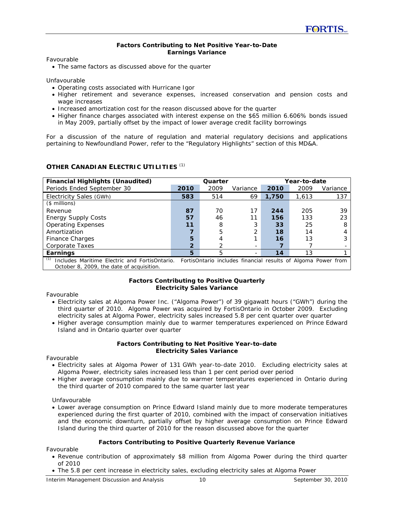#### **Factors Contributing to Net Positive Year-to-Date Earnings Variance**

Favourable

• The same factors as discussed above for the quarter

Unfavourable

- Operating costs associated with Hurricane Igor
- Higher retirement and severance expenses, increased conservation and pension costs and wage increases
- Increased amortization cost for the reason discussed above for the quarter
- Higher finance charges associated with interest expense on the \$65 million 6.606% bonds issued in May 2009, partially offset by the impact of lower average credit facility borrowings

For a discussion of the nature of regulation and material regulatory decisions and applications pertaining to Newfoundland Power, refer to the "Regulatory Highlights" section of this MD&A.

## **OTHER CANADIAN ELECTRIC UTILITIES** *(1)*

| <b>Financial Highlights (Unaudited)</b>              | Quarter        |      |          |       | Year-to-date |                                                               |  |
|------------------------------------------------------|----------------|------|----------|-------|--------------|---------------------------------------------------------------|--|
| Periods Ended September 30                           | 2010           | 2009 | Variance | 2010  | 2009         | Variance                                                      |  |
| Electricity Sales (GWh)                              | 583            | 514  | 69       | 1,750 | 1,613        | 137                                                           |  |
| $($$ millions)                                       |                |      |          |       |              |                                                               |  |
| Revenue                                              | 87             | 70   | 17       | 244   | 205          | 39                                                            |  |
| <b>Energy Supply Costs</b>                           | 57             | 46   |          | 156   | 133          | 23                                                            |  |
| <b>Operating Expenses</b>                            | 11             | 8    |          | 33    | 25           | 8                                                             |  |
| Amortization                                         |                | 5    |          | 18    | 14           | 4                                                             |  |
| Finance Charges                                      | 5              | 4    |          | 16    | 13           |                                                               |  |
| Corporate Taxes                                      | $\overline{2}$ |      |          |       |              |                                                               |  |
| Earnings                                             | 5              | 5    |          | 14    | 13           |                                                               |  |
| (1)<br>Includes Maritime Electric and FortisOntario. |                |      |          |       |              | FortisOntario includes financial results of Algoma Power from |  |

October 8, 2009, the date of acquisition.

#### **Factors Contributing to Positive Quarterly Electricity Sales Variance**

Favourable

- Electricity sales at Algoma Power Inc. ("Algoma Power") of 39 gigawatt hours ("GWh") during the third quarter of 2010. Algoma Power was acquired by FortisOntario in October 2009. Excluding electricity sales at Algoma Power, electricity sales increased 5.8 per cent quarter over quarter
- Higher average consumption mainly due to warmer temperatures experienced on Prince Edward Island and in Ontario quarter over quarter

#### **Factors Contributing to Net Positive Year-to-date Electricity Sales Variance**

Favourable

- Electricity sales at Algoma Power of 131 GWh year-to-date 2010. Excluding electricity sales at Algoma Power, electricity sales increased less than 1 per cent period over period
- Higher average consumption mainly due to warmer temperatures experienced in Ontario during the third quarter of 2010 compared to the same quarter last year

Unfavourable

• Lower average consumption on Prince Edward Island mainly due to more moderate temperatures experienced during the first quarter of 2010, combined with the impact of conservation initiatives and the economic downturn, partially offset by higher average consumption on Prince Edward Island during the third quarter of 2010 for the reason discussed above for the quarter

#### **Factors Contributing to Positive Quarterly Revenue Variance**

Favourable

- Revenue contribution of approximately \$8 million from Algoma Power during the third quarter of 2010
- The 5.8 per cent increase in electricity sales, excluding electricity sales at Algoma Power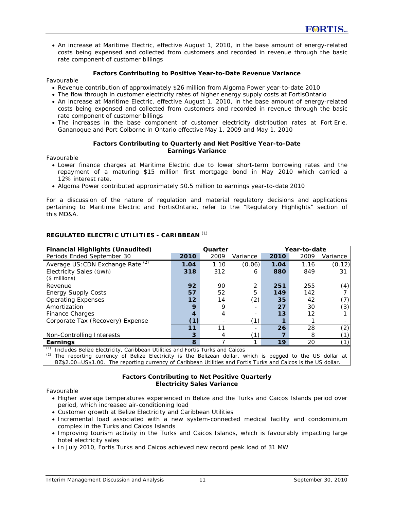• An increase at Maritime Electric, effective August 1, 2010, in the base amount of energy-related costs being expensed and collected from customers and recorded in revenue through the basic rate component of customer billings

## **Factors Contributing to Positive Year-to-Date Revenue Variance**

#### Favourable

- Revenue contribution of approximately \$26 million from Algoma Power year-to-date 2010
- The flow through in customer electricity rates of higher energy supply costs at FortisOntario
- An increase at Maritime Electric, effective August 1, 2010, in the base amount of energy-related costs being expensed and collected from customers and recorded in revenue through the basic rate component of customer billings
- The increases in the base component of customer electricity distribution rates at Fort Erie, Gananoque and Port Colborne in Ontario effective May 1, 2009 and May 1, 2010

#### **Factors Contributing to Quarterly and Net Positive Year-to-Date Earnings Variance**

Favourable

- Lower finance charges at Maritime Electric due to lower short-term borrowing rates and the repayment of a maturing \$15 million first mortgage bond in May 2010 which carried a 12% interest rate.
- Algoma Power contributed approximately \$0.5 million to earnings year-to-date 2010

For a discussion of the nature of regulation and material regulatory decisions and applications pertaining to Maritime Electric and FortisOntario, refer to the "Regulatory Highlights" section of this MD&A.

| <b>Financial Highlights (Unaudited)</b> | Quarter<br>Year-to-date |      |          |      |      |                |
|-----------------------------------------|-------------------------|------|----------|------|------|----------------|
| Periods Ended September 30              | 2010                    | 2009 | Variance | 2010 | 2009 | Variance       |
| Average US: CDN Exchange Rate (2)       | 1.04                    | 1.10 | (0.06)   | 1.04 | 1.16 | (0.12)         |
| Electricity Sales (GWh)                 | 318                     | 312  | 6        | 880  | 849  | 31             |
| $($$ millions)                          |                         |      |          |      |      |                |
| Revenue                                 | 92                      | 90   | 2        | 251  | 255  | (4)            |
| <b>Energy Supply Costs</b>              | 57                      | 52   | 5        | 149  | 142  |                |
| <b>Operating Expenses</b>               | 12                      | 14   | (2)      | 35   | 42   | (7)            |
| Amortization                            | 9                       | 9    |          | 27   | 30   | (3)            |
| Finance Charges                         |                         |      |          | 13   | 12   |                |
| Corporate Tax (Recovery) Expense        | 6D                      |      | ั1)      |      |      |                |
|                                         | 11                      | 11   |          | 26   | 28   | (2)            |
| Non-Controlling Interests               | 3                       | 4    | ้1)      |      | 8    |                |
| Earnings                                | 8                       |      |          | 19   | 20   | $^{\prime}$ 1) |

## **REGULATED ELECTRIC UTILITIES - CARIBBEAN** *(1)*

*(1)* Includes Belize Electricity, Caribbean Utilities and Fortis Turks and Caicos

*(2)* The reporting currency of Belize Electricity is the Belizean dollar, which is pegged to the US dollar at

BZ\$2.00=US\$1.00. The reporting currency of Caribbean Utilities and Fortis Turks and Caicos is the US dollar.

## **Factors Contributing to Net Positive Quarterly Electricity Sales Variance**

Favourable

- Higher average temperatures experienced in Belize and the Turks and Caicos Islands period over period, which increased air-conditioning load
- Customer growth at Belize Electricity and Caribbean Utilities
- Incremental load associated with a new system-connected medical facility and condominium complex in the Turks and Caicos Islands
- Improving tourism activity in the Turks and Caicos Islands, which is favourably impacting large hotel electricity sales
- In July 2010, Fortis Turks and Caicos achieved new record peak load of 31 MW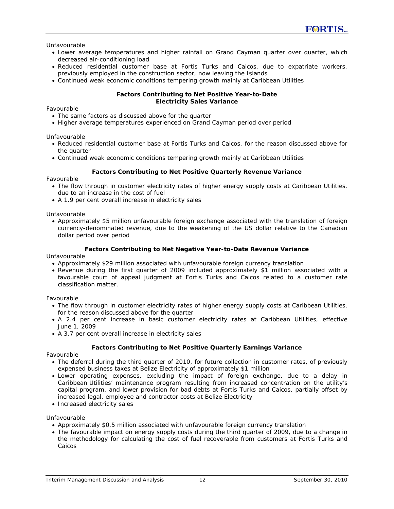Unfavourable

- Lower average temperatures and higher rainfall on Grand Cayman quarter over quarter, which decreased air-conditioning load
- Reduced residential customer base at Fortis Turks and Caicos, due to expatriate workers, previously employed in the construction sector, now leaving the Islands
- Continued weak economic conditions tempering growth mainly at Caribbean Utilities

#### **Factors Contributing to Net Positive Year-to-Date Electricity Sales Variance**

Favourable

- The same factors as discussed above for the quarter
- Higher average temperatures experienced on Grand Cayman period over period

Unfavourable

- Reduced residential customer base at Fortis Turks and Caicos, for the reason discussed above for the quarter
- Continued weak economic conditions tempering growth mainly at Caribbean Utilities

#### **Factors Contributing to Net Positive Quarterly Revenue Variance**

Favourable

- The flow through in customer electricity rates of higher energy supply costs at Caribbean Utilities, due to an increase in the cost of fuel
- A 1.9 per cent overall increase in electricity sales

Unfavourable

• Approximately \$5 million unfavourable foreign exchange associated with the translation of foreign currency-denominated revenue, due to the weakening of the US dollar relative to the Canadian dollar period over period

#### **Factors Contributing to Net Negative Year-to-Date Revenue Variance**

Unfavourable

- Approximately \$29 million associated with unfavourable foreign currency translation
- Revenue during the first quarter of 2009 included approximately \$1 million associated with a favourable court of appeal judgment at Fortis Turks and Caicos related to a customer rate classification matter.

Favourable

- The flow through in customer electricity rates of higher energy supply costs at Caribbean Utilities, for the reason discussed above for the quarter
- A 2.4 per cent increase in basic customer electricity rates at Caribbean Utilities, effective June 1, 2009
- A 3.7 per cent overall increase in electricity sales

#### **Factors Contributing to Net Positive Quarterly Earnings Variance**

Favourable

- The deferral during the third quarter of 2010, for future collection in customer rates, of previously expensed business taxes at Belize Electricity of approximately \$1 million
- Lower operating expenses, excluding the impact of foreign exchange, due to a delay in Caribbean Utilities' maintenance program resulting from increased concentration on the utility's capital program, and lower provision for bad debts at Fortis Turks and Caicos, partially offset by increased legal, employee and contractor costs at Belize Electricity
- Increased electricity sales

Unfavourable

- Approximately \$0.5 million associated with unfavourable foreign currency translation
- The favourable impact on energy supply costs during the third quarter of 2009, due to a change in the methodology for calculating the cost of fuel recoverable from customers at Fortis Turks and Caicos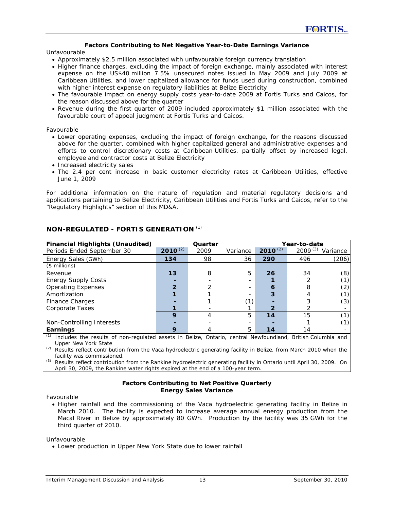#### **Factors Contributing to Net Negative Year-to-Date Earnings Variance**

Unfavourable

- Approximately \$2.5 million associated with unfavourable foreign currency translation
- Higher finance charges, excluding the impact of foreign exchange, mainly associated with interest expense on the US\$40 million 7.5% unsecured notes issued in May 2009 and July 2009 at Caribbean Utilities, and lower capitalized allowance for funds used during construction, combined with higher interest expense on regulatory liabilities at Belize Electricity
- The favourable impact on energy supply costs year-to-date 2009 at Fortis Turks and Caicos, for the reason discussed above for the quarter
- Revenue during the first quarter of 2009 included approximately \$1 million associated with the favourable court of appeal judgment at Fortis Turks and Caicos.

Favourable

- Lower operating expenses, excluding the impact of foreign exchange, for the reasons discussed above for the quarter, combined with higher capitalized general and administrative expenses and efforts to control discretionary costs at Caribbean Utilities, partially offset by increased legal, employee and contractor costs at Belize Electricity
- Increased electricity sales
- The 2.4 per cent increase in basic customer electricity rates at Caribbean Utilities, effective June 1, 2009

For additional information on the nature of regulation and material regulatory decisions and applications pertaining to Belize Electricity, Caribbean Utilities and Fortis Turks and Caicos, refer to the "Regulatory Highlights" section of this MD&A.

| <b>Financial Highlights (Unaudited)</b> |              | Quarter |                          | Year-to-date |              |          |  |
|-----------------------------------------|--------------|---------|--------------------------|--------------|--------------|----------|--|
| Periods Ended September 30              | $2010^{(2)}$ | 2009    | Variance                 | $2010^{(2)}$ | $2009^{(3)}$ | Variance |  |
| Energy Sales (GWh)                      | 134          | 98      | 36                       | 290          | 496          | (206)    |  |
| $($$ millions)                          |              |         |                          |              |              |          |  |
| Revenue                                 | 13           | 8       | 5                        | 26           | 34           | (8)      |  |
| <b>Energy Supply Costs</b>              |              |         |                          |              |              | (1)      |  |
| <b>Operating Expenses</b>               |              |         | $\overline{\phantom{0}}$ | 6            | 8            | (2)      |  |
| Amortization                            |              |         |                          | 3            |              | (1)      |  |
| Finance Charges                         |              |         | (1)                      |              |              | (3)      |  |
| Corporate Taxes                         |              |         |                          | 2            |              |          |  |
|                                         | 9            | 4       | 5                        | 14           | 15           | (1)      |  |
| Non-Controlling Interests               |              |         | $\overline{\phantom{0}}$ |              |              | (1)      |  |
| Earnings                                | 9            | 4       | 5                        | 14           | 14           |          |  |

# **NON-REGULATED - FORTIS GENERATION** *(1)*

*(1)* Includes the results of non-regulated assets in Belize, Ontario, central Newfoundland, British Columbia and Upper New York State

*(2)* Results reflect contribution from the Vaca hydroelectric generating facility in Belize, from March 2010 when the facility was commissioned.

*(3)* Results reflect contribution from the Rankine hydroelectric generating facility in Ontario until April 30, 2009. On April 30, 2009, the Rankine water rights expired at the end of a 100-year term.

#### **Factors Contributing to Net Positive Quarterly Energy Sales Variance**

Favourable

• Higher rainfall and the commissioning of the Vaca hydroelectric generating facility in Belize in March 2010. The facility is expected to increase average annual energy production from the Macal River in Belize by approximately 80 GWh. Production by the facility was 35 GWh for the third quarter of 2010.

Unfavourable

• Lower production in Upper New York State due to lower rainfall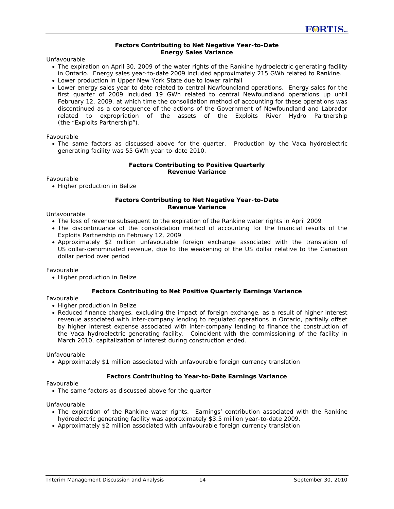#### **Factors Contributing to Net Negative Year-to-Date Energy Sales Variance**

Unfavourable

- The expiration on April 30, 2009 of the water rights of the Rankine hydroelectric generating facility in Ontario. Energy sales year-to-date 2009 included approximately 215 GWh related to Rankine.
- Lower production in Upper New York State due to lower rainfall
- Lower energy sales year to date related to central Newfoundland operations. Energy sales for the first quarter of 2009 included 19 GWh related to central Newfoundland operations up until February 12, 2009, at which time the consolidation method of accounting for these operations was discontinued as a consequence of the actions of the Government of Newfoundland and Labrador related to expropriation of the assets of the Exploits River Hydro Partnership (the "Exploits Partnership").

Favourable

• The same factors as discussed above for the quarter. Production by the Vaca hydroelectric generating facility was 55 GWh year-to-date 2010.

#### **Factors Contributing to Positive Quarterly Revenue Variance**

Favourable

• Higher production in Belize

#### **Factors Contributing to Net Negative Year-to-Date Revenue Variance**

Unfavourable

- The loss of revenue subsequent to the expiration of the Rankine water rights in April 2009
- The discontinuance of the consolidation method of accounting for the financial results of the Exploits Partnership on February 12, 2009
- Approximately \$2 million unfavourable foreign exchange associated with the translation of US dollar-denominated revenue, due to the weakening of the US dollar relative to the Canadian dollar period over period

Favourable

• Higher production in Belize

#### **Factors Contributing to Net Positive Quarterly Earnings Variance**

Favourable

- Higher production in Belize
- Reduced finance charges, excluding the impact of foreign exchange, as a result of higher interest revenue associated with inter-company lending to regulated operations in Ontario, partially offset by higher interest expense associated with inter-company lending to finance the construction of the Vaca hydroelectric generating facility. Coincident with the commissioning of the facility in March 2010, capitalization of interest during construction ended.

Unfavourable

• Approximately \$1 million associated with unfavourable foreign currency translation

#### **Factors Contributing to Year-to-Date Earnings Variance**

Favourable

• The same factors as discussed above for the quarter

Unfavourable

- The expiration of the Rankine water rights. Earnings' contribution associated with the Rankine hydroelectric generating facility was approximately \$3.5 million year-to-date 2009.
- Approximately \$2 million associated with unfavourable foreign currency translation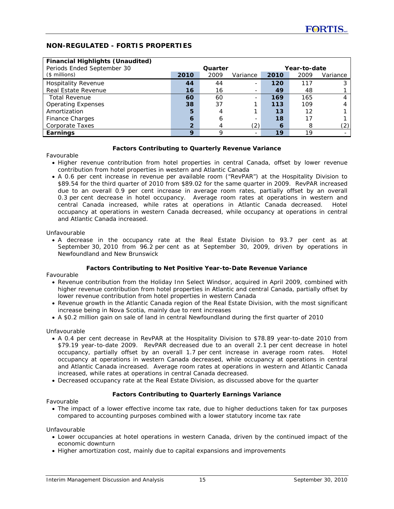# **NON-REGULATED - FORTIS PROPERTIES**

| <b>Financial Highlights (Unaudited)</b> |                |         |               |      |      |          |
|-----------------------------------------|----------------|---------|---------------|------|------|----------|
| Periods Ended September 30              |                | Quarter | Year-to-date  |      |      |          |
| $($$ millions)                          | 2010           | 2009    | Variance      | 2010 | 2009 | Variance |
| <b>Hospitality Revenue</b>              | 44             | 44      |               | 120  | 117  |          |
| <b>Real Estate Revenue</b>              | 16             | 16      |               | 49   | 48   |          |
| <b>Total Revenue</b>                    | 60             | 60      | ۰.            | 169  | 165  |          |
| <b>Operating Expenses</b>               | 38             | 37      |               | 113  | 109  |          |
| Amortization                            | 5              |         |               | 13   | 12   |          |
| <b>Finance Charges</b>                  | 6              | 6       |               | 18   | 17   |          |
| <b>Corporate Taxes</b>                  | $\overline{2}$ |         | $^{\prime}2)$ | 6    | 8    | '2)      |
| Earnings                                | 9              | о       |               | 19   | 19   |          |

#### **Factors Contributing to Quarterly Revenue Variance**

Favourable

- Higher revenue contribution from hotel properties in central Canada, offset by lower revenue contribution from hotel properties in western and Atlantic Canada
- A 0.6 per cent increase in revenue per available room ("RevPAR") at the Hospitality Division to \$89.54 for the third quarter of 2010 from \$89.02 for the same quarter in 2009. RevPAR increased due to an overall 0.9 per cent increase in average room rates, partially offset by an overall 0.3 per cent decrease in hotel occupancy. Average room rates at operations in western and central Canada increased, while rates at operations in Atlantic Canada decreased. Hotel occupancy at operations in western Canada decreased, while occupancy at operations in central and Atlantic Canada increased.

Unfavourable

• A decrease in the occupancy rate at the Real Estate Division to 93.7 per cent as at September 30, 2010 from 96.2 per cent as at September 30, 2009, driven by operations in Newfoundland and New Brunswick

#### **Factors Contributing to Net Positive Year-to-Date Revenue Variance**

Favourable

- Revenue contribution from the Holiday Inn Select Windsor, acquired in April 2009, combined with higher revenue contribution from hotel properties in Atlantic and central Canada, partially offset by lower revenue contribution from hotel properties in western Canada
- Revenue growth in the Atlantic Canada region of the Real Estate Division, with the most significant increase being in Nova Scotia, mainly due to rent increases
- A \$0.2 million gain on sale of land in central Newfoundland during the first quarter of 2010

Unfavourable

- A 0.4 per cent decrease in RevPAR at the Hospitality Division to \$78.89 year-to-date 2010 from \$79.19 year-to-date 2009. RevPAR decreased due to an overall 2.1 per cent decrease in hotel occupancy, partially offset by an overall 1.7 per cent increase in average room rates. Hotel occupancy at operations in western Canada decreased, while occupancy at operations in central and Atlantic Canada increased. Average room rates at operations in western and Atlantic Canada increased, while rates at operations in central Canada decreased.
- Decreased occupancy rate at the Real Estate Division, as discussed above for the quarter

#### **Factors Contributing to Quarterly Earnings Variance**

Favourable

• The impact of a lower effective income tax rate, due to higher deductions taken for tax purposes compared to accounting purposes combined with a lower statutory income tax rate

Unfavourable

- Lower occupancies at hotel operations in western Canada, driven by the continued impact of the economic downturn
- Higher amortization cost, mainly due to capital expansions and improvements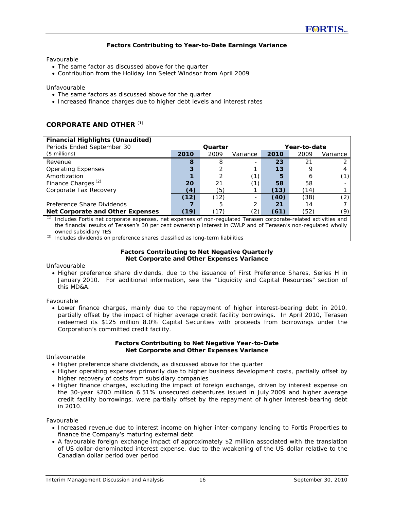#### **Factors Contributing to Year-to-Date Earnings Variance**

Favourable

- The same factor as discussed above for the quarter
- Contribution from the Holiday Inn Select Windsor from April 2009

Unfavourable

- The same factors as discussed above for the quarter
- Increased finance charges due to higher debt levels and interest rates

#### **CORPORATE AND OTHER** *(1)*

| <b>Financial Highlights (Unaudited)</b><br>Periods Ended September 30                                                                                                                                                                                                                                                                                         | Quarter |      |               |      | Year-to-date |          |
|---------------------------------------------------------------------------------------------------------------------------------------------------------------------------------------------------------------------------------------------------------------------------------------------------------------------------------------------------------------|---------|------|---------------|------|--------------|----------|
| $($$ millions)                                                                                                                                                                                                                                                                                                                                                | 2010    | 2009 | Variance      | 2010 | 2009         | Variance |
| Revenue                                                                                                                                                                                                                                                                                                                                                       | 8       | 8    |               | 23   | 21           |          |
| <b>Operating Expenses</b>                                                                                                                                                                                                                                                                                                                                     | 3       |      |               | 13   |              |          |
| Amortization                                                                                                                                                                                                                                                                                                                                                  |         |      | (1            | 5    | h            |          |
| Finance Charges <sup>(2)</sup>                                                                                                                                                                                                                                                                                                                                | 20      | 21   |               | 58   | 58           |          |
| Corporate Tax Recovery                                                                                                                                                                                                                                                                                                                                        | (4)     | '5)  |               | (13) | (14)         |          |
|                                                                                                                                                                                                                                                                                                                                                               | (12)    | (12) |               | (40) | (38)         | (2)      |
| Preference Share Dividends                                                                                                                                                                                                                                                                                                                                    |         |      |               | 21   | 14           |          |
| <b>Net Corporate and Other Expenses</b><br>$\sqrt{4}$ $\sqrt{4}$ $\sqrt{4}$ $\sqrt{4}$ $\sqrt{4}$ $\sqrt{4}$ $\sqrt{4}$ $\sqrt{4}$ $\sqrt{4}$ $\sqrt{4}$ $\sqrt{4}$ $\sqrt{4}$ $\sqrt{4}$ $\sqrt{4}$ $\sqrt{4}$ $\sqrt{4}$ $\sqrt{4}$ $\sqrt{4}$ $\sqrt{4}$ $\sqrt{4}$ $\sqrt{4}$ $\sqrt{4}$ $\sqrt{4}$ $\sqrt{4}$ $\sqrt{4}$ $\sqrt{4}$ $\sqrt{4}$ $\sqrt{4$ | (19)    | 17   | $^{\prime}2)$ | (61) | (52)         | (9)      |

*(1)* Includes Fortis net corporate expenses, net expenses of non-regulated Terasen corporate-related activities and the financial results of Terasen's 30 per cent ownership interest in CWLP and of Terasen's non-regulated wholly owned subsidiary TES

*(2)* Includes dividends on preference shares classified as long-term liabilities

#### **Factors Contributing to Net Negative Quarterly Net Corporate and Other Expenses Variance**

Unfavourable

• Higher preference share dividends, due to the issuance of First Preference Shares, Series H in January 2010. For additional information, see the "Liquidity and Capital Resources" section of this MD&A.

Favourable

• Lower finance charges, mainly due to the repayment of higher interest-bearing debt in 2010, partially offset by the impact of higher average credit facility borrowings. In April 2010, Terasen redeemed its \$125 million 8.0% Capital Securities with proceeds from borrowings under the Corporation's committed credit facility.

#### **Factors Contributing to Net Negative Year-to-Date Net Corporate and Other Expenses Variance**

Unfavourable

- Higher preference share dividends, as discussed above for the quarter
- Higher operating expenses primarily due to higher business development costs, partially offset by higher recovery of costs from subsidiary companies
- Higher finance charges, excluding the impact of foreign exchange, driven by interest expense on the 30-year \$200 million 6.51% unsecured debentures issued in July 2009 and higher average credit facility borrowings, were partially offset by the repayment of higher interest-bearing debt in 2010.

Favourable

- Increased revenue due to interest income on higher inter-company lending to Fortis Properties to finance the Company's maturing external debt
- A favourable foreign exchange impact of approximately \$2 million associated with the translation of US dollar-denominated interest expense, due to the weakening of the US dollar relative to the Canadian dollar period over period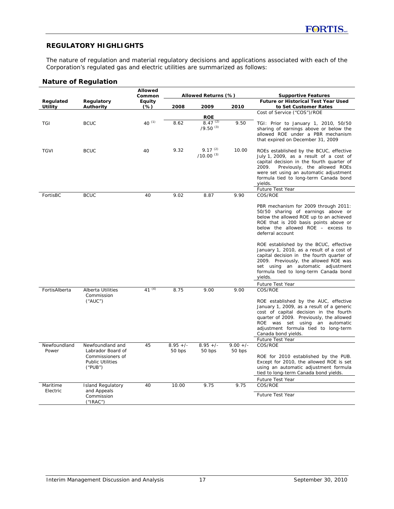# **REGULATORY HIGHLIGHTS**

The nature of regulation and material regulatory decisions and applications associated with each of the Corporation's regulated gas and electric utilities are summarized as follows:

## **Nature of Regulation**

|                      |                                                                             | Allowed<br>Common |            | Allowed Returns (%)                         |            | <b>Supportive Features</b>                                                                                                                                                                                                                                                                               |
|----------------------|-----------------------------------------------------------------------------|-------------------|------------|---------------------------------------------|------------|----------------------------------------------------------------------------------------------------------------------------------------------------------------------------------------------------------------------------------------------------------------------------------------------------------|
| Regulated<br>Utility | Regulatory<br>Authority                                                     | Equity<br>$(\%)$  | 2008       | 2009                                        | 2010       | <b>Future or Historical Test Year Used</b><br>to Set Customer Rates                                                                                                                                                                                                                                      |
|                      |                                                                             |                   |            |                                             |            | Cost of Service ("COS")/ROE                                                                                                                                                                                                                                                                              |
| TGI                  | <b>BCUC</b>                                                                 | 40 $(1)$          | 8.62       | <b>ROE</b><br>$8.47^{(2)}$<br>$/9.50^{(3)}$ | 9.50       | TGI: Prior to January 1, 2010, 50/50<br>sharing of earnings above or below the<br>allowed ROE under a PBR mechanism<br>that expired on December 31, 2009                                                                                                                                                 |
| <b>TGVI</b>          | <b>BCUC</b>                                                                 | 40                | 9.32       | $9.17^{(2)}$<br>$/10.00^{(3)}$              | 10.00      | ROEs established by the BCUC, effective<br>July 1, 2009, as a result of a cost of<br>capital decision in the fourth quarter of<br>2009.<br>Previously, the allowed ROEs<br>were set using an automatic adjustment<br>formula tied to long-term Canada bond<br>yields.                                    |
| FortisBC             | <b>BCUC</b>                                                                 | 40                | 9.02       | 8.87                                        | 9.90       | Future Test Year<br>COS/ROE                                                                                                                                                                                                                                                                              |
|                      |                                                                             |                   |            |                                             |            | PBR mechanism for 2009 through 2011:<br>50/50 sharing of earnings above or<br>below the allowed ROE up to an achieved<br>ROE that is 200 basis points above or<br>below the allowed ROE - excess to<br>deferral account                                                                                  |
|                      |                                                                             |                   |            |                                             |            | ROE established by the BCUC, effective<br>January 1, 2010, as a result of a cost of<br>capital decision in the fourth quarter of<br>2009. Previously, the allowed ROE was<br>set using an automatic adjustment<br>formula tied to long-term Canada bond<br>yields.                                       |
|                      |                                                                             |                   |            |                                             |            | Future Test Year                                                                                                                                                                                                                                                                                         |
| FortisAlberta        | Alberta Utilities<br>Commission<br>("AUC")                                  | 41 $(4)$          | 8.75       | 9.00                                        | 9.00       | COS/ROE<br>ROE established by the AUC, effective<br>January 1, 2009, as a result of a generic<br>cost of capital decision in the fourth<br>quarter of 2009. Previously, the allowed<br>ROE was set using an automatic<br>adjustment formula tied to long-term<br>Canada bond yields.<br>Future Test Year |
| Newfoundland         | Newfoundland and                                                            | 45                | $8.95 +/-$ | $\frac{1}{8.95}$ +/-                        | $9.00 +/-$ | COS/ROE                                                                                                                                                                                                                                                                                                  |
| Power                | Labrador Board of<br>Commissioners of<br><b>Public Utilities</b><br>("PUB") |                   | 50 bps     | 50 bps                                      | 50 bps     | ROE for 2010 established by the PUB.<br>Except for 2010, the allowed ROE is set<br>using an automatic adjustment formula<br>tied to long-term Canada bond yields.<br>Future Test Year                                                                                                                    |
| Maritime             | <b>Island Regulatory</b>                                                    | 40                | 10.00      | 9.75                                        | 9.75       | COS/ROE                                                                                                                                                                                                                                                                                                  |
| Electric             | and Appeals<br>Commission<br>('IRAC")                                       |                   |            |                                             |            | <b>Future Test Year</b>                                                                                                                                                                                                                                                                                  |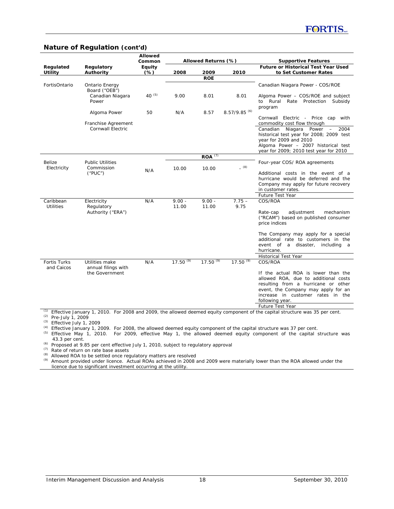### **Nature of Regulation (cont'd)**

|                               |                                                              | Allowed<br>Common |                   | Allowed Returns (%) |                            | <b>Supportive Features</b>                                                                                                                                                                                                                          |
|-------------------------------|--------------------------------------------------------------|-------------------|-------------------|---------------------|----------------------------|-----------------------------------------------------------------------------------------------------------------------------------------------------------------------------------------------------------------------------------------------------|
| Regulated<br>Utility          | Regulatory<br>Authority                                      | Equity<br>$(\%)$  | 2008              | 2009                | 2010                       | <b>Future or Historical Test Year Used</b><br>to Set Customer Rates                                                                                                                                                                                 |
|                               |                                                              |                   |                   | <b>ROE</b>          |                            |                                                                                                                                                                                                                                                     |
| FortisOntario                 | Ontario Energy<br>Board ("OEB")<br>Canadian Niagara<br>Power | 40 $(5)$          | 9.00              | 8.01                | 8.01                       | Canadian Niagara Power - COS/ROE<br>Algoma Power - COS/ROE and subject<br>to Rural<br>Rate Protection Subsidy                                                                                                                                       |
|                               | Algoma Power                                                 | 50                | N/A               | 8.57                | $8.57/9.85$ <sup>(6)</sup> | program<br>Cornwall Electric - Price cap with                                                                                                                                                                                                       |
|                               | Franchise Agreement<br>Cornwall Electric                     |                   |                   |                     |                            | commodity cost flow through<br>Canadian<br>Niagara Power<br>2004<br>$\overline{\phantom{m}}$<br>historical test year for 2008; 2009 test<br>year for 2009 and 2010<br>Algoma Power - 2007 historical test<br>year for 2009; 2010 test year for 2010 |
|                               |                                                              |                   |                   | $ROA^{(7)}$         |                            |                                                                                                                                                                                                                                                     |
| Belize<br>Electricity         | <b>Public Utilities</b><br>Commission<br>("PUC")             | N/A               | 10.00             | 10.00               | (8)                        | Four-year COS/ROA agreements<br>Additional costs in the event of a<br>hurricane would be deferred and the<br>Company may apply for future recovery<br>in customer rates.                                                                            |
|                               |                                                              |                   |                   |                     |                            | Future Test Year                                                                                                                                                                                                                                    |
| Caribbean<br><b>Utilities</b> | Electricity<br>Regulatory<br>Authority ("ERA")               | N/A               | $9.00 -$<br>11.00 | $9.00 -$<br>11.00   | $7.75 -$<br>9.75           | COS/ROA<br>adjustment<br>mechanism<br>Rate-cap<br>("RCAM") based on published consumer<br>price indices<br>The Company may apply for a special                                                                                                      |
|                               |                                                              |                   |                   |                     |                            | additional rate to customers in the<br>event of a disaster,<br>including a<br>hurricane.                                                                                                                                                            |
|                               |                                                              |                   |                   |                     |                            | <b>Historical Test Year</b>                                                                                                                                                                                                                         |
| Fortis Turks<br>and Caicos    | Utilities make<br>annual filings with<br>the Government      | N/A               | $17.50^{(9)}$     | $17.50^{(9)}$       | $17.50^{(9)}$              | COS/ROA<br>If the actual ROA is lower than the<br>allowed ROA, due to additional costs<br>resulting from a hurricane or other<br>event, the Company may apply for an<br>increase in customer rates in the<br>following year.<br>Future Test Year    |

*(1)* Effective January 1, 2010. For 2008 and 2009, the allowed deemed equity component of the capital structure was 35 per cent. *(2)* Pre-July 1, 2009

*(3)* Effective July 1, 2009

*(4)* Effective January 1, 2009. For 2008, the allowed deemed equity component of the capital structure was 37 per cent.

*(5)* Effective May 1, 2010. For 2009, effective May 1, the allowed deemed equity component of the capital structure was 43.3 per cent.

*(6)* Proposed at 9.85 per cent effective July 1, 2010, subject to regulatory approval

*(7)* Rate of return on rate base assets

*(8)* Allowed ROA to be settled once regulatory matters are resolved

*(9)* Amount provided under licence. Actual ROAs achieved in 2008 and 2009 were materially lower than the ROA allowed under the licence due to significant investment occurring at the utility.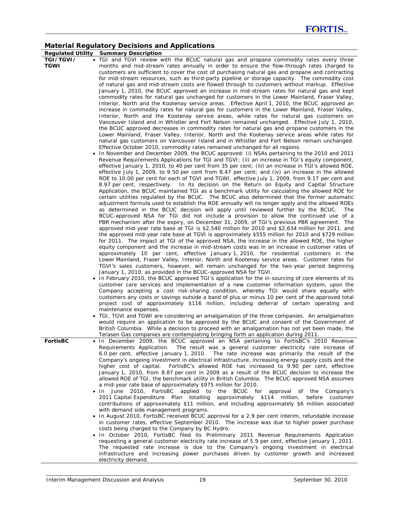## **Material Regulatory Decisions and Applications**

**Regulated Utility Summary Description TGI/TGVI/ TGWI**  TGI and TGVI review with the BCUC natural gas and propane commodity rates every three months and mid-stream rates annually in order to ensure the flow-through rates charged to customers are sufficient to cover the cost of purchasing natural gas and propane and contracting for mid-stream resources, such as third-party pipeline or storage capacity. The commodity cost of natural gas and mid-stream costs are flowed through to customers without markup. Effective January 1, 2010, the BCUC approved an increase in mid-stream rates for natural gas and kept commodity rates for natural gas unchanged for customers in the Lower Mainland, Fraser Valley, Interior, North and the Kootenay service areas. Effective April 1, 2010, the BCUC approved an increase in commodity rates for natural gas for customers in the Lower Mainland, Fraser Valley, Interior, North and the Kootenay service areas, while rates for natural gas customers on Vancouver Island and in Whistler and Fort Nelson remained unchanged. Effective July 1, 2010, the BCUC approved decreases in commodity rates for natural gas and propane customers in the Lower Mainland, Fraser Valley, Interior, North and the Kootenay service areas while rates for natural gas customers on Vancouver Island and in Whistler and Fort Nelson remain unchanged. Effective October 2010, commodity rates remained unchanged for all regions. • In November and December 2009, the BCUC approved: (i) NSAs pertaining to the 2010 and 2011 Revenue Requirements Applications for TGI and TGVI; (ii) an increase in TGI's equity component, effective January 1, 2010, to 40 per cent from 35 per cent; (iii) an increase in TGI's allowed ROE, effective July 1, 2009, to 9.50 per cent from 8.47 per cent; and (iv) an increase in the allowed ROE to 10.00 per cent for each of TGVI and TGWI, effective July 1, 2009, from 9.17 per cent and 8.97 per cent, respectively. In its decision on the Return on Equity and Capital Structure Application, the BCUC maintained TGI as a benchmark utility for calculating the allowed ROE for certain utilities regulated by the BCUC. The BCUC also determined that the former automatic adjustment formula used to establish the ROE annually will no longer apply and the allowed ROEs as determined in the BCUC decision will apply until reviewed further by the BCUC. The BCUC-approved NSA for TGI did not include a provision to allow the continued use of a PBR mechanism after the expiry, on December 31, 2009, of TGI's previous PBR agreement. The approved mid-year rate base at TGI is \$2,540 million for 2010 and \$2,634 million for 2011, and the approved mid-year rate base at TGVI is approximately \$555 million for 2010 and \$729 million for 2011. The impact at TGI of the approved NSA, the increase in the allowed ROE, the higher equity component and the increase in mid-stream costs was in an increase in customer rates of approximately 10 per cent, effective January 1, 2010, for residential customers in the Lower Mainland, Fraser Valley, Interior, North and Kootenay service areas. Customer rates for TGVI's sales customers, however, will remain unchanged for the two-year period beginning January 1, 2010, as provided in the BCUC-approved NSA for TGVI. • In February 2010, the BCUC approved TGI's application for the in-sourcing of core elements of its customer care services and implementation of a new customer information system, upon the Company accepting a cost risk-sharing condition, whereby TGI would share equally with customers any costs or savings outside a band of plus or minus 10 per cent of the approved total project cost of approximately \$116 million, including deferral of certain operating and maintenance expenses. • TGI, TGVI and TGWI are considering an amalgamation of the three companies. An amalgamation would require an application to be approved by the BCUC and consent of the Government of British Columbia. While a decision to proceed with an amalgamation has not yet been made, the Terasen Gas companies are contemplating bringing forth an application during 2011. **FortisBC** • In December 2009, the BCUC approved an NSA pertaining to FortisBC's 2010 Revenue Requirements Application. The result was a general customer electricity rate increase of 6.0 per cent, effective January 1, 2010. The rate increase was primarily the result of the Company's ongoing investment in electrical infrastructure, increasing energy supply costs and the higher cost of capital. FortisBC's allowed ROE has increased to 9.90 per cent, effective January 1, 2010, from 8.87 per cent in 2009 as a result of the BCUC decision to increase the allowed ROE of TGI, the benchmark utility in British Columbia. The BCUC-approved NSA assumes a mid-year rate base of approximately \$975 million for 2010. • In June 2010, FortisBC applied to the BCUC for approval of the Company's 2011 Capital Expenditure Plan totalling approximately \$114 million, before customer contributions of approximately \$11 million, and including approximately \$6 million associated with demand side management programs. • In August 2010, FortisBC received BCUC approval for a 2.9 per cent interim, refundable increase in customer rates, effective September 2010. The increase was due to higher power purchase costs being charged to the Company by BC Hydro. • In October 2010, FortisBC filed its Preliminary 2011 Revenue Requirements Application requesting a general customer electricity rate increase of 5.9 per cent, effective January 1, 2011. The requested rate increase is due to the Company's ongoing investment in electrical infrastructure and increasing power purchases driven by customer growth and increased

electricity demand.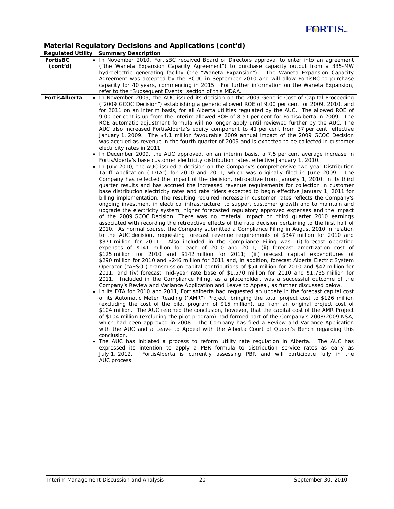# **Material Regulatory Decisions and Applications (cont'd)**

|                             | material Regulatory Decisions and Applications (contra)                                                                                                                                                                                                                                                                                                                                                                                                                                                                                                                                                                                                                                                                                                                                                                                                                                                                                                                                                                                                                                                                                                                                                                                                                                                                                                                                                                                                                                                                                                                                                                                                                                                                                                                                                                                                                                                                                                                                                                                                                                                                                                                                                                                                                                                                                                                                                                                                                                                                                                                                                                                                                                                                                                                                                                                                                                                                                                                                                                                                                                                                                                                                                                                                                                                                                                                                                                                                                                                                                                                                                                                                                                                                                                                                                                                                                                                                                                                                                                                                                               |
|-----------------------------|---------------------------------------------------------------------------------------------------------------------------------------------------------------------------------------------------------------------------------------------------------------------------------------------------------------------------------------------------------------------------------------------------------------------------------------------------------------------------------------------------------------------------------------------------------------------------------------------------------------------------------------------------------------------------------------------------------------------------------------------------------------------------------------------------------------------------------------------------------------------------------------------------------------------------------------------------------------------------------------------------------------------------------------------------------------------------------------------------------------------------------------------------------------------------------------------------------------------------------------------------------------------------------------------------------------------------------------------------------------------------------------------------------------------------------------------------------------------------------------------------------------------------------------------------------------------------------------------------------------------------------------------------------------------------------------------------------------------------------------------------------------------------------------------------------------------------------------------------------------------------------------------------------------------------------------------------------------------------------------------------------------------------------------------------------------------------------------------------------------------------------------------------------------------------------------------------------------------------------------------------------------------------------------------------------------------------------------------------------------------------------------------------------------------------------------------------------------------------------------------------------------------------------------------------------------------------------------------------------------------------------------------------------------------------------------------------------------------------------------------------------------------------------------------------------------------------------------------------------------------------------------------------------------------------------------------------------------------------------------------------------------------------------------------------------------------------------------------------------------------------------------------------------------------------------------------------------------------------------------------------------------------------------------------------------------------------------------------------------------------------------------------------------------------------------------------------------------------------------------------------------------------------------------------------------------------------------------------------------------------------------------------------------------------------------------------------------------------------------------------------------------------------------------------------------------------------------------------------------------------------------------------------------------------------------------------------------------------------------------------------------------------------------------------------------------------------------------|
|                             | <b>Regulated Utility Summary Description</b>                                                                                                                                                                                                                                                                                                                                                                                                                                                                                                                                                                                                                                                                                                                                                                                                                                                                                                                                                                                                                                                                                                                                                                                                                                                                                                                                                                                                                                                                                                                                                                                                                                                                                                                                                                                                                                                                                                                                                                                                                                                                                                                                                                                                                                                                                                                                                                                                                                                                                                                                                                                                                                                                                                                                                                                                                                                                                                                                                                                                                                                                                                                                                                                                                                                                                                                                                                                                                                                                                                                                                                                                                                                                                                                                                                                                                                                                                                                                                                                                                                          |
| <b>FortisBC</b><br>(cont'd) | • In November 2010, FortisBC received Board of Directors approval to enter into an agreement<br>("the Waneta Expansion Capacity Agreement") to purchase capacity output from a 335-MW<br>hydroelectric generating facility (the "Waneta Expansion"). The Waneta Expansion Capacity<br>Agreement was accepted by the BCUC in September 2010 and will allow FortisBC to purchase<br>capacity for 40 years, commencing in 2015. For further information on the Waneta Expansion,<br>refer to the "Subsequent Events" section of this MD&A.                                                                                                                                                                                                                                                                                                                                                                                                                                                                                                                                                                                                                                                                                                                                                                                                                                                                                                                                                                                                                                                                                                                                                                                                                                                                                                                                                                                                                                                                                                                                                                                                                                                                                                                                                                                                                                                                                                                                                                                                                                                                                                                                                                                                                                                                                                                                                                                                                                                                                                                                                                                                                                                                                                                                                                                                                                                                                                                                                                                                                                                                                                                                                                                                                                                                                                                                                                                                                                                                                                                                               |
| FortisAlberta               | • In November 2009, the AUC issued its decision on the 2009 Generic Cost of Capital Proceeding<br>("2009 GCOC Decision") establishing a generic allowed ROE of 9.00 per cent for 2009, 2010, and<br>for 2011 on an interim basis, for all Alberta utilities regulated by the AUC. The allowed ROE of<br>9.00 per cent is up from the interim allowed ROE of 8.51 per cent for FortisAlberta in 2009. The<br>ROE automatic adjustment formula will no longer apply until reviewed further by the AUC. The<br>AUC also increased FortisAlberta's equity component to 41 per cent from 37 per cent, effective<br>January 1, 2009. The \$4.1 million favourable 2009 annual impact of the 2009 GCOC Decision<br>was accrued as revenue in the fourth quarter of 2009 and is expected to be collected in customer<br>electricity rates in 2011.<br>• In December 2009, the AUC approved, on an interim basis, a 7.5 per cent average increase in<br>FortisAlberta's base customer electricity distribution rates, effective January 1, 2010.<br>• In July 2010, the AUC issued a decision on the Company's comprehensive two-year Distribution<br>Tariff Application ("DTA") for 2010 and 2011, which was originally filed in June 2009. The<br>Company has reflected the impact of the decision, retroactive from January 1, 2010, in its third<br>quarter results and has accrued the increased revenue requirements for collection in customer<br>base distribution electricity rates and rate riders expected to begin effective January 1, 2011 for<br>billing implementation. The resulting required increase in customer rates reflects the Company's<br>ongoing investment in electrical infrastructure, to support customer growth and to maintain and<br>upgrade the electricity system, higher forecasted regulatory approved expenses and the impact<br>of the 2009 GCOC Decision. There was no material impact on third quarter 2010 earnings<br>associated with recording the retroactive effects of the rate decision pertaining to the first half of<br>2010. As normal course, the Company submitted a Compliance Filing in August 2010 in relation<br>to the AUC decision, requesting forecast revenue requirements of \$347 million for 2010 and<br>\$371 million for 2011. Also included in the Compliance Filing was: (i) forecast operating<br>expenses of \$141 million for each of 2010 and 2011; (ii) forecast amortization cost of<br>\$125 million for 2010 and \$142 million for 2011; (iii) forecast capital expenditures of<br>\$290 million for 2010 and \$246 million for 2011 and, in addition, forecast Alberta Electric System<br>Operator ("AESO") transmission capital contributions of \$54 million for 2010 and \$42 million for<br>2011; and (iv) forecast mid-year rate base of \$1,570 million for 2010 and \$1,735 million for<br>2011. Included in the Compliance Filing, as a placeholder, was a successful outcome of the<br>Company's Review and Variance Application and Leave to Appeal, as further discussed below.<br>In its DTA for 2010 and 2011, FortisAlberta had requested an update in the forecast capital cost<br>of its Automatic Meter Reading ("AMR") Project, bringing the total project cost to \$126 million<br>(excluding the cost of the pilot program of \$15 million), up from an original project cost of<br>\$104 million. The AUC reached the conclusion, however, that the capital cost of the AMR Project<br>of \$104 million (excluding the pilot program) had formed part of the Company's 2008/2009 NSA,<br>which had been approved in 2008. The Company has filed a Review and Variance Application<br>with the AUC and a Leave to Appeal with the Alberta Court of Queen's Bench regarding this<br>conclusion.<br>The AUC has initiated a process to reform utility rate regulation in Alberta. The AUC has<br>٠<br>expressed its intention to apply a PBR formula to distribution service rates as early as<br>FortisAlberta is currently assessing PBR and will participate fully in the<br>July 1, 2012. |
|                             | AUC process.                                                                                                                                                                                                                                                                                                                                                                                                                                                                                                                                                                                                                                                                                                                                                                                                                                                                                                                                                                                                                                                                                                                                                                                                                                                                                                                                                                                                                                                                                                                                                                                                                                                                                                                                                                                                                                                                                                                                                                                                                                                                                                                                                                                                                                                                                                                                                                                                                                                                                                                                                                                                                                                                                                                                                                                                                                                                                                                                                                                                                                                                                                                                                                                                                                                                                                                                                                                                                                                                                                                                                                                                                                                                                                                                                                                                                                                                                                                                                                                                                                                                          |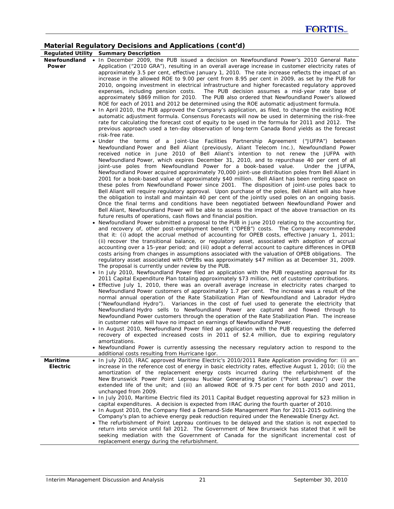# **Material Regulatory Decisions and Applications (cont'd)**

|                             | <b>Regulated Utility Summary Description</b>                                                                                                                                                                  |
|-----------------------------|---------------------------------------------------------------------------------------------------------------------------------------------------------------------------------------------------------------|
|                             | Newfoundland • In December 2009, the PUB issued a decision on Newfoundland Power's 2010 General Rate                                                                                                          |
| <b>Power</b>                | Application ("2010 GRA"), resulting in an overall average increase in customer electricity rates of                                                                                                           |
|                             | approximately 3.5 per cent, effective January 1, 2010. The rate increase reflects the impact of an<br>increase in the allowed ROE to 9.00 per cent from 8.95 per cent in 2009, as set by the PUB for          |
|                             | 2010, ongoing investment in electrical infrastructure and higher forecasted regulatory approved                                                                                                               |
|                             | expenses, including pension costs. The PUB decision assumes a mid-year rate base of                                                                                                                           |
|                             | approximately \$869 million for 2010. The PUB also ordered that Newfoundland Power's allowed                                                                                                                  |
|                             | ROE for each of 2011 and 2012 be determined using the ROE automatic adjustment formula.                                                                                                                       |
|                             | • In April 2010, the PUB approved the Company's application, as filed, to change the existing ROE                                                                                                             |
|                             | automatic adjustment formula. <i>Consensus Forecasts</i> will now be used in determining the risk-free                                                                                                        |
|                             | rate for calculating the forecast cost of equity to be used in the formula for 2011 and 2012. The                                                                                                             |
|                             | previous approach used a ten-day observation of long-term Canada Bond yields as the forecast                                                                                                                  |
|                             | risk-free rate.                                                                                                                                                                                               |
|                             | • Under the terms of a Joint-Use Facilities Partnership Agreement ("JUFPA") between                                                                                                                           |
|                             | Newfoundland Power and Bell Aliant (previously, Aliant Telecom Inc.), Newfoundland Power<br>received notice in June 2010 of Bell Aliant's intention to not renew the JUFPA with                               |
|                             | Newfoundland Power, which expires December 31, 2010, and to repurchase 40 per cent of all                                                                                                                     |
|                             | joint-use poles from Newfoundland Power for a book-based value.<br>Under the JUFPA,                                                                                                                           |
|                             | Newfoundland Power acquired approximately 70,000 joint-use distribution poles from Bell Aliant in                                                                                                             |
|                             | 2001 for a book-based value of approximately \$40 million. Bell Aliant has been renting space on                                                                                                              |
|                             | these poles from Newfoundland Power since 2001. The disposition of joint-use poles back to                                                                                                                    |
|                             | Bell Aliant will require regulatory approval. Upon purchase of the poles, Bell Aliant will also have                                                                                                          |
|                             | the obligation to install and maintain 40 per cent of the jointly used poles on an ongoing basis.                                                                                                             |
|                             | Once the final terms and conditions have been negotiated between Newfoundland Power and                                                                                                                       |
|                             | Bell Aliant, Newfoundland Power will be able to assess the impact of the above transaction on its                                                                                                             |
|                             | future results of operations, cash flows and financial position.                                                                                                                                              |
|                             | . Newfoundland Power submitted a proposal to the PUB in June 2010 relating to the accounting for,<br>and recovery of, other post-employment benefit ("OPEB") costs. The Company recommended                   |
|                             | that it: (i) adopt the accrual method of accounting for OPEB costs, effective January 1, 2011;                                                                                                                |
|                             | (ii) recover the transitional balance, or regulatory asset, associated with adoption of accrual                                                                                                               |
|                             | accounting over a 15-year period; and (iii) adopt a deferral account to capture differences in OPEB                                                                                                           |
|                             | costs arising from changes in assumptions associated with the valuation of OPEB obligations. The                                                                                                              |
|                             | regulatory asset associated with OPEBs was approximately \$47 million as at December 31, 2009.                                                                                                                |
|                             | The proposal is currently under review by the PUB.                                                                                                                                                            |
|                             | . In July 2010, Newfoundland Power filed an application with the PUB requesting approval for its                                                                                                              |
|                             | 2011 Capital Expenditure Plan totaling approximately \$73 million, net of customer contributions.                                                                                                             |
|                             | • Effective July 1, 2010, there was an overall average increase in electricity rates charged to                                                                                                               |
|                             | Newfoundland Power customers of approximately 1.7 per cent. The increase was a result of the                                                                                                                  |
|                             | normal annual operation of the Rate Stabilization Plan of Newfoundland and Labrador Hydro<br>("Newfoundland Hydro"). Variances in the cost of fuel used to generate the electricity that                      |
|                             | Newfoundland Hydro sells to Newfoundland Power are captured and flowed through to                                                                                                                             |
|                             | Newfoundland Power customers through the operation of the Rate Stabilization Plan. The increase                                                                                                               |
|                             | in customer rates will have no impact on earnings of Newfoundland Power.                                                                                                                                      |
|                             | . In August 2010, Newfoundland Power filed an application with the PUB requesting the deferred                                                                                                                |
|                             | recovery of expected increased costs in 2011 of \$2.4 million, due to expiring regulatory                                                                                                                     |
|                             | amortizations.                                                                                                                                                                                                |
|                             | • Newfoundland Power is currently assessing the necessary regulatory action to respond to the                                                                                                                 |
|                             | additional costs resulting from Hurricane Igor.                                                                                                                                                               |
| <b>Maritime</b><br>Electric | • In July 2010, IRAC approved Maritime Electric's 2010/2011 Rate Application providing for: (i) an<br>increase in the reference cost of energy in basic electricity rates, effective August 1, 2010; (ii) the |
|                             | amortization of the replacement energy costs incurred during the refurbishment of the                                                                                                                         |
|                             | New Brunswick Power Point Lepreau Nuclear Generating Station ("Point Lepreau") over the                                                                                                                       |
|                             | extended life of the unit; and (iii) an allowed ROE of 9.75 per cent for both 2010 and 2011,                                                                                                                  |
|                             | unchanged from 2009.                                                                                                                                                                                          |
|                             | • In July 2010, Maritime Electric filed its 2011 Capital Budget requesting approval for \$23 million in                                                                                                       |
|                             | capital expenditures. A decision is expected from IRAC during the fourth quarter of 2010.                                                                                                                     |
|                             | • In August 2010, the Company filed a Demand-Side Management Plan for 2011-2015 outlining the                                                                                                                 |
|                             | Company's plan to achieve energy peak reduction required under the Renewable Energy Act.                                                                                                                      |
|                             | • The refurbishment of Point Lepreau continues to be delayed and the station is not expected to                                                                                                               |
|                             | return into service until fall 2012. The Government of New Brunswick has stated that it will be                                                                                                               |
|                             | seeking mediation with the Government of Canada for the significant incremental cost of<br>replacement energy during the refurbishment.                                                                       |
|                             |                                                                                                                                                                                                               |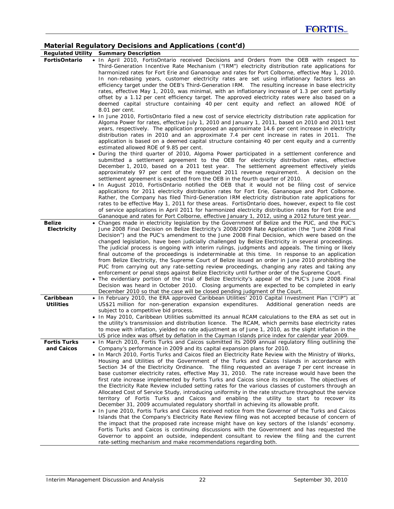# **Material Regulatory Decisions and Applications (cont'd)**

|                                     | Regulated Utility Summary Description                                                                                                                                                                                                                                                                                                                                                                                                                                                                                                                                                                                                                                                                                                                                                                                                                                                                                                                                                                                                                                                                                                                                                                                                                                                                                                                                                                                                                                                                                                                                                                                                                                             |
|-------------------------------------|-----------------------------------------------------------------------------------------------------------------------------------------------------------------------------------------------------------------------------------------------------------------------------------------------------------------------------------------------------------------------------------------------------------------------------------------------------------------------------------------------------------------------------------------------------------------------------------------------------------------------------------------------------------------------------------------------------------------------------------------------------------------------------------------------------------------------------------------------------------------------------------------------------------------------------------------------------------------------------------------------------------------------------------------------------------------------------------------------------------------------------------------------------------------------------------------------------------------------------------------------------------------------------------------------------------------------------------------------------------------------------------------------------------------------------------------------------------------------------------------------------------------------------------------------------------------------------------------------------------------------------------------------------------------------------------|
| <b>FortisOntario</b>                | . In April 2010, FortisOntario received Decisions and Orders from the OEB with respect to<br>Third-Generation Incentive Rate Mechanism ("IRM") electricity distribution rate applications for<br>harmonized rates for Fort Erie and Gananoque and rates for Port Colborne, effective May 1, 2010.<br>In non-rebasing years, customer electricity rates are set using inflationary factors less an<br>efficiency target under the OEB's Third-Generation IRM.  The resulting increase in base electricity<br>rates, effective May 1, 2010, was minimal, with an inflationary increase of 1.3 per cent partially<br>offset by a 1.12 per cent efficiency target. The approved electricity rates were also based on a<br>deemed capital structure containing 40 per cent equity and reflect an allowed ROE of<br>8.01 per cent.<br>• In June 2010, FortisOntario filed a new cost of service electricity distribution rate application for<br>Algoma Power for rates, effective July 1, 2010 and January 1, 2011, based on 2010 and 2011 test<br>years, respectively. The application proposed an approximate 14.6 per cent increase in electricity<br>distribution rates in 2010 and an approximate 7.4 per cent increase in rates in 2011. The                                                                                                                                                                                                                                                                                                                                                                                                                                     |
|                                     | application is based on a deemed capital structure containing 40 per cent equity and a currently<br>estimated allowed ROE of 9.85 per cent.<br>• During the third quarter of 2010, Algoma Power participated in a settlement conference and<br>submitted a settlement agreement to the OEB for electricity distribution rates, effective<br>December 1, 2010, based on a 2011 test year. The settlement agreement effectively yields<br>approximately 97 per cent of the requested 2011 revenue requirement. A decision on the<br>settlement agreement is expected from the OEB in the fourth quarter of 2010.<br>• In August 2010, FortisOntario notified the OEB that it would not be filing cost of service<br>applications for 2011 electricity distribution rates for Fort Erie, Gananoque and Port Colborne.<br>Rather, the Company has filed Third-Generation IRM electricity distribution rate applications for<br>rates to be effective May 1, 2011 for these areas. FortisOntario does, however, expect to file cost                                                                                                                                                                                                                                                                                                                                                                                                                                                                                                                                                                                                                                                    |
| <b>Belize</b><br><b>Electricity</b> | of service applications in April 2011 for harmonized electricity distribution rates for Fort Erie and<br>Gananoque and rates for Port Colborne, effective January 1, 2012, using a 2012 future test year.<br>• Changes made in electricity legislation by the Government of Belize and the PUC, and the PUC's<br>June 2008 Final Decision on Belize Electricity's 2008/2009 Rate Application (the "June 2008 Final<br>Decision") and the PUC's amendment to the June 2008 Final Decision, which were based on the<br>changed legislation, have been judicially challenged by Belize Electricity in several proceedings.<br>The judicial process is ongoing with interim rulings, judgments and appeals. The timing or likely<br>final outcome of the proceedings is indeterminable at this time. In response to an application<br>from Belize Electricity, the Supreme Court of Belize issued an order in June 2010 prohibiting the<br>PUC from carrying out any rate-setting review proceedings, changing any rates and taking any<br>enforcement or penal steps against Belize Electricity until further order of the Supreme Court.<br>• The evidentiary portion of the trial of Belize Electricity's appeal of the PUC's June 2008 Final<br>Decision was heard in October 2010. Closing arguments are expected to be completed in early<br>December 2010 so that the case will be closed pending judgment of the Court.                                                                                                                                                                                                                                                       |
| Caribbean<br><b>Utilities</b>       | • In February 2010, the ERA approved Caribbean Utilities' 2010 Capital Investment Plan ("CIP") at<br>US\$21 million for non-generation expansion expenditures. Additional generation needs are<br>subject to a competitive bid process.<br>• In May 2010, Caribbean Utilities submitted its annual RCAM calculations to the ERA as set out in<br>the utility's transmission and distribution licence. The RCAM, which permits base electricity rates<br>to move with inflation, yielded no rate adjustment as of June 1, 2010, as the slight inflation in the<br>US price index was offset by deflation in the Cayman Islands price index for calendar year 2009.                                                                                                                                                                                                                                                                                                                                                                                                                                                                                                                                                                                                                                                                                                                                                                                                                                                                                                                                                                                                                 |
| <b>Fortis Turks</b><br>and Caicos   | • In March 2010, Fortis Turks and Caicos submitted its 2009 annual regulatory filing outlining the<br>Company's performance in 2009 and its capital expansion plans for 2010.<br>• In March 2010, Fortis Turks and Caicos filed an Electricity Rate Review with the Ministry of Works,<br>Housing and Utilities of the Government of the Turks and Caicos Islands in accordance with<br>Section 34 of the <i>Electricity Ordinance</i> . The filing requested an average 7 per cent increase in<br>base customer electricity rates, effective May 31, 2010. The rate increase would have been the<br>first rate increase implemented by Fortis Turks and Caicos since its inception. The objectives of<br>the Electricity Rate Review included setting rates for the various classes of customers through an<br>Allocated Cost of Service Study, introducing uniformity in the rate structure throughout the service<br>territory of Fortis Turks and Caicos and enabling the utility to start to recover its<br>December 31, 2009 accumulated regulatory shortfall in achieving its allowable profit.<br>• In June 2010, Fortis Turks and Caicos received notice from the Governor of the Turks and Caicos<br>Islands that the Company's Electricity Rate Review filing was not accepted because of concern of<br>the impact that the proposed rate increase might have on key sectors of the Islands' economy.<br>Fortis Turks and Caicos is continuing discussions with the Government and has requested the<br>Governor to appoint an outside, independent consultant to review the filing and the current<br>rate-setting mechanism and make recommendations regarding both. |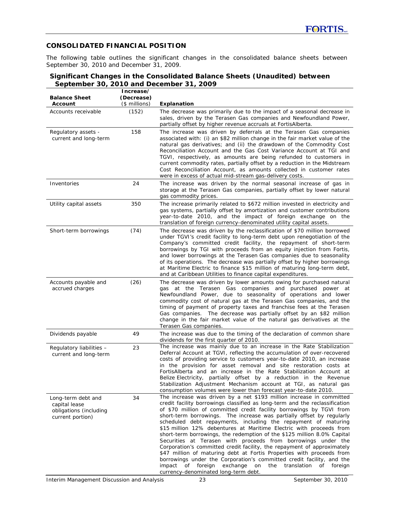## **CONSOLIDATED FINANCIAL POSITION**

The following table outlines the significant changes in the consolidated balance sheets between September 30, 2010 and December 31, 2009.

## **Significant Changes in the Consolidated Balance Sheets (Unaudited) between September 30, 2010 and December 31, 2009**

| <b>Balance Sheet</b><br>Account                                                   | Increase/<br>(Decrease)<br>(\$ millions) | Explanation                                                                                                                                                                                                                                                                                                                                                                                                                                                                                                                                                                                                                                                                                                                                                                                                                                                                                                                |
|-----------------------------------------------------------------------------------|------------------------------------------|----------------------------------------------------------------------------------------------------------------------------------------------------------------------------------------------------------------------------------------------------------------------------------------------------------------------------------------------------------------------------------------------------------------------------------------------------------------------------------------------------------------------------------------------------------------------------------------------------------------------------------------------------------------------------------------------------------------------------------------------------------------------------------------------------------------------------------------------------------------------------------------------------------------------------|
| Accounts receivable                                                               | (152)                                    | The decrease was primarily due to the impact of a seasonal decrease in<br>sales, driven by the Terasen Gas companies and Newfoundland Power,<br>partially offset by higher revenue accruals at FortisAlberta.                                                                                                                                                                                                                                                                                                                                                                                                                                                                                                                                                                                                                                                                                                              |
| Regulatory assets -<br>current and long-term                                      | 158                                      | The increase was driven by deferrals at the Terasen Gas companies<br>associated with: (i) an \$82 million change in the fair market value of the<br>natural gas derivatives; and (ii) the drawdown of the Commodity Cost<br>Reconciliation Account and the Gas Cost Variance Account at TGI and<br>TGVI, respectively, as amounts are being refunded to customers in<br>current commodity rates, partially offset by a reduction in the Midstream<br>Cost Reconciliation Account, as amounts collected in customer rates<br>were in excess of actual mid-stream gas-delivery costs.                                                                                                                                                                                                                                                                                                                                        |
| Inventories                                                                       | 24                                       | The increase was driven by the normal seasonal increase of gas in<br>storage at the Terasen Gas companies, partially offset by lower natural<br>gas commodity prices.                                                                                                                                                                                                                                                                                                                                                                                                                                                                                                                                                                                                                                                                                                                                                      |
| Utility capital assets                                                            | 350                                      | The increase primarily related to \$672 million invested in electricity and<br>gas systems, partially offset by amortization and customer contributions<br>year-to-date 2010, and the impact of foreign exchange on the<br>translation of foreign currency-denominated utility capital assets.                                                                                                                                                                                                                                                                                                                                                                                                                                                                                                                                                                                                                             |
| Short-term borrowings                                                             | (74)                                     | The decrease was driven by the reclassification of \$70 million borrowed<br>under TGVI's credit facility to long-term debt upon renegotiation of the<br>Company's committed credit facility, the repayment of short-term<br>borrowings by TGI with proceeds from an equity injection from Fortis,<br>and lower borrowings at the Terasen Gas companies due to seasonality<br>of its operations. The decrease was partially offset by higher borrowings<br>at Maritime Electric to finance \$15 million of maturing long-term debt,<br>and at Caribbean Utilities to finance capital expenditures.                                                                                                                                                                                                                                                                                                                          |
| Accounts payable and<br>accrued charges                                           | (26)                                     | The decrease was driven by lower amounts owing for purchased natural<br>gas at the Terasen Gas companies and purchased power at<br>Newfoundland Power, due to seasonality of operations and lower<br>commodity cost of natural gas at the Terasen Gas companies, and the<br>timing of payment of property taxes and franchise fees at the Terasen<br>Gas companies. The decrease was partially offset by an \$82 million<br>change in the fair market value of the natural gas derivatives at the<br>Terasen Gas companies.                                                                                                                                                                                                                                                                                                                                                                                                |
| Dividends payable                                                                 | 49                                       | The increase was due to the timing of the declaration of common share<br>dividends for the first quarter of 2010.                                                                                                                                                                                                                                                                                                                                                                                                                                                                                                                                                                                                                                                                                                                                                                                                          |
| Regulatory liabilities -<br>current and long-term                                 | 23                                       | The increase was mainly due to an increase in the Rate Stabilization<br>Deferral Account at TGVI, reflecting the accumulation of over-recovered<br>costs of providing service to customers year-to-date 2010, an increase<br>in the provision for asset removal and site restoration costs at<br>FortisAlberta and an increase in the Rate Stabilization Account at<br>Belize Electricity, partially offset by a reduction in the Revenue<br>Stabilization Adjustment Mechanism account at TGI, as natural gas<br>consumption volumes were lower than forecast year-to-date 2010.                                                                                                                                                                                                                                                                                                                                          |
| Long-term debt and<br>capital lease<br>obligations (including<br>current portion) | 34                                       | The increase was driven by a net \$193 million increase in committed<br>credit facility borrowings classified as long-term and the reclassification<br>of \$70 million of committed credit facility borrowings by TGVI from<br>short-term borrowings. The increase was partially offset by regularly<br>scheduled debt repayments, including the repayment of maturing<br>\$15 million 12% debentures at Maritime Electric with proceeds from<br>short-term borrowings, the redemption of the \$125 million 8.0% Capital<br>Securities at Terasen with proceeds from borrowings under the<br>Corporation's committed credit facility, the repayment of approximately<br>\$47 million of maturing debt at Fortis Properties with proceeds from<br>borrowings under the Corporation's committed credit facility, and the<br>impact of foreign exchange on the translation of foreign<br>currency-denominated long-term debt. |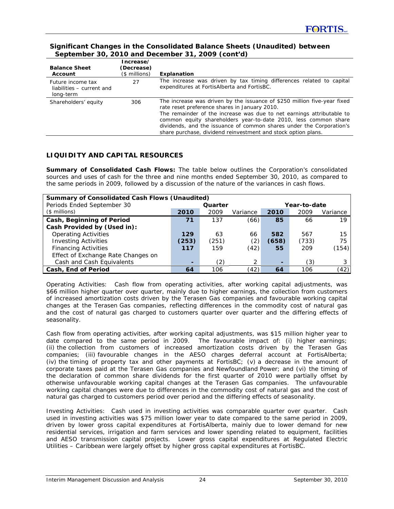| September 30, 2010 and December 31, 2009 (contra)           |               |                                                                                                                                                                                                                                                                                                                                                                                                                |  |  |  |  |
|-------------------------------------------------------------|---------------|----------------------------------------------------------------------------------------------------------------------------------------------------------------------------------------------------------------------------------------------------------------------------------------------------------------------------------------------------------------------------------------------------------------|--|--|--|--|
|                                                             | Increase/     |                                                                                                                                                                                                                                                                                                                                                                                                                |  |  |  |  |
| <b>Balance Sheet</b>                                        | (Decrease)    |                                                                                                                                                                                                                                                                                                                                                                                                                |  |  |  |  |
| Account                                                     | (\$ millions) | Explanation                                                                                                                                                                                                                                                                                                                                                                                                    |  |  |  |  |
| Future income tax<br>liabilities – current and<br>long-term | 27            | The increase was driven by tax timing differences related to capital<br>expenditures at FortisAlberta and FortisBC.                                                                                                                                                                                                                                                                                            |  |  |  |  |
| Shareholders' equity                                        | 306           | The increase was driven by the issuance of \$250 million five-year fixed<br>rate reset preference shares in January 2010.<br>The remainder of the increase was due to net earnings attributable to<br>common equity shareholders year-to-date 2010, less common share<br>dividends, and the issuance of common shares under the Corporation's<br>share purchase, dividend reinvestment and stock option plans. |  |  |  |  |

# **Significant Changes in the Consolidated Balance Sheets (Unaudited) between September 30, 2010 and December 31, 2009 (cont'd)**

# **LIQUIDITY AND CAPITAL RESOURCES**

*Summary of Consolidated Cash Flows:* The table below outlines the Corporation's consolidated sources and uses of cash for the three and nine months ended September 30, 2010, as compared to the same periods in 2009, followed by a discussion of the nature of the variances in cash flows.

| <b>Summary of Consolidated Cash Flows (Unaudited)</b> |       |         |               |              |       |          |  |  |
|-------------------------------------------------------|-------|---------|---------------|--------------|-------|----------|--|--|
| Periods Ended September 30                            |       | Quarter |               | Year-to-date |       |          |  |  |
| $($$ millions)                                        | 2010  | 2009    | Variance      | 2010         | 2009  | Variance |  |  |
| Cash, Beginning of Period                             | 71    | 137     | (66)          | 85           | 66    | 19       |  |  |
| Cash Provided by (Used in):                           |       |         |               |              |       |          |  |  |
| <b>Operating Activities</b>                           | 129   | 63      | 66            | 582          | 567   | 15       |  |  |
| <b>Investing Activities</b>                           | (253) | (251)   | (2)           | (658)        | (733) | 75       |  |  |
| <b>Financing Activities</b>                           | 117   | 159     | (42)          | 55           | 209   | (154)    |  |  |
| Effect of Exchange Rate Changes on                    |       |         |               |              |       |          |  |  |
| Cash and Cash Equivalents                             | ۰     | (2)     | $\mathcal{P}$ | -            | (3)   | 3        |  |  |
| Cash, End of Period                                   | 64    | 106     | (42)          | 64           | 106   | (42)     |  |  |

*Operating Activities:* Cash flow from operating activities, after working capital adjustments, was \$66 million higher quarter over quarter, mainly due to higher earnings, the collection from customers of increased amortization costs driven by the Terasen Gas companies and favourable working capital changes at the Terasen Gas companies, reflecting differences in the commodity cost of natural gas and the cost of natural gas charged to customers quarter over quarter and the differing effects of seasonality.

Cash flow from operating activities, after working capital adjustments, was \$15 million higher year to date compared to the same period in 2009. The favourable impact of: (i) higher earnings; (ii) the collection from customers of increased amortization costs driven by the Terasen Gas companies; (iii) favourable changes in the AESO charges deferral account at FortisAlberta; (iv) the timing of property tax and other payments at FortisBC; (v) a decrease in the amount of corporate taxes paid at the Terasen Gas companies and Newfoundland Power; and (vi) the timing of the declaration of common share dividends for the first quarter of 2010 were partially offset by otherwise unfavourable working capital changes at the Terasen Gas companies. The unfavourable working capital changes were due to differences in the commodity cost of natural gas and the cost of natural gas charged to customers period over period and the differing effects of seasonality.

*Investing Activities:* Cash used in investing activities was comparable quarter over quarter. Cash used in investing activities was \$75 million lower year to date compared to the same period in 2009, driven by lower gross capital expenditures at FortisAlberta, mainly due to lower demand for new residential services, irrigation and farm services and lower spending related to equipment, facilities and AESO transmission capital projects. Lower gross capital expenditures at Regulated Electric Utilities – Caribbean were largely offset by higher gross capital expenditures at FortisBC.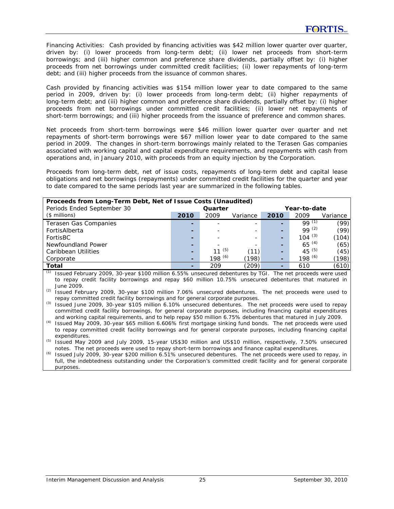*Financing Activities:* Cash provided by financing activities was \$42 million lower quarter over quarter, driven by: (i) lower proceeds from long-term debt; (ii) lower net proceeds from short-term borrowings; and (iii) higher common and preference share dividends, partially offset by: (i) higher proceeds from net borrowings under committed credit facilities; (ii) lower repayments of long-term debt; and (iii) higher proceeds from the issuance of common shares.

Cash provided by financing activities was \$154 million lower year to date compared to the same period in 2009, driven by: (i) lower proceeds from long-term debt; (ii) higher repayments of long-term debt; and (iii) higher common and preference share dividends, partially offset by: (i) higher proceeds from net borrowings under committed credit facilities; (ii) lower net repayments of short-term borrowings; and (iii) higher proceeds from the issuance of preference and common shares.

Net proceeds from short-term borrowings were \$46 million lower quarter over quarter and net repayments of short-term borrowings were \$67 million lower year to date compared to the same period in 2009. The changes in short-term borrowings mainly related to the Terasen Gas companies associated with working capital and capital expenditure requirements, and repayments with cash from operations and, in January 2010, with proceeds from an equity injection by the Corporation.

Proceeds from long-term debt, net of issue costs, repayments of long-term debt and capital lease obligations and net borrowings (repayments) under committed credit facilities for the quarter and year to date compared to the same periods last year are summarized in the following tables.

| Proceeds from Long-Term Debt, Net of Issue Costs (Unaudited) |         |                          |          |              |             |          |  |  |
|--------------------------------------------------------------|---------|--------------------------|----------|--------------|-------------|----------|--|--|
| Periods Ended September 30                                   | Quarter |                          |          | Year-to-date |             |          |  |  |
| $($$ millions)                                               | 2010    | 2009                     | Variance | 2010         | 2009        | Variance |  |  |
| Terasen Gas Companies                                        | -       |                          |          |              | $99^{(1)}$  | (99)     |  |  |
| FortisAlberta                                                | -       |                          |          | -            | $99^{(2)}$  | (99)     |  |  |
| FortisBC                                                     | -       | $\overline{\phantom{0}}$ |          | -            | $104^{(3)}$ | (104)    |  |  |
| Newfoundland Power                                           | -       |                          |          | -            | $65^{(4)}$  | (65)     |  |  |
| Caribbean Utilities                                          | -       | 11 $(5)$                 | (11)     | -            | $45^{(5)}$  | (45)     |  |  |
| Corporate                                                    | ۰       | 198 $(6)$                | (198)    | -            | 198 $(6)$   | (198)    |  |  |
| <b>Total</b>                                                 | -       | 209                      | (209)    | -            | 610         | (610)    |  |  |

*(1)* Issued February 2009, 30-year \$100 million 6.55% unsecured debentures by TGI. The net proceeds were used to repay credit facility borrowings and repay \$60 million 10.75% unsecured debentures that matured in June 2009.

*(2)* Issued February 2009, 30-year \$100 million 7.06% unsecured debentures. The net proceeds were used to repay committed credit facility borrowings and for general corporate purposes.

*(3)* Issued June 2009, 30-year \$105 million 6.10% unsecured debentures. The net proceeds were used to repay committed credit facility borrowings, for general corporate purposes, including financing capital expenditures and working capital requirements, and to help repay \$50 million 6.75% debentures that matured in July 2009.

*(4)* Issued May 2009, 30-year \$65 million 6.606% first mortgage sinking fund bonds. The net proceeds were used to repay committed credit facility borrowings and for general corporate purposes, including financing capital expenditures.

*(5)* Issued May 2009 and July 2009, 15-year US\$30 million and US\$10 million, respectively, 7.50% unsecured notes. The net proceeds were used to repay short-term borrowings and finance capital expenditures.

*(6)* Issued July 2009, 30-year \$200 million 6.51% unsecured debentures. The net proceeds were used to repay, in full, the indebtedness outstanding under the Corporation's committed credit facility and for general corporate purposes.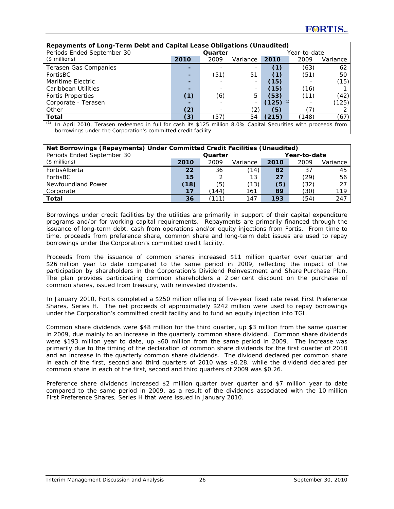| Repayments of Long-Term Debt and Capital Lease Obligations (Unaudited)                                               |      |         |          |       |              |          |  |
|----------------------------------------------------------------------------------------------------------------------|------|---------|----------|-------|--------------|----------|--|
| Periods Ended September 30                                                                                           |      | Quarter |          |       | Year-to-date |          |  |
| $($$ millions)                                                                                                       | 2010 | 2009    | Variance | 2010  | 2009         | Variance |  |
| Terasen Gas Companies                                                                                                |      |         |          | (1)   | (63)         | 62       |  |
| FortisBC                                                                                                             |      | (51)    | 51       | (1)   | (51)         | 50       |  |
| Maritime Electric                                                                                                    |      |         |          | (15)  |              | (15)     |  |
| Caribbean Utilities                                                                                                  |      |         |          | (15)  | (16)         |          |  |
| <b>Fortis Properties</b>                                                                                             | (1)  | (6)     | 5        | (53)  | (11)         | (42)     |  |
| Corporate - Terasen                                                                                                  |      |         |          | (125) |              | (125)    |  |
| Other                                                                                                                | (2)  |         | (2)      | (5)   |              |          |  |
| Total                                                                                                                | (3)  | (57)    | 54       | (215) | (148)        | (67)     |  |
| (1)<br>In April 2010, Terasen redeemed in full for cash its \$125 million 8.0% Capital Securities with proceeds from |      |         |          |       |              |          |  |

borrowings under the Corporation's committed credit facility.

| Net Borrowings (Repayments) Under Committed Credit Facilities (Unaudited) |      |         |          |      |              |          |  |  |  |
|---------------------------------------------------------------------------|------|---------|----------|------|--------------|----------|--|--|--|
| Periods Ended September 30                                                |      | Quarter |          |      | Year-to-date |          |  |  |  |
| $($$ millions)                                                            | 2010 | 2009    | Variance | 2010 | 2009         | Variance |  |  |  |
| FortisAlberta                                                             | 22   | 36      | (14)     | 82   | 37           | 45       |  |  |  |
| FortisBC                                                                  | 15   |         | 13       | 27   | (29)         | 56       |  |  |  |
| Newfoundland Power                                                        | (18) | (5)     | (13)     | (5)  | (32)         | 27       |  |  |  |
| Corporate                                                                 | 17   | (144)   | 161      | 89   | (30)         | 119      |  |  |  |
| Total                                                                     | 36   |         | 147      | 193  | (54          | 247      |  |  |  |

Borrowings under credit facilities by the utilities are primarily in support of their capital expenditure programs and/or for working capital requirements. Repayments are primarily financed through the issuance of long-term debt, cash from operations and/or equity injections from Fortis. From time to time, proceeds from preference share, common share and long-term debt issues are used to repay borrowings under the Corporation's committed credit facility.

Proceeds from the issuance of common shares increased \$11 million quarter over quarter and \$26 million year to date compared to the same period in 2009, reflecting the impact of the participation by shareholders in the Corporation's Dividend Reinvestment and Share Purchase Plan. The plan provides participating common shareholders a 2 per cent discount on the purchase of common shares, issued from treasury, with reinvested dividends.

In January 2010, Fortis completed a \$250 million offering of five-year fixed rate reset First Preference Shares, Series H. The net proceeds of approximately \$242 million were used to repay borrowings under the Corporation's committed credit facility and to fund an equity injection into TGI.

Common share dividends were \$48 million for the third quarter, up \$3 million from the same quarter in 2009, due mainly to an increase in the quarterly common share dividend. Common share dividends were \$193 million year to date, up \$60 million from the same period in 2009. The increase was primarily due to the timing of the declaration of common share dividends for the first quarter of 2010 and an increase in the quarterly common share dividends. The dividend declared per common share in each of the first, second and third quarters of 2010 was \$0.28, while the dividend declared per common share in each of the first, second and third quarters of 2009 was \$0.26.

Preference share dividends increased \$2 million quarter over quarter and \$7 million year to date compared to the same period in 2009, as a result of the dividends associated with the 10 million First Preference Shares, Series H that were issued in January 2010.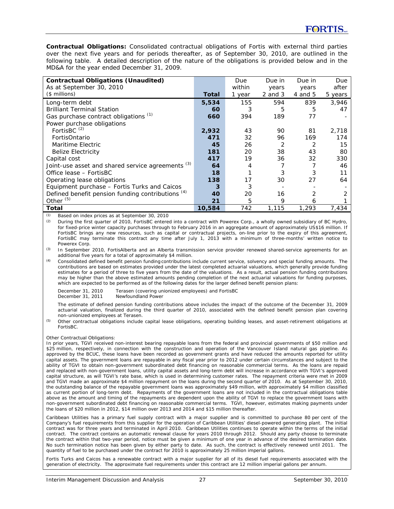*Contractual Obligations:* Consolidated contractual obligations of Fortis with external third parties over the next five years and for periods thereafter, as of September 30, 2010, are outlined in the following table. A detailed description of the nature of the obligations is provided below and in the MD&A for the year ended December 31, 2009.

| <b>Contractual Obligations (Unaudited)</b>          |        | Due    | Due in      | Due in  | Due     |
|-----------------------------------------------------|--------|--------|-------------|---------|---------|
| As at September 30, 2010                            |        | within | years       | years   | after   |
| $($$ millions)                                      | Total  | 1 year | $2$ and $3$ | 4 and 5 | 5 years |
| Long-term debt                                      | 5,534  | 155    | 594         | 839     | 3,946   |
| <b>Brilliant Terminal Station</b>                   | 60     | 3      | 5           | 5       | 47      |
| Gas purchase contract obligations (1)               | 660    | 394    | 189         | 77      |         |
| Power purchase obligations                          |        |        |             |         |         |
| FortisBC <sup>(2)</sup>                             | 2,932  | 43     | 90          | 81      | 2.718   |
| FortisOntario                                       | 471    | 32     | 96          | 169     | 174     |
| Maritime Electric                                   | 45     | 26     | 2           | 2       | 15      |
| <b>Belize Electricity</b>                           | 181    | 20     | 38          | 43      | 80      |
| Capital cost                                        | 417    | 19     | 36          | 32      | 330     |
| Joint-use asset and shared service agreements (3)   | 64     | 4      |             |         | 46      |
| Office lease - FortisBC                             | 18     |        | 3           |         |         |
| Operating lease obligations                         | 138    | 17     | 30          | 27      | 64      |
| Equipment purchase - Fortis Turks and Caicos        | 3      | 3      |             |         |         |
| Defined benefit pension funding contributions $(4)$ | 40     | 20     | 16          | 2       |         |
| Other $(5)$                                         | 21     | 5      | 9           | 6       |         |
| Total                                               | 10,584 | 742    | 1,115       | 1,293   | 7,434   |

Based on index prices as at September 30, 2010

*(2)* During the first quarter of 2010, FortisBC entered into a contract with Powerex Corp., a wholly owned subsidiary of BC Hydro, for fixed-price winter capacity purchases through to February 2016 in an aggregate amount of approximately US\$16 million. If FortisBC brings any new resources, such as capital or contractual projects, on-line prior to the expiry of this agreement, FortisBC may terminate this contract any time after July 1, 2013 with a minimum of three-months' written notice to Powerex Corp.

*(3)* In September 2010, FortisAlberta and an Alberta transmission service provider renewed shared-service agreements for an additional five years for a total of approximately \$4 million.

*(4)* Consolidated defined benefit pension funding contributions include current service, solvency and special funding amounts. The contributions are based on estimates provided under the latest completed actuarial valuations, which generally provide funding estimates for a period of three to five years from the date of the valuations. As a result, actual pension funding contributions may be higher than the above estimated amounts pending completion of the next actuarial valuations for funding purposes, which are expected to be performed as of the following dates for the larger defined benefit pension plans:

December 31, 2010 Terasen (covering unionized employees) and FortisBC<br>December 31, 2011 Newfoundland Power

Newfoundland Power The estimate of defined pension funding contributions above includes the impact of the outcome of the December 31, 2009 actuarial valuation, finalized during the third quarter of 2010, associated with the defined benefit pension plan covering

non-unionized employees at Terasen. *(5)* Other contractual obligations include capital lease obligations, operating building leases, and asset-retirement obligations at

FortisBC.

#### *Other Contractual Obligations:*

In prior years, TGVI received non-interest bearing repayable loans from the federal and provincial governments of \$50 million and \$25 million, respectively, in connection with the construction and operation of the Vancouver Island natural gas pipeline. As approved by the BCUC, these loans have been recorded as government grants and have reduced the amounts reported for utility capital assets. The government loans are repayable in any fiscal year prior to 2012 under certain circumstances and subject to the ability of TGVI to obtain non-government subordinated debt financing on reasonable commercial terms. As the loans are repaid and replaced with non-government loans, utility capital assets and long-term debt will increase in accordance with TGVI's approved capital structure, as will TGVI's rate base, which is used in determining customer rates. The repayment criteria were met in 2009 and TGVI made an approximate \$4 million repayment on the loans during the second quarter of 2010. As at September 30, 2010, the outstanding balance of the repayable government loans was approximately \$49 million, with approximately \$4 million classified as current portion of long-term debt. Repayments of the government loans are not included in the contractual obligations table above as the amount and timing of the repayments are dependent upon the ability of TGVI to replace the government loans with non-government subordinated debt financing on reasonable commercial terms. TGVI, however, estimates making payments under the loans of \$20 million in 2012, \$14 million over 2013 and 2014 and \$15 million thereafter.

Caribbean Utilities has a primary fuel supply contract with a major supplier and is committed to purchase 80 per cent of the Company's fuel requirements from this supplier for the operation of Caribbean Utilities' diesel-powered generating plant. The initial contract was for three years and terminated in April 2010. Caribbean Utilities continues to operate within the terms of the initial contract. The contract contains an automatic renewal clause for years 2010 through 2012. Should any party choose to terminate the contract within that two-year period, notice must be given a minimum of one year in advance of the desired termination date. No such termination notice has been given by either party to date. As such, the contract is effectively renewed until 2011. The quantity of fuel to be purchased under the contract for 2010 is approximately 25 million imperial gallons.

Fortis Turks and Caicos has a renewable contract with a major supplier for all of its diesel fuel requirements associated with the generation of electricity. The approximate fuel requirements under this contract are 12 million imperial gallons per annum.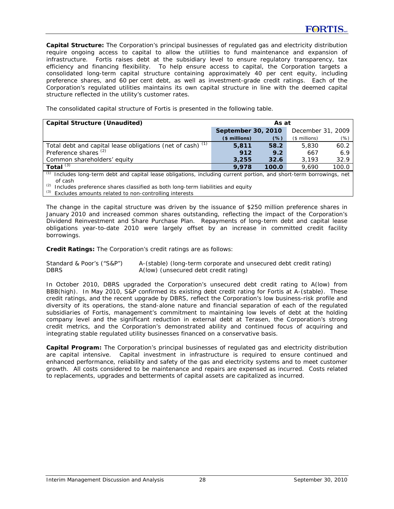*Capital Structure:* The Corporation's principal businesses of regulated gas and electricity distribution require ongoing access to capital to allow the utilities to fund maintenance and expansion of infrastructure. Fortis raises debt at the subsidiary level to ensure regulatory transparency, tax efficiency and financing flexibility. To help ensure access to capital, the Corporation targets a consolidated long-term capital structure containing approximately 40 per cent equity, including preference shares, and 60 per cent debt, as well as investment-grade credit ratings. Each of the Corporation's regulated utilities maintains its own capital structure in line with the deemed capital structure reflected in the utility's customer rates.

The consolidated capital structure of Fortis is presented in the following table.

| <b>Capital Structure (Unaudited)</b>                         | As at              |       |                   |       |  |
|--------------------------------------------------------------|--------------------|-------|-------------------|-------|--|
|                                                              | September 30, 2010 |       | December 31, 2009 |       |  |
|                                                              | $$$ millions)      | (% )  | $($$ millions)    | (%)   |  |
| Total debt and capital lease obligations (net of cash) $(1)$ | 5,811              | 58.2  | 5,830             | 60.2  |  |
| Preference shares <sup>(2)</sup>                             | 912                | 9.2   | 667               | 6.9   |  |
| Common shareholders' equity                                  | 3,255              | 32.6  | 3.193             | 32.9  |  |
| Total $(3)$                                                  | 9.978              | 100.0 | 9.690             | 100.0 |  |
|                                                              |                    |       |                   |       |  |

*(1)* Includes long-term debt and capital lease obligations, including current portion, and short-term borrowings, net of cash

*(2)* Includes preference shares classified as both long-term liabilities and equity

*(3)* Excludes amounts related to non-controlling interests

The change in the capital structure was driven by the issuance of \$250 million preference shares in January 2010 and increased common shares outstanding, reflecting the impact of the Corporation's Dividend Reinvestment and Share Purchase Plan. Repayments of long-term debt and capital lease obligations year-to-date 2010 were largely offset by an increase in committed credit facility borrowings.

*Credit Ratings:* The Corporation's credit ratings are as follows:

Standard & Poor's ("S&P") A-(stable) (long-term corporate and unsecured debt credit rating) DBRS **A**(low) (unsecured debt credit rating)

In October 2010, DBRS upgraded the Corporation's unsecured debt credit rating to A(low) from BBB(high). In May 2010, S&P confirmed its existing debt credit rating for Fortis at A-(stable). These credit ratings, and the recent upgrade by DBRS, reflect the Corporation's low business-risk profile and diversity of its operations, the stand-alone nature and financial separation of each of the regulated subsidiaries of Fortis, management's commitment to maintaining low levels of debt at the holding company level and the significant reduction in external debt at Terasen, the Corporation's strong credit metrics, and the Corporation's demonstrated ability and continued focus of acquiring and integrating stable regulated utility businesses financed on a conservative basis.

*Capital Program:* The Corporation's principal businesses of regulated gas and electricity distribution are capital intensive. Capital investment in infrastructure is required to ensure continued and enhanced performance, reliability and safety of the gas and electricity systems and to meet customer growth. All costs considered to be maintenance and repairs are expensed as incurred. Costs related to replacements, upgrades and betterments of capital assets are capitalized as incurred.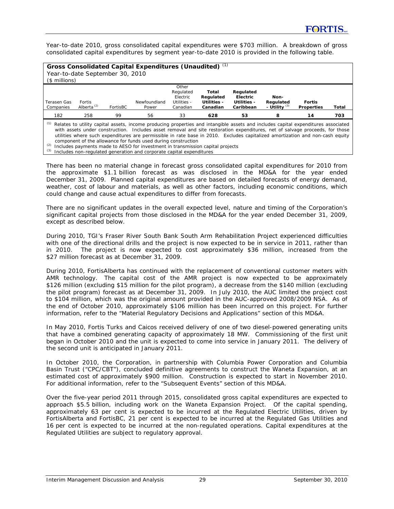Year-to-date 2010, gross consolidated capital expenditures were \$703 million. A breakdown of gross consolidated capital expenditures by segment year-to-date 2010 is provided in the following table.

| Gross Consolidated Capital Expenditures (Unaudited) (1)<br>Year-to-date September 30, 2010<br>$($$ millions)                                                                                                                                                                                                                                                                                                                                                               |                         |          |                       |                                                           |                                               |                                                   |                                         |                                    |       |
|----------------------------------------------------------------------------------------------------------------------------------------------------------------------------------------------------------------------------------------------------------------------------------------------------------------------------------------------------------------------------------------------------------------------------------------------------------------------------|-------------------------|----------|-----------------------|-----------------------------------------------------------|-----------------------------------------------|---------------------------------------------------|-----------------------------------------|------------------------------------|-------|
| Terasen Gas<br>Companies                                                                                                                                                                                                                                                                                                                                                                                                                                                   | Fortis<br>Alberta $(2)$ | FortisBC | Newfoundland<br>Power | Other<br>Regulated<br>Electric<br>Utilities -<br>Canadian | Total<br>Regulated<br>Utilities -<br>Canadian | Regulated<br>Electric<br>Utilities -<br>Caribbean | Non-<br>Regulated<br>- Utility $^{(3)}$ | <b>Fortis</b><br><b>Properties</b> | Total |
| 182                                                                                                                                                                                                                                                                                                                                                                                                                                                                        | 258                     | 99       | 56                    | 33                                                        | 628                                           | 53                                                | 8                                       | 14                                 | 703   |
| (1)<br>Relates to utility capital assets, income producing properties and intangible assets and includes capital expenditures associated<br>with assets under construction. Includes asset removal and site restoration expenditures, net of salvage proceeds, for those<br>utilities where such expenditures are permissible in rate base in 2010. Excludes capitalized amortization and non-cash equity<br>component of the allowance for funds used during construction |                         |          |                       |                                                           |                                               |                                                   |                                         |                                    |       |

*(2)* Includes payments made to AESO for investment in transmission capital projects

*(3)* Includes non-regulated generation and corporate capital expenditures

There has been no material change in forecast gross consolidated capital expenditures for 2010 from the approximate \$1.1 billion forecast as was disclosed in the MD&A for the year ended December 31, 2009. Planned capital expenditures are based on detailed forecasts of energy demand, weather, cost of labour and materials, as well as other factors, including economic conditions, which could change and cause actual expenditures to differ from forecasts.

There are no significant updates in the overall expected level, nature and timing of the Corporation's significant capital projects from those disclosed in the MD&A for the year ended December 31, 2009, except as described below.

During 2010, TGI's Fraser River South Bank South Arm Rehabilitation Project experienced difficulties with one of the directional drills and the project is now expected to be in service in 2011, rather than in 2010. The project is now expected to cost approximately \$36 million, increased from the \$27 million forecast as at December 31, 2009.

During 2010, FortisAlberta has continued with the replacement of conventional customer meters with AMR technology. The capital cost of the AMR project is now expected to be approximately \$126 million (excluding \$15 million for the pilot program), a decrease from the \$140 million (excluding the pilot program) forecast as at December 31, 2009. In July 2010, the AUC limited the project cost to \$104 million, which was the original amount provided in the AUC-approved 2008/2009 NSA. As of the end of October 2010, approximately \$106 million has been incurred on this project. For further information, refer to the "Material Regulatory Decisions and Applications" section of this MD&A.

In May 2010, Fortis Turks and Caicos received delivery of one of two diesel-powered generating units that have a combined generating capacity of approximately 18 MW. Commissioning of the first unit began in October 2010 and the unit is expected to come into service in January 2011. The delivery of the second unit is anticipated in January 2011.

In October 2010, the Corporation, in partnership with Columbia Power Corporation and Columbia Basin Trust ("CPC/CBT"), concluded definitive agreements to construct the Waneta Expansion, at an estimated cost of approximately \$900 million. Construction is expected to start in November 2010. For additional information, refer to the "Subsequent Events" section of this MD&A.

Over the five-year period 2011 through 2015, consolidated gross capital expenditures are expected to approach \$5.5 billion, including work on the Waneta Expansion Project. Of the capital spending, approximately 63 per cent is expected to be incurred at the Regulated Electric Utilities, driven by FortisAlberta and FortisBC, 21 per cent is expected to be incurred at the Regulated Gas Utilities and 16 per cent is expected to be incurred at the non-regulated operations. Capital expenditures at the Regulated Utilities are subject to regulatory approval.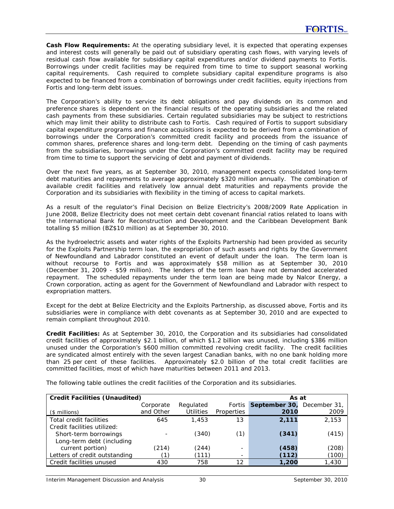*Cash Flow Requirements:* At the operating subsidiary level, it is expected that operating expenses and interest costs will generally be paid out of subsidiary operating cash flows, with varying levels of residual cash flow available for subsidiary capital expenditures and/or dividend payments to Fortis. Borrowings under credit facilities may be required from time to time to support seasonal working capital requirements. Cash required to complete subsidiary capital expenditure programs is also expected to be financed from a combination of borrowings under credit facilities, equity injections from Fortis and long-term debt issues.

The Corporation's ability to service its debt obligations and pay dividends on its common and preference shares is dependent on the financial results of the operating subsidiaries and the related cash payments from these subsidiaries. Certain regulated subsidiaries may be subject to restrictions which may limit their ability to distribute cash to Fortis. Cash required of Fortis to support subsidiary capital expenditure programs and finance acquisitions is expected to be derived from a combination of borrowings under the Corporation's committed credit facility and proceeds from the issuance of common shares, preference shares and long-term debt. Depending on the timing of cash payments from the subsidiaries, borrowings under the Corporation's committed credit facility may be required from time to time to support the servicing of debt and payment of dividends.

Over the next five years, as at September 30, 2010, management expects consolidated long-term debt maturities and repayments to average approximately \$320 million annually. The combination of available credit facilities and relatively low annual debt maturities and repayments provide the Corporation and its subsidiaries with flexibility in the timing of access to capital markets.

As a result of the regulator's Final Decision on Belize Electricity's 2008/2009 Rate Application in June 2008, Belize Electricity does not meet certain debt covenant financial ratios related to loans with the International Bank for Reconstruction and Development and the Caribbean Development Bank totalling \$5 million (BZ\$10 million) as at September 30, 2010.

As the hydroelectric assets and water rights of the Exploits Partnership had been provided as security for the Exploits Partnership term loan, the expropriation of such assets and rights by the Government of Newfoundland and Labrador constituted an event of default under the loan. The term loan is without recourse to Fortis and was approximately \$58 million as at September 30, 2010 (December 31, 2009 - \$59 million). The lenders of the term loan have not demanded accelerated repayment. The scheduled repayments under the term loan are being made by Nalcor Energy, a Crown corporation, acting as agent for the Government of Newfoundland and Labrador with respect to expropriation matters.

Except for the debt at Belize Electricity and the Exploits Partnership, as discussed above, Fortis and its subsidiaries were in compliance with debt covenants as at September 30, 2010 and are expected to remain compliant throughout 2010.

*Credit Facilities:* As at September 30, 2010, the Corporation and its subsidiaries had consolidated credit facilities of approximately \$2.1 billion, of which \$1.2 billion was unused, including \$386 million unused under the Corporation's \$600 million committed revolving credit facility. The credit facilities are syndicated almost entirely with the seven largest Canadian banks, with no one bank holding more than 25 per cent of these facilities. Approximately \$2.0 billion of the total credit facilities are committed facilities, most of which have maturities between 2011 and 2013.

| <b>Credit Facilities (Unaudited)</b><br>As at |           |                  |                              |               |              |  |  |
|-----------------------------------------------|-----------|------------------|------------------------------|---------------|--------------|--|--|
|                                               | Corporate | Regulated        | Fortis                       | September 30, | December 31, |  |  |
| $($$ millions)                                | and Other | <b>Utilities</b> | Properties                   | 2010          | 2009         |  |  |
| Total credit facilities                       | 645       | 1,453            | 13                           | 2,111         | 2,153        |  |  |
| Credit facilities utilized:                   |           |                  |                              |               |              |  |  |
| Short-term borrowings                         |           | (340)            | (1)                          | (341)         | (415)        |  |  |
| Long-term debt (including                     |           |                  |                              |               |              |  |  |
| current portion)                              | (214)     | (244)            | $\qquad \qquad \blacksquare$ | (458)         | (208)        |  |  |
| Letters of credit outstanding                 |           | (111)            | $\overline{\phantom{a}}$     | (112)         | (100)        |  |  |
| Credit facilities unused                      | 430       | 758              | 12                           | 1,200         | 1,430        |  |  |

The following table outlines the credit facilities of the Corporation and its subsidiaries.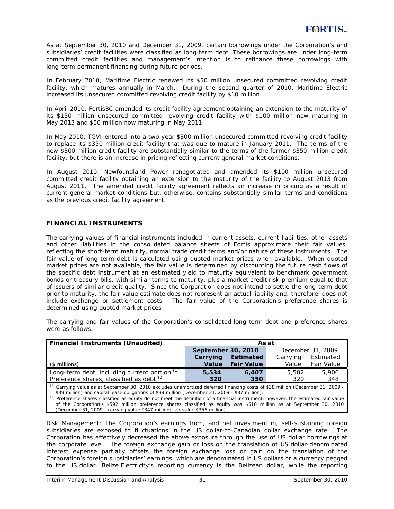As at September 30, 2010 and December 31, 2009, certain borrowings under the Corporation's and subsidiaries' credit facilities were classified as long-term debt. These borrowings are under long-term committed credit facilities and management's intention is to refinance these borrowings with long-term permanent financing during future periods.

In February 2010, Maritime Electric renewed its \$50 million unsecured committed revolving credit facility, which matures annually in March. During the second quarter of 2010, Maritime Electric increased its unsecured committed revolving credit facility by \$10 million.

In April 2010, FortisBC amended its credit facility agreement obtaining an extension to the maturity of its \$150 million unsecured committed revolving credit facility with \$100 million now maturing in May 2013 and \$50 million now maturing in May 2011.

In May 2010, TGVI entered into a two-year \$300 million unsecured committed revolving credit facility to replace its \$350 million credit facility that was due to mature in January 2011. The terms of the new \$300 million credit facility are substantially similar to the terms of the former \$350 million credit facility, but there is an increase in pricing reflecting current general market conditions.

In August 2010, Newfoundland Power renegotiated and amended its \$100 million unsecured committed credit facility obtaining an extension to the maturity of the facility to August 2013 from August 2011. The amended credit facility agreement reflects an increase in pricing as a result of current general market conditions but, otherwise, contains substantially similar terms and conditions as the previous credit facility agreement.

# **FINANCIAL INSTRUMENTS**

The carrying values of financial instruments included in current assets, current liabilities, other assets and other liabilities in the consolidated balance sheets of Fortis approximate their fair values, reflecting the short-term maturity, normal trade credit terms and/or nature of these instruments. The fair value of long-term debt is calculated using quoted market prices when available. When quoted market prices are not available, the fair value is determined by discounting the future cash flows of the specific debt instrument at an estimated yield to maturity equivalent to benchmark government bonds or treasury bills, with similar terms to maturity, plus a market credit risk premium equal to that of issuers of similar credit quality. Since the Corporation does not intend to settle the long-term debt prior to maturity, the fair value estimate does not represent an actual liability and, therefore, does not include exchange or settlement costs. The fair value of the Corporation's preference shares is determined using quoted market prices.

The carrying and fair values of the Corporation's consolidated long-term debt and preference shares were as follows.

| <b>Financial Instruments (Unaudited)</b>                                                                                                                                                                                                                                                                                                                                                                                                                                                                                                                                                               | As at              |                   |          |                   |  |  |  |
|--------------------------------------------------------------------------------------------------------------------------------------------------------------------------------------------------------------------------------------------------------------------------------------------------------------------------------------------------------------------------------------------------------------------------------------------------------------------------------------------------------------------------------------------------------------------------------------------------------|--------------------|-------------------|----------|-------------------|--|--|--|
|                                                                                                                                                                                                                                                                                                                                                                                                                                                                                                                                                                                                        | September 30, 2010 |                   |          | December 31, 2009 |  |  |  |
|                                                                                                                                                                                                                                                                                                                                                                                                                                                                                                                                                                                                        | Carrying           | <b>Estimated</b>  | Carrying | Estimated         |  |  |  |
| (\$ millions)                                                                                                                                                                                                                                                                                                                                                                                                                                                                                                                                                                                          | Value              | <b>Fair Value</b> | Value    | <b>Fair Value</b> |  |  |  |
| Long-term debt, including current portion (1)                                                                                                                                                                                                                                                                                                                                                                                                                                                                                                                                                          | 5,534              | 6,407             | 5,502    | 5,906             |  |  |  |
| Preference shares, classified as debt (2)                                                                                                                                                                                                                                                                                                                                                                                                                                                                                                                                                              | 320                | 350               | 320      | 348               |  |  |  |
| <sup>(1)</sup> Carrying value as at September 30, 2010 excludes unamortized deferred financing costs of \$38 million (December 31, 2009 -<br>\$39 million) and capital lease obligations of \$38 million (December 31, 2009 - \$37 million).<br><sup>(2)</sup> Preference shares classified as equity do not meet the definition of a financial instrument; however, the estimated fair value<br>of the Corporation's \$592 million preference shares classified as equity was \$610 million as at September 30, 2010<br>(December 31, 2009 - carrying value \$347 million; fair value \$356 million). |                    |                   |          |                   |  |  |  |

*Risk Management:* The Corporation's earnings from, and net investment in, self-sustaining foreign subsidiaries are exposed to fluctuations in the US dollar-to-Canadian dollar exchange rate. The Corporation has effectively decreased the above exposure through the use of US dollar borrowings at the corporate level. The foreign exchange gain or loss on the translation of US dollar-denominated interest expense partially offsets the foreign exchange loss or gain on the translation of the Corporation's foreign subsidiaries' earnings, which are denominated in US dollars or a currency pegged to the US dollar. Belize Electricity's reporting currency is the Belizean dollar, while the reporting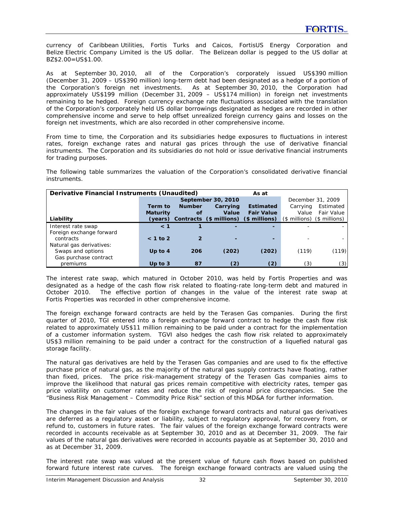currency of Caribbean Utilities, Fortis Turks and Caicos, FortisUS Energy Corporation and Belize Electric Company Limited is the US dollar. The Belizean dollar is pegged to the US dollar at BZ\$2.00=US\$1.00.

As at September 30, 2010, all of the Corporation's corporately issued US\$390 million (December 31, 2009 – US\$390 million) long-term debt had been designated as a hedge of a portion of the Corporation's foreign net investments. As at September 30, 2010, the Corporation had approximately US\$199 million (December 31, 2009 – US\$174 million) in foreign net investments remaining to be hedged. Foreign currency exchange rate fluctuations associated with the translation of the Corporation's corporately held US dollar borrowings designated as hedges are recorded in other comprehensive income and serve to help offset unrealized foreign currency gains and losses on the foreign net investments, which are also recorded in other comprehensive income.

From time to time, the Corporation and its subsidiaries hedge exposures to fluctuations in interest rates, foreign exchange rates and natural gas prices through the use of derivative financial instruments. The Corporation and its subsidiaries do not hold or issue derivative financial instruments for trading purposes.

The following table summarizes the valuation of the Corporation's consolidated derivative financial instruments.

| Derivative Financial Instruments (Unaudited)<br>As at |                 |                    |          |                                               |                               |                   |  |
|-------------------------------------------------------|-----------------|--------------------|----------|-----------------------------------------------|-------------------------------|-------------------|--|
|                                                       |                 | September 30, 2010 |          |                                               | December 31, 2009             |                   |  |
|                                                       | Term to         | <b>Number</b>      | Carrying | <b>Estimated</b>                              | Carrying                      | Estimated         |  |
|                                                       | <b>Maturity</b> | οf                 | Value    | <b>Fair Value</b>                             | Value                         | <b>Fair Value</b> |  |
| Liability                                             |                 |                    |          | (years) Contracts (\$ millions) (\$ millions) | $($$ millions) $($$ millions) |                   |  |
| Interest rate swap                                    | $\leq 1$        |                    |          |                                               |                               |                   |  |
| Foreign exchange forward                              |                 |                    |          |                                               |                               |                   |  |
| contracts                                             | $< 1$ to 2      |                    |          | -                                             |                               |                   |  |
| Natural gas derivatives:                              |                 |                    |          |                                               |                               |                   |  |
| Swaps and options                                     | Up to $4$       | 206                | (202)    | (202)                                         | (119)                         | (119)             |  |
| Gas purchase contract                                 |                 |                    |          |                                               |                               |                   |  |
| premiums                                              | Up to $3$       | 87                 | (2)      | (2)                                           | (3)                           | (3)               |  |

The interest rate swap, which matured in October 2010, was held by Fortis Properties and was designated as a hedge of the cash flow risk related to floating-rate long-term debt and matured in October 2010. The effective portion of changes in the value of the interest rate swap at Fortis Properties was recorded in other comprehensive income.

The foreign exchange forward contracts are held by the Terasen Gas companies. During the first quarter of 2010, TGI entered into a foreign exchange forward contract to hedge the cash flow risk related to approximately US\$11 million remaining to be paid under a contract for the implementation of a customer information system. TGVI also hedges the cash flow risk related to approximately US\$3 million remaining to be paid under a contract for the construction of a liquefied natural gas storage facility.

The natural gas derivatives are held by the Terasen Gas companies and are used to fix the effective purchase price of natural gas, as the majority of the natural gas supply contracts have floating, rather than fixed, prices. The price risk-management strategy of the Terasen Gas companies aims to improve the likelihood that natural gas prices remain competitive with electricity rates, temper gas price volatility on customer rates and reduce the risk of regional price discrepancies. See the "Business Risk Management – Commodity Price Risk" section of this MD&A for further information.

The changes in the fair values of the foreign exchange forward contracts and natural gas derivatives are deferred as a regulatory asset or liability, subject to regulatory approval, for recovery from, or refund to, customers in future rates. The fair values of the foreign exchange forward contracts were recorded in accounts receivable as at September 30, 2010 and as at December 31, 2009. The fair values of the natural gas derivatives were recorded in accounts payable as at September 30, 2010 and as at December 31, 2009.

The interest rate swap was valued at the present value of future cash flows based on published forward future interest rate curves. The foreign exchange forward contracts are valued using the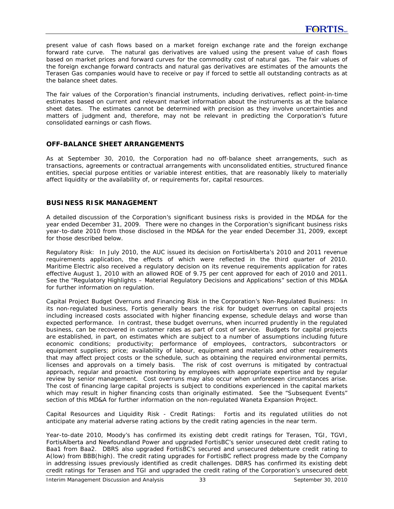present value of cash flows based on a market foreign exchange rate and the foreign exchange forward rate curve. The natural gas derivatives are valued using the present value of cash flows based on market prices and forward curves for the commodity cost of natural gas. The fair values of the foreign exchange forward contracts and natural gas derivatives are estimates of the amounts the Terasen Gas companies would have to receive or pay if forced to settle all outstanding contracts as at the balance sheet dates.

The fair values of the Corporation's financial instruments, including derivatives, reflect point-in-time estimates based on current and relevant market information about the instruments as at the balance sheet dates. The estimates cannot be determined with precision as they involve uncertainties and matters of judgment and, therefore, may not be relevant in predicting the Corporation's future consolidated earnings or cash flows.

## **OFF-BALANCE SHEET ARRANGEMENTS**

As at September 30, 2010, the Corporation had no off-balance sheet arrangements, such as transactions, agreements or contractual arrangements with unconsolidated entities, structured finance entities, special purpose entities or variable interest entities, that are reasonably likely to materially affect liquidity or the availability of, or requirements for, capital resources.

## **BUSINESS RISK MANAGEMENT**

A detailed discussion of the Corporation's significant business risks is provided in the MD&A for the year ended December 31, 2009. There were no changes in the Corporation's significant business risks year-to-date 2010 from those disclosed in the MD&A for the year ended December 31, 2009, except for those described below.

*Regulatory Risk:* In July 2010, the AUC issued its decision on FortisAlberta's 2010 and 2011 revenue requirements application, the effects of which were reflected in the third quarter of 2010. Maritime Electric also received a regulatory decision on its revenue requirements application for rates effective August 1, 2010 with an allowed ROE of 9.75 per cent approved for each of 2010 and 2011. See the "Regulatory Highlights – Material Regulatory Decisions and Applications" section of this MD&A for further information on regulation.

*Capital Project Budget Overruns and Financing Risk in the Corporation's Non-Regulated Business:* In its non-regulated business, Fortis generally bears the risk for budget overruns on capital projects including increased costs associated with higher financing expense, schedule delays and worse than expected performance. In contrast, these budget overruns, when incurred prudently in the regulated business, can be recovered in customer rates as part of cost of service. Budgets for capital projects are established, in part, on estimates which are subject to a number of assumptions including future economic conditions; productivity; performance of employees, contractors, subcontractors or equipment suppliers; price; availability of labour, equipment and materials and other requirements that may affect project costs or the schedule, such as obtaining the required environmental permits, licenses and approvals on a timely basis. The risk of cost overruns is mitigated by contractual approach, regular and proactive monitoring by employees with appropriate expertise and by regular review by senior management. Cost overruns may also occur when unforeseen circumstances arise. The cost of financing large capital projects is subject to conditions experienced in the capital markets which may result in higher financing costs than originally estimated. See the "Subsequent Events" section of this MD&A for further information on the non-regulated Waneta Expansion Project.

*Capital Resources and Liquidity Risk - Credit Ratings:* Fortis and its regulated utilities do not anticipate any material adverse rating actions by the credit rating agencies in the near term.

Year-to-date 2010, Moody's has confirmed its existing debt credit ratings for Terasen, TGI, TGVI, FortisAlberta and Newfoundland Power and upgraded FortisBC's senior unsecured debt credit rating to Baa1 from Baa2. DBRS also upgraded FortisBC's secured and unsecured debenture credit rating to A(low) from BBB(high). The credit rating upgrades for FortisBC reflect progress made by the Company in addressing issues previously identified as credit challenges. DBRS has confirmed its existing debt credit ratings for Terasen and TGI and upgraded the credit rating of the Corporation's unsecured debt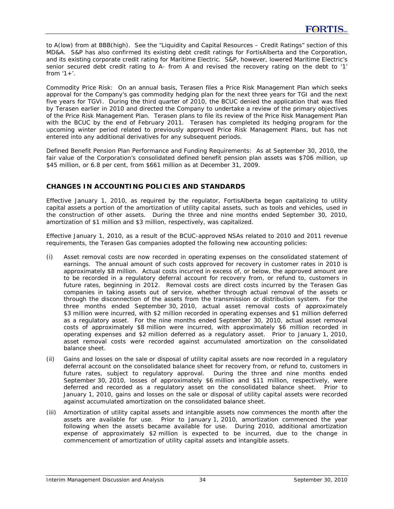to A(low) from at BBB(high). See the "Liquidity and Capital Resources – Credit Ratings" section of this MD&A. S&P has also confirmed its existing debt credit ratings for FortisAlberta and the Corporation, and its existing corporate credit rating for Maritime Electric. S&P, however, lowered Maritime Electric's senior secured debt credit rating to A- from A and revised the recovery rating on the debt to '1' from  $1+$ '.

*Commodity Price Risk:* On an annual basis, Terasen files a Price Risk Management Plan which seeks approval for the Company's gas commodity hedging plan for the next three years for TGI and the next five years for TGVI. During the third quarter of 2010, the BCUC denied the application that was filed by Terasen earlier in 2010 and directed the Company to undertake a review of the primary objectives of the Price Risk Management Plan. Terasen plans to file its review of the Price Risk Management Plan with the BCUC by the end of February 2011. Terasen has completed its hedging program for the upcoming winter period related to previously approved Price Risk Management Plans, but has not entered into any additional derivatives for any subsequent periods.

*Defined Benefit Pension Plan Performance and Funding Requirements:* As at September 30, 2010, the fair value of the Corporation's consolidated defined benefit pension plan assets was \$706 million, up \$45 million, or 6.8 per cent, from \$661 million as at December 31, 2009.

### **CHANGES IN ACCOUNTING POLICIES AND STANDARDS**

Effective January 1, 2010, as required by the regulator, FortisAlberta began capitalizing to utility capital assets a portion of the amortization of utility capital assets, such as tools and vehicles, used in the construction of other assets. During the three and nine months ended September 30, 2010, amortization of \$1 million and \$3 million, respectively, was capitalized.

Effective January 1, 2010, as a result of the BCUC-approved NSAs related to 2010 and 2011 revenue requirements, the Terasen Gas companies adopted the following new accounting policies:

- (i) Asset removal costs are now recorded in operating expenses on the consolidated statement of earnings. The annual amount of such costs approved for recovery in customer rates in 2010 is approximately \$8 million. Actual costs incurred in excess of, or below, the approved amount are to be recorded in a regulatory deferral account for recovery from, or refund to, customers in future rates, beginning in 2012. Removal costs are direct costs incurred by the Terasen Gas companies in taking assets out of service, whether through actual removal of the assets or through the disconnection of the assets from the transmission or distribution system. For the three months ended September 30, 2010, actual asset removal costs of approximately \$3 million were incurred, with \$2 million recorded in operating expenses and \$1 million deferred as a regulatory asset. For the nine months ended September 30, 2010, actual asset removal costs of approximately \$8 million were incurred, with approximately \$6 million recorded in operating expenses and \$2 million deferred as a regulatory asset. Prior to January 1, 2010, asset removal costs were recorded against accumulated amortization on the consolidated balance sheet.
- (ii) Gains and losses on the sale or disposal of utility capital assets are now recorded in a regulatory deferral account on the consolidated balance sheet for recovery from, or refund to, customers in future rates, subject to regulatory approval. During the three and nine months ended September 30, 2010, losses of approximately \$6 million and \$11 million, respectively, were deferred and recorded as a regulatory asset on the consolidated balance sheet. Prior to January 1, 2010, gains and losses on the sale or disposal of utility capital assets were recorded against accumulated amortization on the consolidated balance sheet.
- (iii) Amortization of utility capital assets and intangible assets now commences the month after the assets are available for use. Prior to January 1, 2010, amortization commenced the year following when the assets became available for use. During 2010, additional amortization expense of approximately \$2 million is expected to be incurred, due to the change in commencement of amortization of utility capital assets and intangible assets.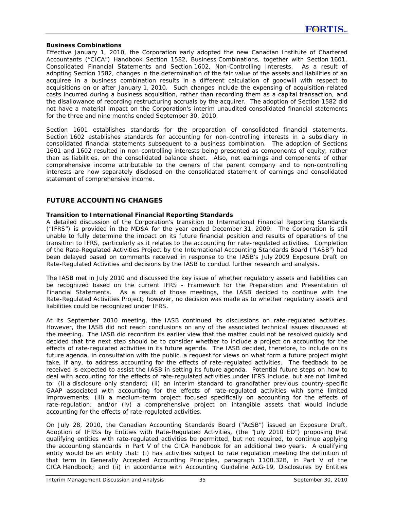#### **Business Combinations**

Effective January 1, 2010, the Corporation early adopted the new Canadian Institute of Chartered Accountants ("CICA") Handbook Section 1582, *Business Combinations*, together with Section 1601, *Consolidated Financial Statements* and Section 1602, *Non-Controlling Interests*. As a result of adopting Section 1582, changes in the determination of the fair value of the assets and liabilities of an acquiree in a business combination results in a different calculation of goodwill with respect to acquisitions on or after January 1, 2010. Such changes include the expensing of acquisition-related costs incurred during a business acquisition, rather than recording them as a capital transaction, and the disallowance of recording restructuring accruals by the acquirer. The adoption of Section 1582 did not have a material impact on the Corporation's interim unaudited consolidated financial statements for the three and nine months ended September 30, 2010.

Section 1601 establishes standards for the preparation of consolidated financial statements. Section 1602 establishes standards for accounting for non-controlling interests in a subsidiary in consolidated financial statements subsequent to a business combination. The adoption of Sections 1601 and 1602 resulted in non-controlling interests being presented as components of equity, rather than as liabilities, on the consolidated balance sheet. Also, net earnings and components of other comprehensive income attributable to the owners of the parent company and to non-controlling interests are now separately disclosed on the consolidated statement of earnings and consolidated statement of comprehensive income.

### **FUTURE ACCOUNTING CHANGES**

#### **Transition to International Financial Reporting Standards**

A detailed discussion of the Corporation's transition to International Financial Reporting Standards ("IFRS") is provided in the MD&A for the year ended December 31, 2009. The Corporation is still unable to fully determine the impact on its future financial position and results of operations of the transition to IFRS, particularly as it relates to the accounting for rate-regulated activities. Completion of the Rate-Regulated Activities Project by the International Accounting Standards Board ("IASB") had been delayed based on comments received in response to the IASB's July 2009 Exposure Draft on *Rate-Regulated Activities* and decisions by the IASB to conduct further research and analysis.

The IASB met in July 2010 and discussed the key issue of whether regulatory assets and liabilities can be recognized based on the current IFRS - *Framework for the Preparation and Presentation of Financial Statements*. As a result of those meetings, the IASB decided to continue with the Rate-Regulated Activities Project; however, no decision was made as to whether regulatory assets and liabilities could be recognized under IFRS.

At its September 2010 meeting, the IASB continued its discussions on rate-regulated activities. However, the IASB did not reach conclusions on any of the associated technical issues discussed at the meeting. The IASB did reconfirm its earlier view that the matter could not be resolved quickly and decided that the next step should be to consider whether to include a project on accounting for the effects of rate-regulated activities in its future agenda. The IASB decided, therefore, to include on its future agenda, in consultation with the public, a request for views on what form a future project might take, if any, to address accounting for the effects of rate-regulated activities. The feedback to be received is expected to assist the IASB in setting its future agenda. Potential future steps on how to deal with accounting for the effects of rate-regulated activities under IFRS include, but are not limited to: (i) a disclosure only standard; (ii) an interim standard to grandfather previous country-specific GAAP associated with accounting for the effects of rate-regulated activities with some limited improvements; (iii) a medium-term project focused specifically on accounting for the effects of rate-regulation; and/or (iv) a comprehensive project on intangible assets that would include accounting for the effects of rate-regulated activities.

On July 28, 2010, the Canadian Accounting Standards Board ("AcSB") issued an Exposure Draft, *Adoption of IFRSs by Entities with Rate-Regulated Activities*, (the "July 2010 ED") proposing that qualifying entities with rate-regulated activities be permitted, but not required, to continue applying the accounting standards in Part V of the CICA Handbook for an additional two years. A qualifying entity would be an entity that: (i) has activities subject to rate regulation meeting the definition of that term in *Generally Accepted Accounting Principles*, paragraph 1100.32B, in Part V of the CICA Handbook; and (ii) in accordance with Accounting Guideline AcG-19, *Disclosures by Entities*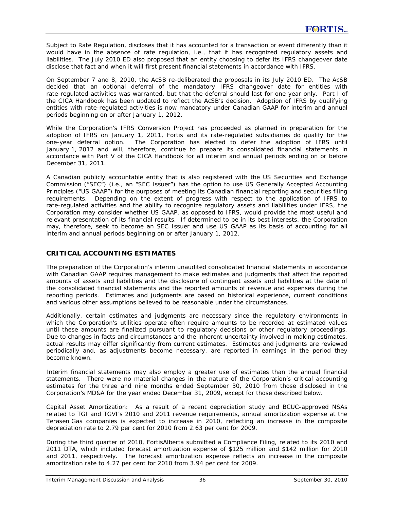*Subject to Rate Regulation*, discloses that it has accounted for a transaction or event differently than it would have in the absence of rate regulation, i.e., that it has recognized regulatory assets and liabilities. The July 2010 ED also proposed that an entity choosing to defer its IFRS changeover date disclose that fact and when it will first present financial statements in accordance with IFRS.

On September 7 and 8, 2010, the AcSB re-deliberated the proposals in its July 2010 ED. The AcSB decided that an optional deferral of the mandatory IFRS changeover date for entities with rate-regulated activities was warranted, but that the deferral should last for one year only. Part I of the CICA Handbook has been updated to reflect the AcSB's decision. Adoption of IFRS by qualifying entities with rate-regulated activities is now mandatory under Canadian GAAP for interim and annual periods beginning on or after January 1, 2012.

While the Corporation's IFRS Conversion Project has proceeded as planned in preparation for the adoption of IFRS on January 1, 2011, Fortis and its rate-regulated subsidiaries do qualify for the one-year deferral option. The Corporation has elected to defer the adoption of IFRS until January 1, 2012 and will, therefore, continue to prepare its consolidated financial statements in accordance with Part V of the CICA Handbook for all interim and annual periods ending on or before December 31, 2011.

A Canadian publicly accountable entity that is also registered with the US Securities and Exchange Commission ("SEC") (i.e., an "SEC Issuer") has the option to use US Generally Accepted Accounting Principles ("US GAAP") for the purposes of meeting its Canadian financial reporting and securities filing requirements. Depending on the extent of progress with respect to the application of IFRS to rate-regulated activities and the ability to recognize regulatory assets and liabilities under IFRS, the Corporation may consider whether US GAAP, as opposed to IFRS, would provide the most useful and relevant presentation of its financial results. If determined to be in its best interests, the Corporation may, therefore, seek to become an SEC Issuer and use US GAAP as its basis of accounting for all interim and annual periods beginning on or after January 1, 2012.

## **CRITICAL ACCOUNTING ESTIMATES**

The preparation of the Corporation's interim unaudited consolidated financial statements in accordance with Canadian GAAP requires management to make estimates and judgments that affect the reported amounts of assets and liabilities and the disclosure of contingent assets and liabilities at the date of the consolidated financial statements and the reported amounts of revenue and expenses during the reporting periods. Estimates and judgments are based on historical experience, current conditions and various other assumptions believed to be reasonable under the circumstances.

Additionally, certain estimates and judgments are necessary since the regulatory environments in which the Corporation's utilities operate often require amounts to be recorded at estimated values until these amounts are finalized pursuant to regulatory decisions or other regulatory proceedings. Due to changes in facts and circumstances and the inherent uncertainty involved in making estimates, actual results may differ significantly from current estimates. Estimates and judgments are reviewed periodically and, as adjustments become necessary, are reported in earnings in the period they become known.

Interim financial statements may also employ a greater use of estimates than the annual financial statements. There were no material changes in the nature of the Corporation's critical accounting estimates for the three and nine months ended September 30, 2010 from those disclosed in the Corporation's MD&A for the year ended December 31, 2009, except for those described below.

*Capital Asset Amortization:* As a result of a recent depreciation study and BCUC-approved NSAs related to TGI and TGVI's 2010 and 2011 revenue requirements, annual amortization expense at the Terasen Gas companies is expected to increase in 2010, reflecting an increase in the composite depreciation rate to 2.79 per cent for 2010 from 2.63 per cent for 2009.

During the third quarter of 2010, FortisAlberta submitted a Compliance Filing, related to its 2010 and 2011 DTA, which included forecast amortization expense of \$125 million and \$142 million for 2010 and 2011, respectively. The forecast amortization expense reflects an increase in the composite amortization rate to 4.27 per cent for 2010 from 3.94 per cent for 2009.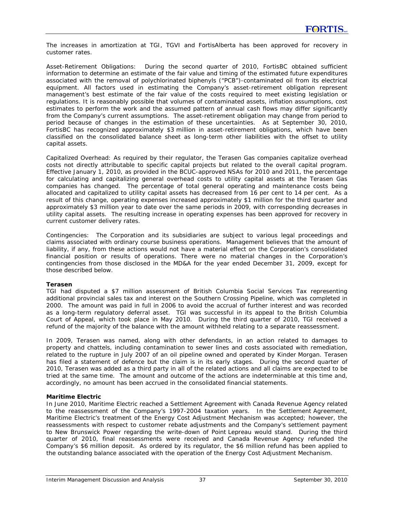The increases in amortization at TGI, TGVI and FortisAlberta has been approved for recovery in customer rates.

*Asset-Retirement Obligations:* During the second quarter of 2010, FortisBC obtained sufficient information to determine an estimate of the fair value and timing of the estimated future expenditures associated with the removal of polychlorinated biphenyls ("PCB")-contaminated oil from its electrical equipment. All factors used in estimating the Company's asset-retirement obligation represent management's best estimate of the fair value of the costs required to meet existing legislation or regulations. It is reasonably possible that volumes of contaminated assets, inflation assumptions, cost estimates to perform the work and the assumed pattern of annual cash flows may differ significantly from the Company's current assumptions. The asset-retirement obligation may change from period to period because of changes in the estimation of these uncertainties. As at September 30, 2010, FortisBC has recognized approximately \$3 million in asset-retirement obligations, which have been classified on the consolidated balance sheet as long-term other liabilities with the offset to utility capital assets.

*Capitalized Overhead:* As required by their regulator, the Terasen Gas companies capitalize overhead costs not directly attributable to specific capital projects but related to the overall capital program. Effective January 1, 2010, as provided in the BCUC-approved NSAs for 2010 and 2011, the percentage for calculating and capitalizing general overhead costs to utility capital assets at the Terasen Gas companies has changed. The percentage of total general operating and maintenance costs being allocated and capitalized to utility capital assets has decreased from 16 per cent to 14 per cent. As a result of this change, operating expenses increased approximately \$1 million for the third quarter and approximately \$3 million year to date over the same periods in 2009, with corresponding decreases in utility capital assets. The resulting increase in operating expenses has been approved for recovery in current customer delivery rates.

*Contingencies:*The Corporation and its subsidiaries are subject to various legal proceedings and claims associated with ordinary course business operations. Management believes that the amount of liability, if any, from these actions would not have a material effect on the Corporation's consolidated financial position or results of operations. There were no material changes in the Corporation's contingencies from those disclosed in the MD&A for the year ended December 31, 2009, except for those described below.

#### **Terasen**

TGI had disputed a \$7 million assessment of British Columbia Social Services Tax representing additional provincial sales tax and interest on the Southern Crossing Pipeline, which was completed in 2000. The amount was paid in full in 2006 to avoid the accrual of further interest and was recorded as a long-term regulatory deferral asset. TGI was successful in its appeal to the British Columbia Court of Appeal, which took place in May 2010. During the third quarter of 2010, TGI received a refund of the majority of the balance with the amount withheld relating to a separate reassessment.

In 2009, Terasen was named, along with other defendants, in an action related to damages to property and chattels, including contamination to sewer lines and costs associated with remediation, related to the rupture in July 2007 of an oil pipeline owned and operated by Kinder Morgan. Terasen has filed a statement of defence but the claim is in its early stages. During the second quarter of 2010, Terasen was added as a third party in all of the related actions and all claims are expected to be tried at the same time. The amount and outcome of the actions are indeterminable at this time and, accordingly, no amount has been accrued in the consolidated financial statements.

#### **Maritime Electric**

In June 2010, Maritime Electric reached a Settlement Agreement with Canada Revenue Agency related to the reassessment of the Company's 1997-2004 taxation years. In the Settlement Agreement, Maritime Electric's treatment of the Energy Cost Adjustment Mechanism was accepted; however, the reassessments with respect to customer rebate adjustments and the Company's settlement payment to New Brunswick Power regarding the write-down of Point Lepreau would stand. During the third quarter of 2010, final reassessments were received and Canada Revenue Agency refunded the Company's \$6 million deposit. As ordered by its regulator, the \$6 million refund has been applied to the outstanding balance associated with the operation of the Energy Cost Adjustment Mechanism.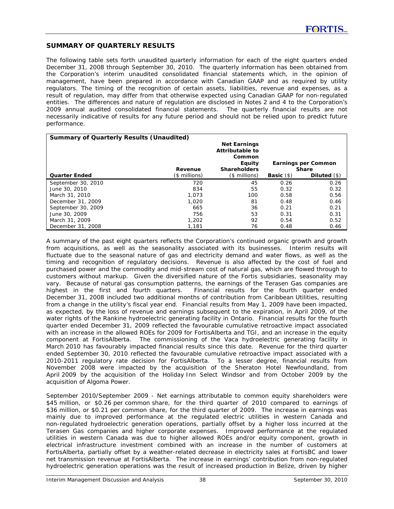### **SUMMARY OF QUARTERLY RESULTS**

The following table sets forth unaudited quarterly information for each of the eight quarters ended December 31, 2008 through September 30, 2010. The quarterly information has been obtained from the Corporation's interim unaudited consolidated financial statements which, in the opinion of management, have been prepared in accordance with Canadian GAAP and as required by utility regulators. The timing of the recognition of certain assets, liabilities, revenue and expenses, as a result of regulation, may differ from that otherwise expected using Canadian GAAP for non-regulated entities. The differences and nature of regulation are disclosed in Notes 2 and 4 to the Corporation's 2009 annual audited consolidated financial statements. The quarterly financial results are not necessarily indicative of results for any future period and should not be relied upon to predict future performance.

| <b>Summary of Quarterly Results (Unaudited)</b> |                |                                                                                   |                         |                                     |
|-------------------------------------------------|----------------|-----------------------------------------------------------------------------------|-------------------------|-------------------------------------|
|                                                 | Revenue        | <b>Net Earnings</b><br>Attributable to<br>Common<br>Equity<br><b>Shareholders</b> |                         | Earnings per Common<br><b>Share</b> |
| <b>Quarter Ended</b>                            | $($$ millions) | (\$ millions)                                                                     | <b>Basic</b> $($ \$ $)$ | Diluted $(\$)$                      |
| September 30, 2010                              | 720            | 45                                                                                | 0.26                    | 0.26                                |
| June 30, 2010                                   | 834            | 55                                                                                | 0.32                    | 0.32                                |
| March 31, 2010                                  | 1.073          | 100                                                                               | 0.58                    | 0.56                                |
| December 31, 2009                               | 1,020          | 81                                                                                | 0.48                    | 0.46                                |
| September 30, 2009                              | 665            | 36                                                                                | 0.21                    | 0.21                                |
| June 30, 2009                                   | 756            | 53                                                                                | 0.31                    | 0.31                                |
| March 31, 2009                                  | 1,202          | 92                                                                                | 0.54                    | 0.52                                |
| December 31, 2008                               | 1,181          | 76                                                                                | 0.48                    | 0.46                                |

A summary of the past eight quarters reflects the Corporation's continued organic growth and growth from acquisitions, as well as the seasonality associated with its businesses. Interim results will fluctuate due to the seasonal nature of gas and electricity demand and water flows, as well as the timing and recognition of regulatory decisions. Revenue is also affected by the cost of fuel and purchased power and the commodity and mid-stream cost of natural gas, which are flowed through to customers without markup. Given the diversified nature of the Fortis subsidiaries, seasonality may vary. Because of natural gas consumption patterns, the earnings of the Terasen Gas companies are highest in the first and fourth quarters. Financial results for the fourth quarter ended December 31, 2008 included two additional months of contribution from Caribbean Utilities, resulting from a change in the utility's fiscal year end. Financial results from May 1, 2009 have been impacted, as expected, by the loss of revenue and earnings subsequent to the expiration, in April 2009, of the water rights of the Rankine hydroelectric generating facility in Ontario. Financial results for the fourth quarter ended December 31, 2009 reflected the favourable cumulative retroactive impact associated with an increase in the allowed ROEs for 2009 for FortisAlberta and TGI, and an increase in the equity component at FortisAlberta. The commissioning of the Vaca hydroelectric generating facility in March 2010 has favourably impacted financial results since this date. Revenue for the third quarter ended September 30, 2010 reflected the favourable cumulative retroactive impact associated with a 2010-2011 regulatory rate decision for FortisAlberta. To a lesser degree, financial results from November 2008 were impacted by the acquisition of the Sheraton Hotel Newfoundland, from April 2009 by the acquisition of the Holiday Inn Select Windsor and from October 2009 by the acquisition of Algoma Power.

*September 2010/September 2009 -* Net earnings attributable to common equity shareholders were \$45 million, or \$0.26 per common share, for the third quarter of 2010 compared to earnings of \$36 million, or \$0.21 per common share, for the third quarter of 2009. The increase in earnings was mainly due to improved performance at the regulated electric utilities in western Canada and non-regulated hydroelectric generation operations, partially offset by a higher loss incurred at the Terasen Gas companies and higher corporate expenses. Improved performance at the regulated utilities in western Canada was due to higher allowed ROEs and/or equity component, growth in electrical infrastructure investment combined with an increase in the number of customers at FortisAlberta, partially offset by a weather-related decrease in electricity sales at FortisBC and lower net transmission revenue at FortisAlberta. The increase in earnings' contribution from non-regulated hydroelectric generation operations was the result of increased production in Belize, driven by higher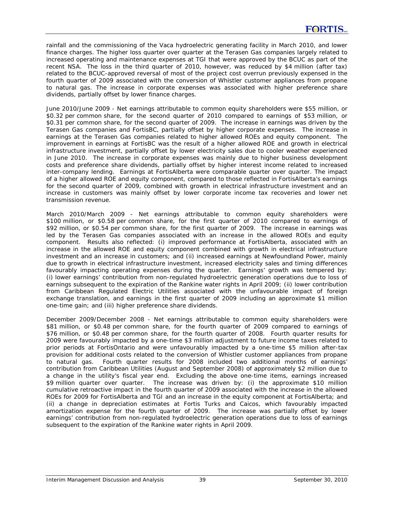rainfall and the commissioning of the Vaca hydroelectric generating facility in March 2010, and lower finance charges. The higher loss quarter over quarter at the Terasen Gas companies largely related to increased operating and maintenance expenses at TGI that were approved by the BCUC as part of the recent NSA. The loss in the third quarter of 2010, however, was reduced by \$4 million (after tax) related to the BCUC-approved reversal of most of the project cost overrun previously expensed in the fourth quarter of 2009 associated with the conversion of Whistler customer appliances from propane to natural gas. The increase in corporate expenses was associated with higher preference share dividends, partially offset by lower finance charges.

*June 2010/June 2009 -* Net earnings attributable to common equity shareholders were \$55 million, or \$0.32 per common share, for the second quarter of 2010 compared to earnings of \$53 million, or \$0.31 per common share, for the second quarter of 2009. The increase in earnings was driven by the Terasen Gas companies and FortisBC, partially offset by higher corporate expenses. The increase in earnings at the Terasen Gas companies related to higher allowed ROEs and equity component. The improvement in earnings at FortisBC was the result of a higher allowed ROE and growth in electrical infrastructure investment, partially offset by lower electricity sales due to cooler weather experienced in June 2010. The increase in corporate expenses was mainly due to higher business development costs and preference share dividends, partially offset by higher interest income related to increased inter-company lending. Earnings at FortisAlberta were comparable quarter over quarter. The impact of a higher allowed ROE and equity component, compared to those reflected in FortisAlberta's earnings for the second quarter of 2009, combined with growth in electrical infrastructure investment and an increase in customers was mainly offset by lower corporate income tax recoveries and lower net transmission revenue.

*March 2010/March 2009 -* Net earnings attributable to common equity shareholders were \$100 million, or \$0.58 per common share, for the first quarter of 2010 compared to earnings of \$92 million, or \$0.54 per common share, for the first quarter of 2009. The increase in earnings was led by the Terasen Gas companies associated with an increase in the allowed ROEs and equity component. Results also reflected: (i) improved performance at FortisAlberta, associated with an increase in the allowed ROE and equity component combined with growth in electrical infrastructure investment and an increase in customers; and (ii) increased earnings at Newfoundland Power, mainly due to growth in electrical infrastructure investment, increased electricity sales and timing differences favourably impacting operating expenses during the quarter. Earnings' growth was tempered by: (i) lower earnings' contribution from non-regulated hydroelectric generation operations due to loss of earnings subsequent to the expiration of the Rankine water rights in April 2009; (ii) lower contribution from Caribbean Regulated Electric Utilities associated with the unfavourable impact of foreign exchange translation, and earnings in the first quarter of 2009 including an approximate \$1 million one-time gain; and (iii) higher preference share dividends.

*December 2009/December 2008 -* Net earnings attributable to common equity shareholders were \$81 million, or \$0.48 per common share, for the fourth quarter of 2009 compared to earnings of \$76 million, or \$0.48 per common share, for the fourth quarter of 2008. Fourth quarter results for 2009 were favourably impacted by a one-time \$3 million adjustment to future income taxes related to prior periods at FortisOntario and were unfavourably impacted by a one-time \$5 million after-tax provision for additional costs related to the conversion of Whistler customer appliances from propane to natural gas. Fourth quarter results for 2008 included two additional months of earnings' contribution from Caribbean Utilities (August and September 2008) of approximately \$2 million due to a change in the utility's fiscal year end. Excluding the above one-time items, earnings increased \$9 million quarter over quarter. The increase was driven by: (i) the approximate \$10 million cumulative retroactive impact in the fourth quarter of 2009 associated with the increase in the allowed ROEs for 2009 for FortisAlberta and TGI and an increase in the equity component at FortisAlberta; and (ii) a change in depreciation estimates at Fortis Turks and Caicos, which favourably impacted amortization expense for the fourth quarter of 2009. The increase was partially offset by lower earnings' contribution from non-regulated hydroelectric generation operations due to loss of earnings subsequent to the expiration of the Rankine water rights in April 2009.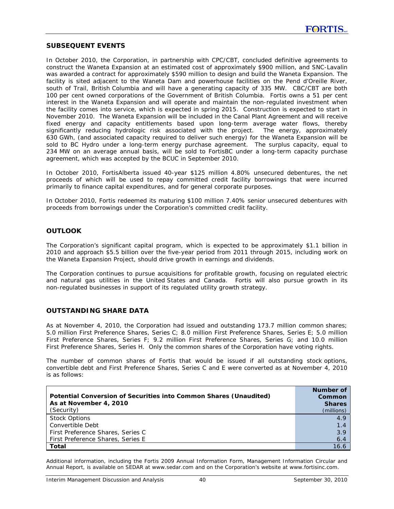### **SUBSEQUENT EVENTS**

In October 2010, the Corporation, in partnership with CPC/CBT, concluded definitive agreements to construct the Waneta Expansion at an estimated cost of approximately \$900 million, and SNC-Lavalin was awarded a contract for approximately \$590 million to design and build the Waneta Expansion. The facility is sited adjacent to the Waneta Dam and powerhouse facilities on the Pend d'Oreille River, south of Trail, British Columbia and will have a generating capacity of 335 MW. CBC/CBT are both 100 per cent owned corporations of the Government of British Columbia. Fortis owns a 51 per cent interest in the Waneta Expansion and will operate and maintain the non-regulated investment when the facility comes into service, which is expected in spring 2015. Construction is expected to start in November 2010. The Waneta Expansion will be included in the Canal Plant Agreement and will receive fixed energy and capacity entitlements based upon long-term average water flows, thereby significantly reducing hydrologic risk associated with the project. The energy, approximately 630 GWh, (and associated capacity required to deliver such energy) for the Waneta Expansion will be sold to BC Hydro under a long-term energy purchase agreement. The surplus capacity, equal to 234 MW on an average annual basis, will be sold to FortisBC under a long-term capacity purchase agreement, which was accepted by the BCUC in September 2010.

In October 2010, FortisAlberta issued 40-year \$125 million 4.80% unsecured debentures, the net proceeds of which will be used to repay committed credit facility borrowings that were incurred primarily to finance capital expenditures, and for general corporate purposes.

In October 2010, Fortis redeemed its maturing \$100 million 7.40% senior unsecured debentures with proceeds from borrowings under the Corporation's committed credit facility.

### **OUTLOOK**

The Corporation's significant capital program, which is expected to be approximately \$1.1 billion in 2010 and approach \$5.5 billion over the five-year period from 2011 through 2015, including work on the Waneta Expansion Project, should drive growth in earnings and dividends.

The Corporation continues to pursue acquisitions for profitable growth, focusing on regulated electric and natural gas utilities in the United States and Canada. Fortis will also pursue growth in its non-regulated businesses in support of its regulated utility growth strategy.

### **OUTSTANDING SHARE DATA**

As at November 4, 2010, the Corporation had issued and outstanding 173.7 million common shares; 5.0 million First Preference Shares, Series C; 8.0 million First Preference Shares, Series E; 5.0 million First Preference Shares, Series F; 9.2 million First Preference Shares, Series G; and 10.0 million First Preference Shares, Series H. Only the common shares of the Corporation have voting rights.

The number of common shares of Fortis that would be issued if all outstanding stock options, convertible debt and First Preference Shares, Series C and E were converted as at November 4, 2010 is as follows:

| Potential Conversion of Securities into Common Shares (Unaudited)<br>As at November 4, 2010<br>(Security) | Number of<br>Common<br><b>Shares</b><br>(millions) |
|-----------------------------------------------------------------------------------------------------------|----------------------------------------------------|
| <b>Stock Options</b>                                                                                      | 4.9                                                |
| Convertible Debt                                                                                          | 1.4                                                |
| First Preference Shares, Series C                                                                         | 3.9                                                |
| First Preference Shares, Series E                                                                         | 6.4                                                |
| Total                                                                                                     | 16.6                                               |

*Additional information, including the Fortis 2009 Annual Information Form, Management Information Circular and Annual Report, is available on SEDAR at www.sedar.com and on the Corporation's website at www.fortisinc.com.*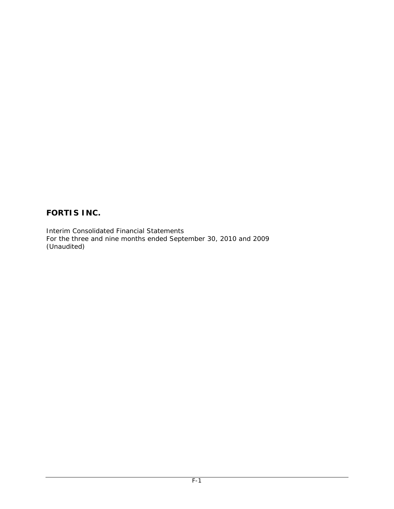Interim Consolidated Financial Statements For the three and nine months ended September 30, 2010 and 2009 (Unaudited)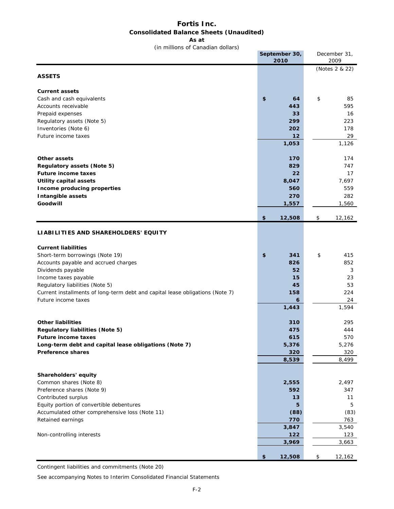### **Fortis Inc. Consolidated Balance Sheets (Unaudited)**

**As at**

(in millions of Canadian dollars)

|                                                                                                      | September 30,<br>2010 | December 31,<br>2009 |
|------------------------------------------------------------------------------------------------------|-----------------------|----------------------|
|                                                                                                      |                       | (Notes 2 & 22)       |
| <b>ASSETS</b>                                                                                        |                       |                      |
| <b>Current assets</b>                                                                                |                       |                      |
| Cash and cash equivalents                                                                            | \$<br>64              | \$<br>85             |
| Accounts receivable                                                                                  | 443                   | 595                  |
| Prepaid expenses<br>Regulatory assets (Note 5)                                                       | 33<br>299             | 16<br>223            |
| Inventories (Note 6)                                                                                 | 202                   | 178                  |
| Future income taxes                                                                                  | 12                    | 29                   |
|                                                                                                      | 1,053                 | 1,126                |
|                                                                                                      |                       |                      |
| <b>Other assets</b>                                                                                  | 170                   | 174                  |
| Regulatory assets (Note 5)                                                                           | 829                   | 747                  |
| <b>Future income taxes</b>                                                                           | 22                    | 17                   |
| <b>Utility capital assets</b>                                                                        | 8,047                 | 7,697                |
| Income producing properties                                                                          | 560                   | 559                  |
| Intangible assets                                                                                    | 270                   | 282                  |
| Goodwill                                                                                             | 1,557                 | 1,560                |
|                                                                                                      | 12,508<br>\$          | \$<br>12,162         |
| LIABILITIES AND SHAREHOLDERS' EQUITY                                                                 |                       |                      |
|                                                                                                      |                       |                      |
| <b>Current liabilities</b>                                                                           |                       |                      |
| Short-term borrowings (Note 19)                                                                      | \$<br>341             | \$<br>415            |
| Accounts payable and accrued charges                                                                 | 826                   | 852                  |
| Dividends payable                                                                                    | 52                    | 3                    |
| Income taxes payable                                                                                 | 15                    | 23                   |
| Regulatory liabilities (Note 5)                                                                      | 45                    | 53                   |
| Current installments of long-term debt and capital lease obligations (Note 7)<br>Future income taxes | 158                   | 224                  |
|                                                                                                      | 6<br>1,443            | 24<br>1,594          |
|                                                                                                      |                       |                      |
| <b>Other liabilities</b>                                                                             | 310                   | 295                  |
| Regulatory liabilities (Note 5)                                                                      | 475                   | 444                  |
| <b>Future income taxes</b>                                                                           | 615                   | 570                  |
| Long-term debt and capital lease obligations (Note 7)                                                | 5,376                 | 5,276                |
| <b>Preference shares</b>                                                                             | 320                   | 320                  |
|                                                                                                      | 8,539                 | 8,499                |
| Shareholders' equity                                                                                 |                       |                      |
| Common shares (Note 8)                                                                               | 2,555                 | 2,497                |
| Preference shares (Note 9)                                                                           | 592                   | 347                  |
| Contributed surplus                                                                                  | 13                    | 11                   |
| Equity portion of convertible debentures                                                             | 5                     | 5                    |
| Accumulated other comprehensive loss (Note 11)                                                       | (88)                  | (83)                 |
| Retained earnings                                                                                    | 770                   | 763                  |
|                                                                                                      | 3,847                 | 3,540                |
| Non-controlling interests                                                                            | 122<br>3,969          | 123<br>3,663         |
|                                                                                                      |                       |                      |
|                                                                                                      | 12,508<br>\$          | \$<br>12,162         |

Contingent liabilities and commitments (Note 20)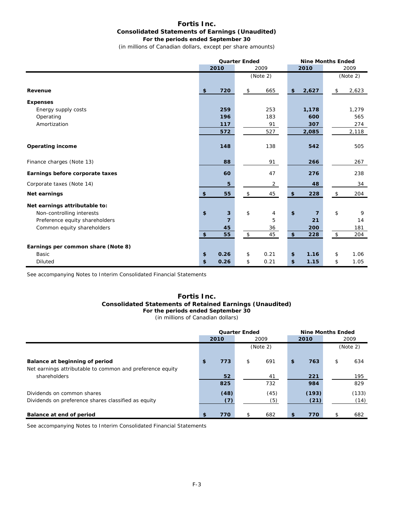#### **Fortis Inc. Consolidated Statements of Earnings (Unaudited) For the periods ended September 30**

(in millions of Canadian dollars, except per share amounts)

|                                    | <b>Quarter Ended</b> |                |            |                | <b>Nine Months Ended</b> |                |    |          |
|------------------------------------|----------------------|----------------|------------|----------------|--------------------------|----------------|----|----------|
|                                    |                      | 2010           |            | 2009           |                          | 2010           |    | 2009     |
|                                    |                      |                |            | (Note 2)       |                          |                |    | (Note 2) |
| Revenue                            | \$                   | 720            | \$         | 665            | \$                       | 2,627          | \$ | 2,623    |
|                                    |                      |                |            |                |                          |                |    |          |
| <b>Expenses</b>                    |                      |                |            |                |                          |                |    |          |
| Energy supply costs                |                      | 259            |            | 253            |                          | 1,178          |    | 1,279    |
| Operating                          |                      | 196            |            | 183            |                          | 600            |    | 565      |
| Amortization                       |                      | 117            |            | 91             |                          | 307            |    | 274      |
|                                    |                      | 572            |            | 527            |                          | 2,085          |    | 2,118    |
| <b>Operating income</b>            |                      | 148            |            | 138            |                          | 542            |    | 505      |
| Finance charges (Note 13)          |                      | 88             |            | 91             |                          | 266            |    | 267      |
| Earnings before corporate taxes    |                      | 60             |            | 47             |                          | 276            |    | 238      |
| Corporate taxes (Note 14)          |                      | 5              |            | $\overline{2}$ |                          | 48             |    | 34       |
| Net earnings                       | \$                   | 55             | \$         | 45             | \$                       | 228            | \$ | 204      |
| Net earnings attributable to:      |                      |                |            |                |                          |                |    |          |
| Non-controlling interests          | \$                   | 3              | \$         | 4              | \$                       | $\overline{7}$ | \$ | 9        |
| Preference equity shareholders     |                      | $\overline{7}$ |            | 5              |                          | 21             |    | 14       |
| Common equity shareholders         |                      | 45             |            | 36             |                          | 200            |    | 181      |
|                                    | $\pmb{\mathfrak{s}}$ | 55             | $\sqrt{2}$ | 45             | $\pmb{\$}$               | 228            | \$ | 204      |
| Earnings per common share (Note 8) |                      |                |            |                |                          |                |    |          |
| Basic                              | \$                   | 0.26           | \$         | 0.21           | \$                       | 1.16           | \$ | 1.06     |
| <b>Diluted</b>                     | \$                   | 0.26           | \$         | 0.21           | \$                       | 1.15           | \$ | 1.05     |

See accompanying Notes to Interim Consolidated Financial Statements

#### **Fortis Inc. Consolidated Statements of Retained Earnings (Unaudited) For the periods ended September 30**

(in millions of Canadian dollars)

|                                                                                             | <b>Quarter Ended</b> |             |    | <b>Nine Months Ended</b> |    |               |          |               |  |
|---------------------------------------------------------------------------------------------|----------------------|-------------|----|--------------------------|----|---------------|----------|---------------|--|
|                                                                                             | 2010                 |             |    | 2009                     |    | 2010          |          | 2009          |  |
|                                                                                             |                      | (Note 2)    |    |                          |    |               | (Note 2) |               |  |
| Balance at beginning of period<br>Net earnings attributable to common and preference equity | \$                   | 773         | \$ | 691                      | \$ | 763           | \$       | 634           |  |
| shareholders                                                                                |                      | 52<br>825   |    | 41<br>732                |    | 221<br>984    |          | 195<br>829    |  |
| Dividends on common shares<br>Dividends on preference shares classified as equity           |                      | (48)<br>(7) |    | (45)<br>(5)              |    | (193)<br>(21) |          | (133)<br>(14) |  |
| Balance at end of period                                                                    | \$.                  | 770         |    | 682                      | \$ | 770           |          | 682           |  |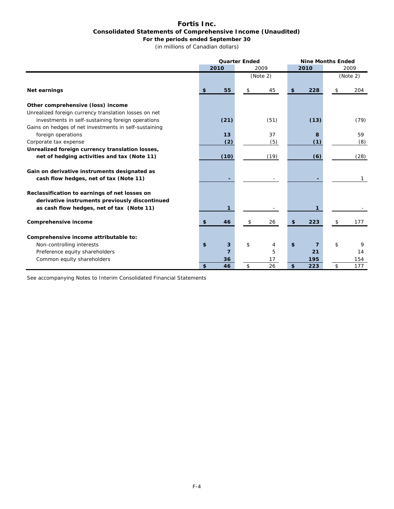### **Fortis Inc. Consolidated Statements of Comprehensive Income (Unaudited) For the periods ended September 30**

(in millions of Canadian dollars)

|                                                                                        | <b>Quarter Ended</b> |     |          |    | <b>Nine Months Ended</b> |    |          |  |
|----------------------------------------------------------------------------------------|----------------------|-----|----------|----|--------------------------|----|----------|--|
|                                                                                        | 2010                 |     | 2009     |    | 2010                     |    | 2009     |  |
|                                                                                        |                      |     | (Note 2) |    |                          |    | (Note 2) |  |
| Net earnings                                                                           | \$<br>55             | \$. | 45       | \$ | 228                      | \$ | 204      |  |
| Other comprehensive (loss) income                                                      |                      |     |          |    |                          |    |          |  |
| Unrealized foreign currency translation losses on net                                  |                      |     |          |    |                          |    |          |  |
| investments in self-sustaining foreign operations                                      | (21)                 |     | (51)     |    | (13)                     |    | (79)     |  |
| Gains on hedges of net investments in self-sustaining                                  |                      |     |          |    |                          |    |          |  |
| foreign operations                                                                     | 13                   |     | 37       |    | 8                        |    | 59       |  |
| Corporate tax expense                                                                  | (2)                  |     | (5)      |    | (1)                      |    | (8)      |  |
| Unrealized foreign currency translation losses,                                        |                      |     |          |    |                          |    |          |  |
| net of hedging activities and tax (Note 11)                                            | (10)                 |     | (19)     |    | (6)                      |    | (28)     |  |
| Gain on derivative instruments designated as<br>cash flow hedges, net of tax (Note 11) |                      |     |          |    |                          |    | 1        |  |
| Reclassification to earnings of net losses on                                          |                      |     |          |    |                          |    |          |  |
| derivative instruments previously discontinued                                         |                      |     |          |    |                          |    |          |  |
| as cash flow hedges, net of tax (Note 11)                                              | 1                    |     |          |    |                          |    |          |  |
| Comprehensive income                                                                   | \$<br>46             | \$  | 26       | \$ | 223                      | \$ | 177      |  |
|                                                                                        |                      |     |          |    |                          |    |          |  |
| Comprehensive income attributable to:                                                  |                      |     |          |    |                          |    |          |  |
| Non-controlling interests                                                              | \$<br>3              | \$  | 4        | \$ | 7                        | \$ | 9        |  |
| Preference equity shareholders                                                         | 7                    |     | 5        |    | 21                       |    | 14       |  |
| Common equity shareholders                                                             | 36                   |     | 17       |    | 195                      |    | 154      |  |
|                                                                                        | \$<br>46             | \$  | 26       | \$ | 223                      | \$ | 177      |  |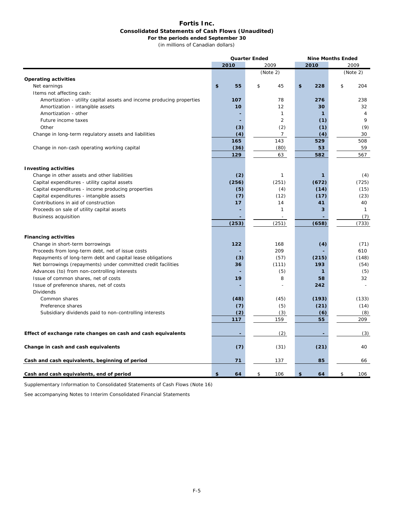#### **Fortis Inc. Consolidated Statements of Cash Flows (Unaudited) For the periods ended September 30**

(in millions of Canadian dollars)

|                                                                       |          | <b>Quarter Ended</b> | <b>Nine Months Ended</b> |                |  |  |
|-----------------------------------------------------------------------|----------|----------------------|--------------------------|----------------|--|--|
|                                                                       | 2010     | 2009                 | 2010                     | 2009           |  |  |
|                                                                       |          | (Note 2)             |                          | (Note 2)       |  |  |
| <b>Operating activities</b>                                           |          |                      |                          |                |  |  |
| Net earnings                                                          | \$<br>55 | \$<br>45             | \$<br>228                | \$<br>204      |  |  |
| Items not affecting cash:                                             |          |                      |                          |                |  |  |
| Amortization - utility capital assets and income producing properties | 107      | 78                   | 276                      | 238            |  |  |
| Amortization - intangible assets                                      | 10       | 12                   | 30                       | 32             |  |  |
| Amortization - other                                                  |          | $\mathbf{1}$         | $\mathbf{1}$             | $\overline{4}$ |  |  |
| Future income taxes                                                   |          | $\overline{2}$       | (1)                      | 9              |  |  |
| Other                                                                 | (3)      | (2)                  | (1)                      | (9)            |  |  |
| Change in long-term regulatory assets and liabilities                 | (4)      | $\overline{7}$       | (4)                      | 30             |  |  |
|                                                                       | 165      | 143                  | 529                      | 508            |  |  |
| Change in non-cash operating working capital                          | (36)     | (80)                 | 53                       | 59             |  |  |
|                                                                       | 129      | 63                   | 582                      | 567            |  |  |
|                                                                       |          |                      |                          |                |  |  |
| <b>Investing activities</b>                                           |          |                      |                          |                |  |  |
| Change in other assets and other liabilities                          | (2)      | 1                    | $\mathbf{1}$             | (4)            |  |  |
| Capital expenditures - utility capital assets                         | (256)    | (251)                | (672)                    | (725)          |  |  |
| Capital expenditures - income producing properties                    | (5)      | (4)                  | (14)                     | (15)           |  |  |
| Capital expenditures - intangible assets                              | (7)      | (12)                 | (17)                     | (23)           |  |  |
| Contributions in aid of construction                                  | 17       | 14                   | 41                       | 40             |  |  |
| Proceeds on sale of utility capital assets                            |          | $\mathbf{1}$         | 3                        | $\mathbf{1}$   |  |  |
| <b>Business acquisition</b>                                           |          | $\sim$               |                          | (7)            |  |  |
|                                                                       | (253)    | (251)                | (658)                    | (733)          |  |  |
|                                                                       |          |                      |                          |                |  |  |
| <b>Financing activities</b>                                           |          |                      |                          |                |  |  |
| Change in short-term borrowings                                       | 122      | 168                  | (4)                      | (71)           |  |  |
| Proceeds from long-term debt, net of issue costs                      |          | 209                  |                          | 610            |  |  |
| Repayments of long-term debt and capital lease obligations            | (3)      | (57)                 | (215)                    | (148)          |  |  |
| Net borrowings (repayments) under committed credit facilities         | 36       | (111)                | 193                      | (54)           |  |  |
| Advances (to) from non-controlling interests                          |          | (5)                  | $\mathbf{1}$             | (5)            |  |  |
| Issue of common shares, net of costs                                  | 19       | 8                    | 58                       | 32             |  |  |
| Issue of preference shares, net of costs                              |          |                      | 242                      |                |  |  |
| <b>Dividends</b>                                                      |          |                      |                          |                |  |  |
| Common shares                                                         | (48)     | (45)                 | (193)                    | (133)          |  |  |
| Preference shares                                                     | (7)      | (5)                  | (21)                     | (14)           |  |  |
| Subsidiary dividends paid to non-controlling interests                | (2)      | (3)                  | (6)                      | (8)            |  |  |
|                                                                       | 117      | 159                  | 55                       | 209            |  |  |
|                                                                       |          |                      |                          |                |  |  |
| Effect of exchange rate changes on cash and cash equivalents          |          | (2)                  |                          | (3)            |  |  |
| Change in cash and cash equivalents                                   | (7)      | (31)                 | (21)                     | 40             |  |  |
| Cash and cash equivalents, beginning of period                        | 71       | 137                  | 85                       | 66             |  |  |
| Cash and cash equivalents, end of period                              | \$<br>64 | \$<br>106            | \$<br>64                 | \$<br>106      |  |  |

Supplementary Information to Consolidated Statements of Cash Flows (Note 16)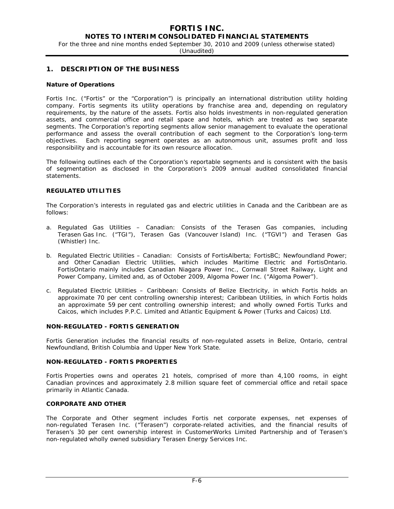### **NOTES TO INTERIM CONSOLIDATED FINANCIAL STATEMENTS**

For the three and nine months ended September 30, 2010 and 2009 (unless otherwise stated)

(Unaudited)

### **1. DESCRIPTION OF THE BUSINESS**

#### **Nature of Operations**

Fortis Inc. ("Fortis" or the "Corporation") is principally an international distribution utility holding company. Fortis segments its utility operations by franchise area and, depending on regulatory requirements, by the nature of the assets. Fortis also holds investments in non-regulated generation assets, and commercial office and retail space and hotels, which are treated as two separate segments. The Corporation's reporting segments allow senior management to evaluate the operational performance and assess the overall contribution of each segment to the Corporation's long-term objectives. Each reporting segment operates as an autonomous unit, assumes profit and loss responsibility and is accountable for its own resource allocation.

The following outlines each of the Corporation's reportable segments and is consistent with the basis of segmentation as disclosed in the Corporation's 2009 annual audited consolidated financial statements.

### **REGULATED UTILITIES**

The Corporation's interests in regulated gas and electric utilities in Canada and the Caribbean are as follows:

- a. *Regulated Gas Utilities Canadian:* Consists of the Terasen Gas companies, including Terasen Gas Inc. ("TGI"), Terasen Gas (Vancouver Island) Inc. ("TGVI") and Terasen Gas (Whistler) Inc.
- b. *Regulated Electric Utilities Canadian:* Consists of FortisAlberta; FortisBC; Newfoundland Power; and Other Canadian Electric Utilities, which includes Maritime Electric and FortisOntario. FortisOntario mainly includes Canadian Niagara Power Inc., Cornwall Street Railway, Light and Power Company, Limited and, as of October 2009, Algoma Power Inc. ("Algoma Power").
- c. *Regulated Electric Utilities Caribbean:* Consists of Belize Electricity, in which Fortis holds an approximate 70 per cent controlling ownership interest; Caribbean Utilities, in which Fortis holds an approximate 59 per cent controlling ownership interest; and wholly owned Fortis Turks and Caicos, which includes P.P.C. Limited and Atlantic Equipment & Power (Turks and Caicos) Ltd.

#### **NON-REGULATED - FORTIS GENERATION**

Fortis Generation includes the financial results of non-regulated assets in Belize, Ontario, central Newfoundland, British Columbia and Upper New York State.

#### **NON-REGULATED - FORTIS PROPERTIES**

Fortis Properties owns and operates 21 hotels, comprised of more than 4,100 rooms, in eight Canadian provinces and approximately 2.8 million square feet of commercial office and retail space primarily in Atlantic Canada.

#### **CORPORATE AND OTHER**

The Corporate and Other segment includes Fortis net corporate expenses, net expenses of non-regulated Terasen Inc. ("Terasen") corporate-related activities, and the financial results of Terasen's 30 per cent ownership interest in CustomerWorks Limited Partnership and of Terasen's non-regulated wholly owned subsidiary Terasen Energy Services Inc.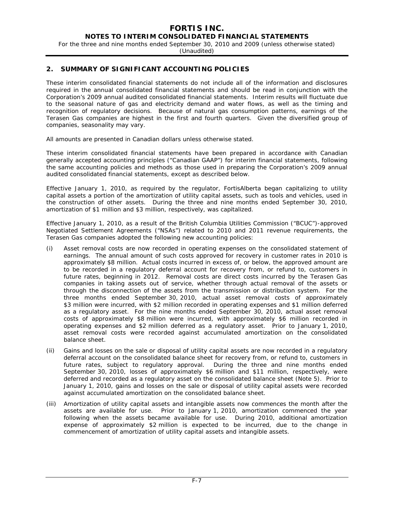For the three and nine months ended September 30, 2010 and 2009 (unless otherwise stated)

(Unaudited)

### **2. SUMMARY OF SIGNIFICANT ACCOUNTING POLICIES**

These interim consolidated financial statements do not include all of the information and disclosures required in the annual consolidated financial statements and should be read in conjunction with the Corporation's 2009 annual audited consolidated financial statements. Interim results will fluctuate due to the seasonal nature of gas and electricity demand and water flows, as well as the timing and recognition of regulatory decisions. Because of natural gas consumption patterns, earnings of the Terasen Gas companies are highest in the first and fourth quarters. Given the diversified group of companies, seasonality may vary.

All amounts are presented in Canadian dollars unless otherwise stated.

These interim consolidated financial statements have been prepared in accordance with Canadian generally accepted accounting principles ("Canadian GAAP") for interim financial statements, following the same accounting policies and methods as those used in preparing the Corporation's 2009 annual audited consolidated financial statements, except as described below.

Effective January 1, 2010, as required by the regulator, FortisAlberta began capitalizing to utility capital assets a portion of the amortization of utility capital assets, such as tools and vehicles, used in the construction of other assets. During the three and nine months ended September 30, 2010, amortization of \$1 million and \$3 million, respectively, was capitalized.

Effective January 1, 2010, as a result of the British Columbia Utilities Commission ("BCUC")-approved Negotiated Settlement Agreements ("NSAs") related to 2010 and 2011 revenue requirements, the Terasen Gas companies adopted the following new accounting policies:

- (i) Asset removal costs are now recorded in operating expenses on the consolidated statement of earnings. The annual amount of such costs approved for recovery in customer rates in 2010 is approximately \$8 million. Actual costs incurred in excess of, or below, the approved amount are to be recorded in a regulatory deferral account for recovery from, or refund to, customers in future rates, beginning in 2012. Removal costs are direct costs incurred by the Terasen Gas companies in taking assets out of service, whether through actual removal of the assets or through the disconnection of the assets from the transmission or distribution system. For the three months ended September 30, 2010, actual asset removal costs of approximately \$3 million were incurred, with \$2 million recorded in operating expenses and \$1 million deferred as a regulatory asset. For the nine months ended September 30, 2010, actual asset removal costs of approximately \$8 million were incurred, with approximately \$6 million recorded in operating expenses and \$2 million deferred as a regulatory asset. Prior to January 1, 2010, asset removal costs were recorded against accumulated amortization on the consolidated balance sheet.
- (ii) Gains and losses on the sale or disposal of utility capital assets are now recorded in a regulatory deferral account on the consolidated balance sheet for recovery from, or refund to, customers in future rates, subject to regulatory approval. During the three and nine months ended September 30, 2010, losses of approximately \$6 million and \$11 million, respectively, were deferred and recorded as a regulatory asset on the consolidated balance sheet (Note 5). Prior to January 1, 2010, gains and losses on the sale or disposal of utility capital assets were recorded against accumulated amortization on the consolidated balance sheet.
- (iii) Amortization of utility capital assets and intangible assets now commences the month after the assets are available for use. Prior to January 1, 2010, amortization commenced the year following when the assets became available for use. During 2010, additional amortization expense of approximately \$2 million is expected to be incurred, due to the change in commencement of amortization of utility capital assets and intangible assets.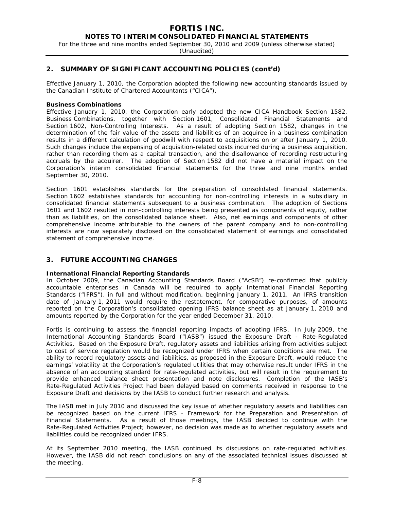For the three and nine months ended September 30, 2010 and 2009 (unless otherwise stated)

(Unaudited)

### **2. SUMMARY OF SIGNIFICANT ACCOUNTING POLICIES (cont'd)**

Effective January 1, 2010, the Corporation adopted the following new accounting standards issued by the Canadian Institute of Chartered Accountants ("CICA").

#### **Business Combinations**

Effective January 1, 2010, the Corporation early adopted the new CICA Handbook Section 1582, *Business Combinations,* together with Section 1601, *Consolidated Financial Statements* and Section 1602, *Non-Controlling Interests.* As a result of adopting Section 1582, changes in the determination of the fair value of the assets and liabilities of an acquiree in a business combination results in a different calculation of goodwill with respect to acquisitions on or after January 1, 2010. Such changes include the expensing of acquisition-related costs incurred during a business acquisition, rather than recording them as a capital transaction, and the disallowance of recording restructuring accruals by the acquirer. The adoption of Section 1582 did not have a material impact on the Corporation's interim consolidated financial statements for the three and nine months ended September 30, 2010.

Section 1601 establishes standards for the preparation of consolidated financial statements. Section 1602 establishes standards for accounting for non-controlling interests in a subsidiary in consolidated financial statements subsequent to a business combination. The adoption of Sections 1601 and 1602 resulted in non-controlling interests being presented as components of equity, rather than as liabilities, on the consolidated balance sheet. Also, net earnings and components of other comprehensive income attributable to the owners of the parent company and to non-controlling interests are now separately disclosed on the consolidated statement of earnings and consolidated statement of comprehensive income.

### **3. FUTURE ACCOUNTING CHANGES**

#### **International Financial Reporting Standards**

In October 2009, the Canadian Accounting Standards Board ("AcSB") re-confirmed that publicly accountable enterprises in Canada will be required to apply International Financial Reporting Standards ("IFRS"), in full and without modification, beginning January 1, 2011. An IFRS transition date of January 1, 2011 would require the restatement, for comparative purposes, of amounts reported on the Corporation's consolidated opening IFRS balance sheet as at January 1, 2010 and amounts reported by the Corporation for the year ended December 31, 2010.

Fortis is continuing to assess the financial reporting impacts of adopting IFRS. In July 2009, the International Accounting Standards Board ("IASB") issued the Exposure Draft - *Rate-Regulated Activities.* Based on the Exposure Draft, regulatory assets and liabilities arising from activities subject to cost of service regulation would be recognized under IFRS when certain conditions are met. The ability to record regulatory assets and liabilities, as proposed in the Exposure Draft, would reduce the earnings' volatility at the Corporation's regulated utilities that may otherwise result under IFRS in the absence of an accounting standard for rate-regulated activities, but will result in the requirement to provide enhanced balance sheet presentation and note disclosures. Completion of the IASB's Rate-Regulated Activities Project had been delayed based on comments received in response to the Exposure Draft and decisions by the IASB to conduct further research and analysis.

The IASB met in July 2010 and discussed the key issue of whether regulatory assets and liabilities can be recognized based on the current IFRS - *Framework for the Preparation and Presentation of Financial Statements*. As a result of those meetings, the IASB decided to continue with the Rate-Regulated Activities Project; however, no decision was made as to whether regulatory assets and liabilities could be recognized under IFRS.

At its September 2010 meeting, the IASB continued its discussions on rate-regulated activities. However, the IASB did not reach conclusions on any of the associated technical issues discussed at the meeting.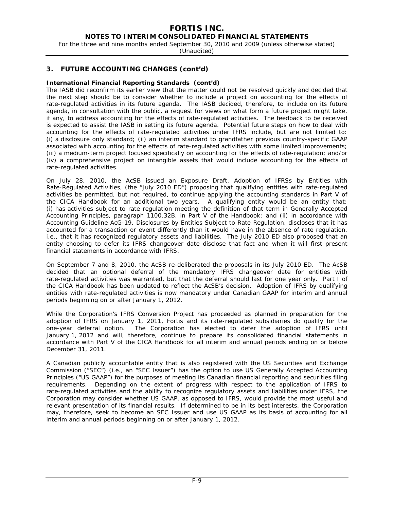### **NOTES TO INTERIM CONSOLIDATED FINANCIAL STATEMENTS**

For the three and nine months ended September 30, 2010 and 2009 (unless otherwise stated)

(Unaudited)

### **3. FUTURE ACCOUNTING CHANGES (cont'd)**

#### **International Financial Reporting Standards (cont'd)**

The IASB did reconfirm its earlier view that the matter could not be resolved quickly and decided that the next step should be to consider whether to include a project on accounting for the effects of rate-regulated activities in its future agenda. The IASB decided, therefore, to include on its future agenda, in consultation with the public, a request for views on what form a future project might take, if any, to address accounting for the effects of rate-regulated activities. The feedback to be received is expected to assist the IASB in setting its future agenda. Potential future steps on how to deal with accounting for the effects of rate-regulated activities under IFRS include, but are not limited to: (i) a disclosure only standard; (ii) an interim standard to grandfather previous country-specific GAAP associated with accounting for the effects of rate-regulated activities with some limited improvements; (iii) a medium-term project focused specifically on accounting for the effects of rate-regulation; and/or (iv) a comprehensive project on intangible assets that would include accounting for the effects of rate-regulated activities.

On July 28, 2010, the AcSB issued an Exposure Draft, *Adoption of IFRSs by Entities with Rate-Regulated Activities*, (the "July 2010 ED") proposing that qualifying entities with rate-regulated activities be permitted, but not required, to continue applying the accounting standards in Part V of the CICA Handbook for an additional two years. A qualifying entity would be an entity that: (i) has activities subject to rate regulation meeting the definition of that term in *Generally Accepted Accounting Principles*, paragraph 1100.32B, in Part V of the Handbook; and (ii) in accordance with Accounting Guideline AcG-19, *Disclosures by Entities Subject to Rate Regulation*, discloses that it has accounted for a transaction or event differently than it would have in the absence of rate regulation, i.e., that it has recognized regulatory assets and liabilities. The July 2010 ED also proposed that an entity choosing to defer its IFRS changeover date disclose that fact and when it will first present financial statements in accordance with IFRS.

On September 7 and 8, 2010, the AcSB re-deliberated the proposals in its July 2010 ED. The AcSB decided that an optional deferral of the mandatory IFRS changeover date for entities with rate-regulated activities was warranted, but that the deferral should last for one year only. Part I of the CICA Handbook has been updated to reflect the AcSB's decision. Adoption of IFRS by qualifying entities with rate-regulated activities is now mandatory under Canadian GAAP for interim and annual periods beginning on or after January 1, 2012.

While the Corporation's IFRS Conversion Project has proceeded as planned in preparation for the adoption of IFRS on January 1, 2011, Fortis and its rate-regulated subsidiaries do qualify for the one-year deferral option. The Corporation has elected to defer the adoption of IFRS until January 1, 2012 and will, therefore, continue to prepare its consolidated financial statements in accordance with Part V of the CICA Handbook for all interim and annual periods ending on or before December 31, 2011.

A Canadian publicly accountable entity that is also registered with the US Securities and Exchange Commission ("SEC") (i.e., an "SEC Issuer") has the option to use US Generally Accepted Accounting Principles ("US GAAP") for the purposes of meeting its Canadian financial reporting and securities filing requirements. Depending on the extent of progress with respect to the application of IFRS to rate-regulated activities and the ability to recognize regulatory assets and liabilities under IFRS, the Corporation may consider whether US GAAP, as opposed to IFRS, would provide the most useful and relevant presentation of its financial results. If determined to be in its best interests, the Corporation may, therefore, seek to become an SEC Issuer and use US GAAP as its basis of accounting for all interim and annual periods beginning on or after January 1, 2012.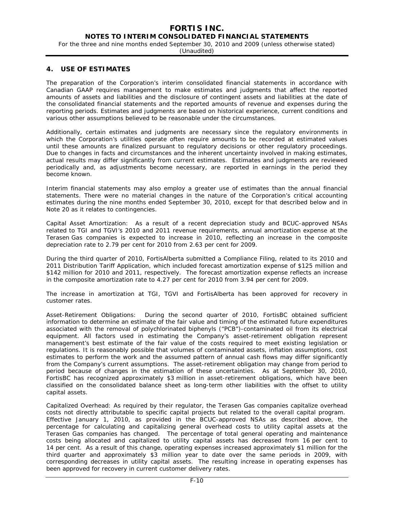#### **NOTES TO INTERIM CONSOLIDATED FINANCIAL STATEMENTS**

For the three and nine months ended September 30, 2010 and 2009 (unless otherwise stated)

(Unaudited)

### **4. USE OF ESTIMATES**

The preparation of the Corporation's interim consolidated financial statements in accordance with Canadian GAAP requires management to make estimates and judgments that affect the reported amounts of assets and liabilities and the disclosure of contingent assets and liabilities at the date of the consolidated financial statements and the reported amounts of revenue and expenses during the reporting periods. Estimates and judgments are based on historical experience, current conditions and various other assumptions believed to be reasonable under the circumstances.

Additionally, certain estimates and judgments are necessary since the regulatory environments in which the Corporation's utilities operate often require amounts to be recorded at estimated values until these amounts are finalized pursuant to regulatory decisions or other regulatory proceedings. Due to changes in facts and circumstances and the inherent uncertainty involved in making estimates, actual results may differ significantly from current estimates. Estimates and judgments are reviewed periodically and, as adjustments become necessary, are reported in earnings in the period they become known.

Interim financial statements may also employ a greater use of estimates than the annual financial statements. There were no material changes in the nature of the Corporation's critical accounting estimates during the nine months ended September 30, 2010, except for that described below and in Note 20 as it relates to contingencies.

*Capital Asset Amortization:* As a result of a recent depreciation study and BCUC-approved NSAs related to TGI and TGVI's 2010 and 2011 revenue requirements, annual amortization expense at the Terasen Gas companies is expected to increase in 2010, reflecting an increase in the composite depreciation rate to 2.79 per cent for 2010 from 2.63 per cent for 2009.

During the third quarter of 2010, FortisAlberta submitted a Compliance Filing, related to its 2010 and 2011 Distribution Tariff Application, which included forecast amortization expense of \$125 million and \$142 million for 2010 and 2011, respectively. The forecast amortization expense reflects an increase in the composite amortization rate to 4.27 per cent for 2010 from 3.94 per cent for 2009.

The increase in amortization at TGI, TGVI and FortisAlberta has been approved for recovery in customer rates.

*Asset-Retirement Obligations:* During the second quarter of 2010, FortisBC obtained sufficient information to determine an estimate of the fair value and timing of the estimated future expenditures associated with the removal of polychlorinated biphenyls ("PCB")-contaminated oil from its electrical equipment. All factors used in estimating the Company's asset-retirement obligation represent management's best estimate of the fair value of the costs required to meet existing legislation or regulations. It is reasonably possible that volumes of contaminated assets, inflation assumptions, cost estimates to perform the work and the assumed pattern of annual cash flows may differ significantly from the Company's current assumptions. The asset-retirement obligation may change from period to period because of changes in the estimation of these uncertainties. As at September 30, 2010, FortisBC has recognized approximately \$3 million in asset-retirement obligations, which have been classified on the consolidated balance sheet as long-term other liabilities with the offset to utility capital assets.

*Capitalized Overhead:* As required by their regulator, the Terasen Gas companies capitalize overhead costs not directly attributable to specific capital projects but related to the overall capital program. Effective January 1, 2010, as provided in the BCUC-approved NSAs as described above, the percentage for calculating and capitalizing general overhead costs to utility capital assets at the Terasen Gas companies has changed. The percentage of total general operating and maintenance costs being allocated and capitalized to utility capital assets has decreased from 16 per cent to 14 per cent. As a result of this change, operating expenses increased approximately \$1 million for the third quarter and approximately \$3 million year to date over the same periods in 2009, with corresponding decreases in utility capital assets. The resulting increase in operating expenses has been approved for recovery in current customer delivery rates.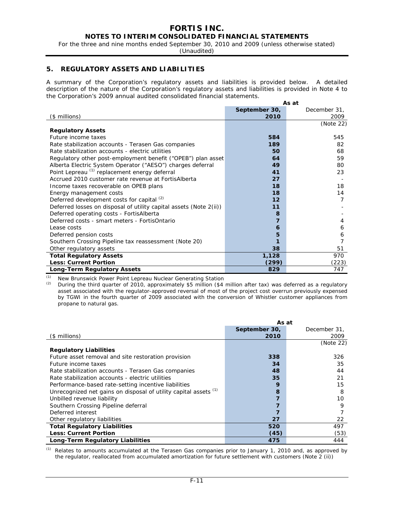For the three and nine months ended September 30, 2010 and 2009 (unless otherwise stated)

(Unaudited)

### **5. REGULATORY ASSETS AND LIABILITIES**

A summary of the Corporation's regulatory assets and liabilities is provided below. A detailed description of the nature of the Corporation's regulatory assets and liabilities is provided in Note 4 to the Corporation's 2009 annual audited consolidated financial statements.

|                                                                    |               | As at        |
|--------------------------------------------------------------------|---------------|--------------|
|                                                                    | September 30, | December 31, |
| (\$ millions)                                                      | 2010          | 2009         |
|                                                                    |               | (Note 22)    |
| <b>Regulatory Assets</b>                                           |               |              |
| Future income taxes                                                | 584           | 545          |
| Rate stabilization accounts - Terasen Gas companies                | 189           | 82           |
| Rate stabilization accounts - electric utilities                   | 50            | 68           |
| Regulatory other post-employment benefit ("OPEB") plan asset       | 64            | 59           |
| Alberta Electric System Operator ("AESO") charges deferral         | 49            | 80           |
| Point Lepreau (1) replacement energy deferral                      | 41            | 23           |
| Accrued 2010 customer rate revenue at FortisAlberta                | 27            |              |
| Income taxes recoverable on OPEB plans                             | 18            | 18           |
| Energy management costs                                            | 18            | 14           |
| Deferred development costs for capital $(2)$                       | 12            | 7            |
| Deferred losses on disposal of utility capital assets (Note 2(ii)) | 11            |              |
| Deferred operating costs - FortisAlberta                           | 8             |              |
| Deferred costs - smart meters - FortisOntario                      | 7             | 4            |
| Lease costs                                                        | 6             | 6            |
| Deferred pension costs                                             | 5             | 6            |
| Southern Crossing Pipeline tax reassessment (Note 20)              |               |              |
| Other regulatory assets                                            | 38            | 51           |
| <b>Total Regulatory Assets</b>                                     | 1,128         | 970          |
| <b>Less: Current Portion</b>                                       | (299)         | (223)        |
| <b>Long-Term Regulatory Assets</b>                                 | 829           | 747          |

*(1)* New Brunswick Power Point Lepreau Nuclear Generating Station

*(2)* During the third quarter of 2010, approximately \$5 million (\$4 million after tax) was deferred as a regulatory asset associated with the regulator-approved reversal of most of the project cost overrun previously expensed by TGWI in the fourth quarter of 2009 associated with the conversion of Whistler customer appliances from propane to natural gas.

|                                                                  | As at         |              |  |  |
|------------------------------------------------------------------|---------------|--------------|--|--|
|                                                                  | September 30, | December 31, |  |  |
| (\$ millions)                                                    | 2010          | 2009         |  |  |
|                                                                  |               | (Note 22)    |  |  |
| <b>Regulatory Liabilities</b>                                    |               |              |  |  |
| Future asset removal and site restoration provision              | 338           | 326          |  |  |
| Future income taxes                                              | 34            | 35           |  |  |
| Rate stabilization accounts - Terasen Gas companies              | 48            | 44           |  |  |
| Rate stabilization accounts - electric utilities                 | 35            | 21           |  |  |
| Performance-based rate-setting incentive liabilities             | 9             | 15           |  |  |
| Unrecognized net gains on disposal of utility capital assets (1) | 8             | 8            |  |  |
| Unbilled revenue liability                                       |               | 10           |  |  |
| Southern Crossing Pipeline deferral                              |               | 9            |  |  |
| Deferred interest                                                |               |              |  |  |
| Other regulatory liabilities                                     | 27            | 22           |  |  |
| <b>Total Regulatory Liabilities</b>                              | 520           | 497          |  |  |
| <b>Less: Current Portion</b>                                     | (45)          | (53)         |  |  |
| Long-Term Regulatory Liabilities                                 | 475           | 444          |  |  |

*(1)* Relates to amounts accumulated at the Terasen Gas companies prior to January 1, 2010 and, as approved by the regulator, reallocated from accumulated amortization for future settlement with customers (Note 2 (ii))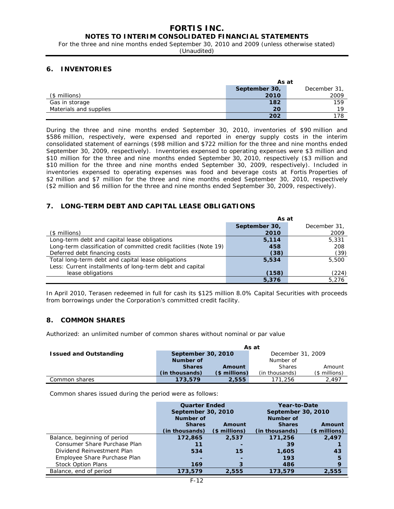### **NOTES TO INTERIM CONSOLIDATED FINANCIAL STATEMENTS**

For the three and nine months ended September 30, 2010 and 2009 (unless otherwise stated)

(Unaudited)

### **6. INVENTORIES**

|                        | As at                        |      |  |  |  |
|------------------------|------------------------------|------|--|--|--|
|                        | September 30,<br>December 31 |      |  |  |  |
| $($$ millions)         | 2010                         | 2009 |  |  |  |
| Gas in storage         | 182                          | 159  |  |  |  |
| Materials and supplies | 20                           | 19   |  |  |  |
|                        | 202                          | 178  |  |  |  |

During the three and nine months ended September 30, 2010, inventories of \$90 million and \$586 million, respectively, were expensed and reported in energy supply costs in the interim consolidated statement of earnings (\$98 million and \$722 million for the three and nine months ended September 30, 2009, respectively). Inventories expensed to operating expenses were \$3 million and \$10 million for the three and nine months ended September 30, 2010, respectively (\$3 million and \$10 million for the three and nine months ended September 30, 2009, respectively). Included in inventories expensed to operating expenses was food and beverage costs at Fortis Properties of \$2 million and \$7 million for the three and nine months ended September 30, 2010, respectively (\$2 million and \$6 million for the three and nine months ended September 30, 2009, respectively).

### **7. LONG-TERM DEBT AND CAPITAL LEASE OBLIGATIONS**

|                                                                   | As at         |              |  |  |
|-------------------------------------------------------------------|---------------|--------------|--|--|
|                                                                   | September 30, | December 31, |  |  |
| $($$ millions $)$                                                 | 2010          | 2009         |  |  |
| Long-term debt and capital lease obligations                      | 5,114         | 5,331        |  |  |
| Long-term classification of committed credit facilities (Note 19) | 458           | 208          |  |  |
| Deferred debt financing costs                                     | (38)          | (39)         |  |  |
| Total long-term debt and capital lease obligations                | 5,534         | 5,500        |  |  |
| Less: Current installments of long-term debt and capital          |               |              |  |  |
| lease obligations                                                 | (158)         | (224)        |  |  |
|                                                                   | 5,376         | 5.276        |  |  |

In April 2010, Terasen redeemed in full for cash its \$125 million 8.0% Capital Securities with proceeds from borrowings under the Corporation's committed credit facility.

### **8. COMMON SHARES**

Authorized: an unlimited number of common shares without nominal or par value

|                               |                    |                | As at             |                |  |
|-------------------------------|--------------------|----------------|-------------------|----------------|--|
| <b>Issued and Outstanding</b> | September 30, 2010 |                | December 31, 2009 |                |  |
|                               | Number of          |                | Number of         |                |  |
|                               | <b>Shares</b>      | Amount         | <b>Shares</b>     | Amount         |  |
|                               | (in thousands)     | $($$ millions) | (in thousands)    | $($$ millions) |  |
| Common shares                 | 173,579            | 2,555          | 171.256           | 2.497          |  |

Common shares issued during the period were as follows:

|                              | <b>Quarter Ended</b><br>September 30, 2010 |                          | Year-to-Date<br>September 30, 2010 |               |  |
|------------------------------|--------------------------------------------|--------------------------|------------------------------------|---------------|--|
|                              | <b>Number of</b>                           |                          | <b>Number of</b>                   |               |  |
|                              | <b>Shares</b>                              | Amount                   | <b>Shares</b>                      | Amount        |  |
|                              | (in thousands)                             | $$$ millions)            | (in thousands)                     | $$$ millions) |  |
| Balance, beginning of period | 172,865                                    | 2,537                    | 171,256                            | 2.497         |  |
| Consumer Share Purchase Plan | 11                                         | $\overline{\phantom{a}}$ | 39                                 |               |  |
| Dividend Reinvestment Plan   | 534                                        | 15                       | 1,605                              | 43            |  |
| Employee Share Purchase Plan | $\overline{\phantom{0}}$                   | $\overline{\phantom{a}}$ | 193                                | 5             |  |
| <b>Stock Option Plans</b>    | 169                                        |                          | 486                                | 9             |  |
| Balance, end of period       | 173,579                                    | 2,555                    | 173,579                            | 2,555         |  |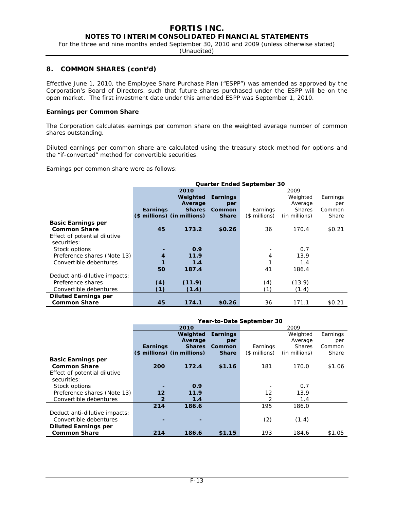**NOTES TO INTERIM CONSOLIDATED FINANCIAL STATEMENTS** 

For the three and nine months ended September 30, 2010 and 2009 (unless otherwise stated)

(Unaudited)

### **8. COMMON SHARES (cont'd)**

Effective June 1, 2010, the Employee Share Purchase Plan ("ESPP") was amended as approved by the Corporation's Board of Directors, such that future shares purchased under the ESPP will be on the open market. The first investment date under this amended ESPP was September 1, 2010.

#### **Earnings per Common Share**

The Corporation calculates earnings per common share on the weighted average number of common shares outstanding.

Diluted earnings per common share are calculated using the treasury stock method for options and the "if-converted" method for convertible securities.

Earnings per common share were as follows:

|                               | <b>Quarter Ended September 30</b> |                             |                 |               |               |          |  |  |  |  |
|-------------------------------|-----------------------------------|-----------------------------|-----------------|---------------|---------------|----------|--|--|--|--|
|                               |                                   | 2010                        |                 | 2009          |               |          |  |  |  |  |
|                               |                                   | Weighted                    | <b>Earnings</b> |               | Weighted      | Earnings |  |  |  |  |
|                               |                                   | Average                     | per             |               | Average       | per      |  |  |  |  |
|                               | Earnings                          | <b>Shares</b>               | Common          | Earnings      | <b>Shares</b> | Common   |  |  |  |  |
|                               |                                   | (\$ millions) (in millions) | <b>Share</b>    | (\$ millions) | (in millions) | Share    |  |  |  |  |
| <b>Basic Earnings per</b>     |                                   |                             |                 |               |               |          |  |  |  |  |
| <b>Common Share</b>           | 45                                | 173.2                       | \$0.26          | 36            | 170.4         | \$0.21   |  |  |  |  |
| Effect of potential dilutive  |                                   |                             |                 |               |               |          |  |  |  |  |
| securities:                   |                                   |                             |                 |               |               |          |  |  |  |  |
| Stock options                 |                                   | 0.9                         |                 |               | 0.7           |          |  |  |  |  |
| Preference shares (Note 13)   |                                   | 11.9                        |                 | 4             | 13.9          |          |  |  |  |  |
| Convertible debentures        |                                   | 1.4                         |                 |               | 1.4           |          |  |  |  |  |
|                               | 50                                | 187.4                       |                 | 41            | 186.4         |          |  |  |  |  |
| Deduct anti-dilutive impacts: |                                   |                             |                 |               |               |          |  |  |  |  |
| Preference shares             | (4)                               | (11.9)                      |                 | (4)           | (13.9)        |          |  |  |  |  |
| Convertible debentures        | (1)                               | (1.4)                       |                 | (1)           | (1.4)         |          |  |  |  |  |
| <b>Diluted Earnings per</b>   |                                   |                             |                 |               |               |          |  |  |  |  |
| <b>Common Share</b>           | 45                                | 174.1                       | \$0.26          | 36            | 171.1         | \$0.21   |  |  |  |  |

|                               | Year-to-Date September 30 |               |              |               |               |          |  |  |  |
|-------------------------------|---------------------------|---------------|--------------|---------------|---------------|----------|--|--|--|
|                               |                           | 2010          |              |               | 2009          |          |  |  |  |
|                               |                           | Weighted      | Earnings     |               | Weighted      | Earnings |  |  |  |
|                               |                           | Average       | per          |               | Average       | per      |  |  |  |
|                               | <b>Earnings</b>           | <b>Shares</b> | Common       | Earnings      | <b>Shares</b> | Common   |  |  |  |
|                               | (\$ millions)             | (in millions) | <b>Share</b> | (\$ millions) | (in millions) | Share    |  |  |  |
| <b>Basic Earnings per</b>     |                           |               |              |               |               |          |  |  |  |
| <b>Common Share</b>           | 200                       | 172.4         | \$1.16       | 181           | 170.0         | \$1.06   |  |  |  |
| Effect of potential dilutive  |                           |               |              |               |               |          |  |  |  |
| securities:                   |                           |               |              |               |               |          |  |  |  |
| Stock options                 |                           | 0.9           |              |               | 0.7           |          |  |  |  |
| Preference shares (Note 13)   | 12                        | 11.9          |              | 12            | 13.9          |          |  |  |  |
| Convertible debentures        | $\overline{2}$            | 1.4           |              | 2             | 1.4           |          |  |  |  |
|                               | 214                       | 186.6         |              | 195           | 186.0         |          |  |  |  |
| Deduct anti-dilutive impacts: |                           |               |              |               |               |          |  |  |  |
| Convertible debentures        |                           | ۰             |              | (2)           | (1.4)         |          |  |  |  |
| <b>Diluted Earnings per</b>   |                           |               |              |               |               |          |  |  |  |
| <b>Common Share</b>           | 214                       | 186.6         | \$1.15       | 193           | 184.6         | \$1.05   |  |  |  |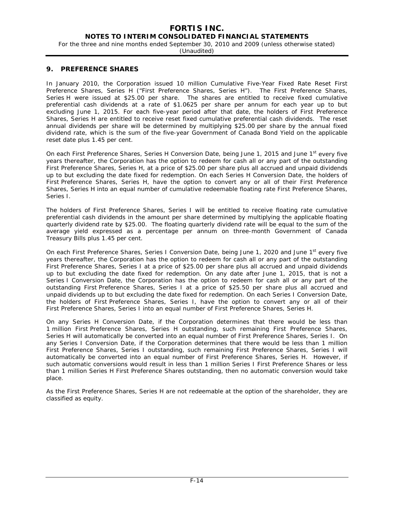### **NOTES TO INTERIM CONSOLIDATED FINANCIAL STATEMENTS**

For the three and nine months ended September 30, 2010 and 2009 (unless otherwise stated)

(Unaudited)

#### **9. PREFERENCE SHARES**

In January 2010, the Corporation issued 10 million Cumulative Five-Year Fixed Rate Reset First Preference Shares, Series H ("First Preference Shares, Series H"). The First Preference Shares, Series H were issued at \$25.00 per share. The shares are entitled to receive fixed cumulative preferential cash dividends at a rate of \$1.0625 per share per annum for each year up to but excluding June 1, 2015. For each five-year period after that date, the holders of First Preference Shares, Series H are entitled to receive reset fixed cumulative preferential cash dividends. The reset annual dividends per share will be determined by multiplying \$25.00 per share by the annual fixed dividend rate, which is the sum of the five-year Government of Canada Bond Yield on the applicable reset date plus 1.45 per cent.

On each First Preference Shares, Series H Conversion Date, being June 1, 2015 and June 1<sup>st</sup> every five years thereafter, the Corporation has the option to redeem for cash all or any part of the outstanding First Preference Shares, Series H, at a price of \$25.00 per share plus all accrued and unpaid dividends up to but excluding the date fixed for redemption. On each Series H Conversion Date, the holders of First Preference Shares, Series H, have the option to convert any or all of their First Preference Shares, Series H into an equal number of cumulative redeemable floating rate First Preference Shares, Series I.

The holders of First Preference Shares, Series I will be entitled to receive floating rate cumulative preferential cash dividends in the amount per share determined by multiplying the applicable floating quarterly dividend rate by \$25.00. The floating quarterly dividend rate will be equal to the sum of the average yield expressed as a percentage per annum on three-month Government of Canada Treasury Bills plus 1.45 per cent.

On each First Preference Shares, Series I Conversion Date, being June 1, 2020 and June 1<sup>st</sup> every five years thereafter, the Corporation has the option to redeem for cash all or any part of the outstanding First Preference Shares, Series I at a price of \$25.00 per share plus all accrued and unpaid dividends up to but excluding the date fixed for redemption. On any date after June 1, 2015, that is not a Series I Conversion Date, the Corporation has the option to redeem for cash all or any part of the outstanding First Preference Shares, Series I at a price of \$25.50 per share plus all accrued and unpaid dividends up to but excluding the date fixed for redemption. On each Series I Conversion Date, the holders of First Preference Shares, Series I, have the option to convert any or all of their First Preference Shares, Series I into an equal number of First Preference Shares, Series H.

On any Series H Conversion Date, if the Corporation determines that there would be less than 1 million First Preference Shares, Series H outstanding, such remaining First Preference Shares, Series H will automatically be converted into an equal number of First Preference Shares, Series I. On any Series I Conversion Date, if the Corporation determines that there would be less than 1 million First Preference Shares, Series I outstanding, such remaining First Preference Shares, Series I will automatically be converted into an equal number of First Preference Shares, Series H. However, if such automatic conversions would result in less than 1 million Series I First Preference Shares or less than 1 million Series H First Preference Shares outstanding, then no automatic conversion would take place.

As the First Preference Shares, Series H are not redeemable at the option of the shareholder, they are classified as equity.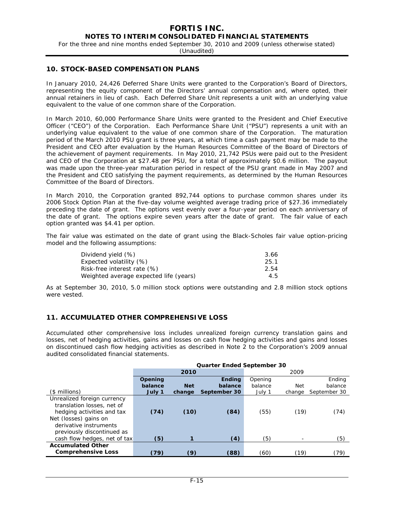For the three and nine months ended September 30, 2010 and 2009 (unless otherwise stated)

(Unaudited)

### **10. STOCK-BASED COMPENSATION PLANS**

In January 2010, 24,426 Deferred Share Units were granted to the Corporation's Board of Directors, representing the equity component of the Directors' annual compensation and, where opted, their annual retainers in lieu of cash. Each Deferred Share Unit represents a unit with an underlying value equivalent to the value of one common share of the Corporation.

In March 2010, 60,000 Performance Share Units were granted to the President and Chief Executive Officer ("CEO") of the Corporation. Each Performance Share Unit ("PSU") represents a unit with an underlying value equivalent to the value of one common share of the Corporation. The maturation period of the March 2010 PSU grant is three years, at which time a cash payment may be made to the President and CEO after evaluation by the Human Resources Committee of the Board of Directors of the achievement of payment requirements. In May 2010, 21,742 PSUs were paid out to the President and CEO of the Corporation at \$27.48 per PSU, for a total of approximately \$0.6 million. The payout was made upon the three-year maturation period in respect of the PSU grant made in May 2007 and the President and CEO satisfying the payment requirements, as determined by the Human Resources Committee of the Board of Directors.

In March 2010, the Corporation granted 892,744 options to purchase common shares under its 2006 Stock Option Plan at the five-day volume weighted average trading price of \$27.36 immediately preceding the date of grant. The options vest evenly over a four-year period on each anniversary of the date of grant. The options expire seven years after the date of grant. The fair value of each option granted was \$4.41 per option.

The fair value was estimated on the date of grant using the Black-Scholes fair value option-pricing model and the following assumptions:

| Dividend yield (%)                     | 3.66 |
|----------------------------------------|------|
| Expected volatility (%)                | 25.1 |
| Risk-free interest rate (%)            | 2.54 |
| Weighted average expected life (years) | 4.5  |

As at September 30, 2010, 5.0 million stock options were outstanding and 2.8 million stock options were vested.

### **11. ACCUMULATED OTHER COMPREHENSIVE LOSS**

Accumulated other comprehensive loss includes unrealized foreign currency translation gains and losses, net of hedging activities, gains and losses on cash flow hedging activities and gains and losses on discontinued cash flow hedging activities as described in Note 2 to the Corporation's 2009 annual audited consolidated financial statements.

|                              | <b>Quarter Ended September 30</b> |            |               |         |            |              |  |  |  |  |
|------------------------------|-----------------------------------|------------|---------------|---------|------------|--------------|--|--|--|--|
|                              |                                   | 2010       |               | 2009    |            |              |  |  |  |  |
|                              | Opening                           |            | <b>Ending</b> | Opening |            | Ending       |  |  |  |  |
|                              | balance                           | <b>Net</b> | balance       | balance | <b>Net</b> | balance      |  |  |  |  |
| (\$ millions)                | July 1                            | change     | September 30  | July 1  | change     | September 30 |  |  |  |  |
| Unrealized foreign currency  |                                   |            |               |         |            |              |  |  |  |  |
| translation losses, net of   |                                   |            |               |         |            |              |  |  |  |  |
| hedging activities and tax   | (74)                              | (10)       | (84)          | (55)    | (19)       | (74)         |  |  |  |  |
| Net (losses) gains on        |                                   |            |               |         |            |              |  |  |  |  |
| derivative instruments       |                                   |            |               |         |            |              |  |  |  |  |
| previously discontinued as   |                                   |            |               |         |            |              |  |  |  |  |
| cash flow hedges, net of tax | (5)                               |            | (4)           | (5)     |            | (5)          |  |  |  |  |
| <b>Accumulated Other</b>     |                                   |            |               |         |            |              |  |  |  |  |
| <b>Comprehensive Loss</b>    | (79)                              | (9)        | (88)          | (60)    | (19)       | (79)         |  |  |  |  |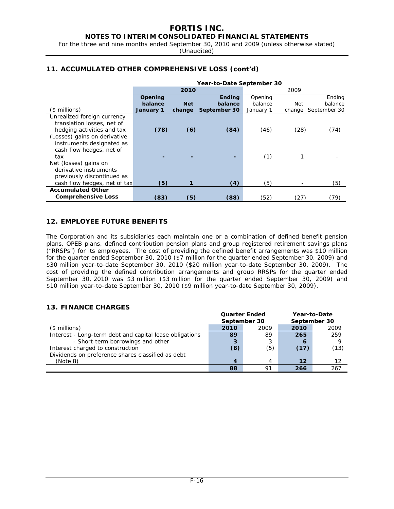For the three and nine months ended September 30, 2010 and 2009 (unless otherwise stated) (Unaudited)

## **11. ACCUMULATED OTHER COMPREHENSIVE LOSS (cont'd)**

|                              | Year-to-Date September 30 |            |               |           |        |              |  |  |  |
|------------------------------|---------------------------|------------|---------------|-----------|--------|--------------|--|--|--|
|                              |                           | 2010       |               |           | 2009   |              |  |  |  |
|                              | Opening                   |            | <b>Ending</b> | Opening   |        | Ending       |  |  |  |
|                              | balance                   | <b>Net</b> | balance       | balance   | Net    | balance      |  |  |  |
| $($$ millions)               | January 1                 | change     | September 30  | January 1 | change | September 30 |  |  |  |
| Unrealized foreign currency  |                           |            |               |           |        |              |  |  |  |
| translation losses, net of   |                           |            |               |           |        |              |  |  |  |
| hedging activities and tax   | (78)                      | (6)        | (84)          | (46)      | (28)   | (74)         |  |  |  |
| (Losses) gains on derivative |                           |            |               |           |        |              |  |  |  |
| instruments designated as    |                           |            |               |           |        |              |  |  |  |
| cash flow hedges, net of     |                           |            |               |           |        |              |  |  |  |
| tax                          |                           |            |               | (1)       | 1      |              |  |  |  |
| Net (losses) gains on        |                           |            |               |           |        |              |  |  |  |
| derivative instruments       |                           |            |               |           |        |              |  |  |  |
| previously discontinued as   |                           |            |               |           |        |              |  |  |  |
| cash flow hedges, net of tax | (5)                       |            | (4)           | (5)       |        | (5)          |  |  |  |
| <b>Accumulated Other</b>     |                           |            |               |           |        |              |  |  |  |
| <b>Comprehensive Loss</b>    | (83)                      | 〔5〕        | (88)          | (52)      | (27)   | 79)          |  |  |  |

### **12. EMPLOYEE FUTURE BENEFITS**

The Corporation and its subsidiaries each maintain one or a combination of defined benefit pension plans, OPEB plans, defined contribution pension plans and group registered retirement savings plans ("RRSPs") for its employees. The cost of providing the defined benefit arrangements was \$10 million for the quarter ended September 30, 2010 (\$7 million for the quarter ended September 30, 2009) and \$30 million year-to-date September 30, 2010 (\$20 million year-to-date September 30, 2009). The cost of providing the defined contribution arrangements and group RRSPs for the quarter ended September 30, 2010 was \$3 million (\$3 million for the quarter ended September 30, 2009) and \$10 million year-to-date September 30, 2010 (\$9 million year-to-date September 30, 2009).

### **13. FINANCE CHARGES**

|                                                         | <b>Quarter Ended</b> |      | Year-to-Date<br>September 30 |      |  |
|---------------------------------------------------------|----------------------|------|------------------------------|------|--|
|                                                         | September 30         |      |                              |      |  |
| $($$ millions)                                          | 2010                 | 2009 | 2010                         | 2009 |  |
| Interest - Long-term debt and capital lease obligations | 89                   | 89   | 265                          | 259  |  |
| - Short-term borrowings and other                       | 3                    | 3    | 6                            |      |  |
| Interest charged to construction                        | (8)                  | (5)  | (17)                         | (13) |  |
| Dividends on preference shares classified as debt       |                      |      |                              |      |  |
| (Note 8)                                                | $\boldsymbol{4}$     | Δ    | 12                           | 12   |  |
|                                                         | 88                   | Q1   | 266                          | 267  |  |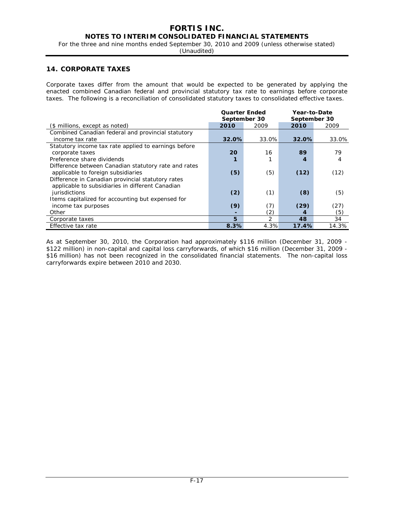### **NOTES TO INTERIM CONSOLIDATED FINANCIAL STATEMENTS**

For the three and nine months ended September 30, 2010 and 2009 (unless otherwise stated)

(Unaudited)

### **14. CORPORATE TAXES**

Corporate taxes differ from the amount that would be expected to be generated by applying the enacted combined Canadian federal and provincial statutory tax rate to earnings before corporate taxes. The following is a reconciliation of consolidated statutory taxes to consolidated effective taxes.

|                                                                                                                        | <b>Quarter Ended</b><br>September 30 |       | Year-to-Date<br>September 30 |       |
|------------------------------------------------------------------------------------------------------------------------|--------------------------------------|-------|------------------------------|-------|
| (\$ millions, except as noted)                                                                                         | 2010                                 | 2009  | 2010                         | 2009  |
| Combined Canadian federal and provincial statutory                                                                     |                                      |       |                              |       |
| income tax rate                                                                                                        | 32.0%                                | 33.0% | 32.0%                        | 33.0% |
| Statutory income tax rate applied to earnings before                                                                   |                                      |       |                              |       |
| corporate taxes                                                                                                        | 20                                   | 16    | 89                           | 79    |
| Preference share dividends                                                                                             |                                      |       | 4                            | 4     |
| Difference between Canadian statutory rate and rates<br>applicable to foreign subsidiaries                             | (5)                                  | (5)   | (12)                         | (12)  |
| Difference in Canadian provincial statutory rates<br>applicable to subsidiaries in different Canadian<br>jurisdictions | (2)                                  | (1)   | (8)                          | (5)   |
| Items capitalized for accounting but expensed for                                                                      |                                      |       |                              |       |
| income tax purposes                                                                                                    | (9)                                  | (7)   | (29)                         | (27)  |
| Other                                                                                                                  |                                      | (2)   | 4                            | (5)   |
| Corporate taxes                                                                                                        | 5                                    | 2     | 48                           | 34    |
| Effective tax rate                                                                                                     | 8.3%                                 | 4.3%  | 17.4%                        | 14.3% |

As at September 30, 2010, the Corporation had approximately \$116 million (December 31, 2009 - \$122 million) in non-capital and capital loss carryforwards, of which \$16 million (December 31, 2009 - \$16 million) has not been recognized in the consolidated financial statements. The non-capital loss carryforwards expire between 2010 and 2030.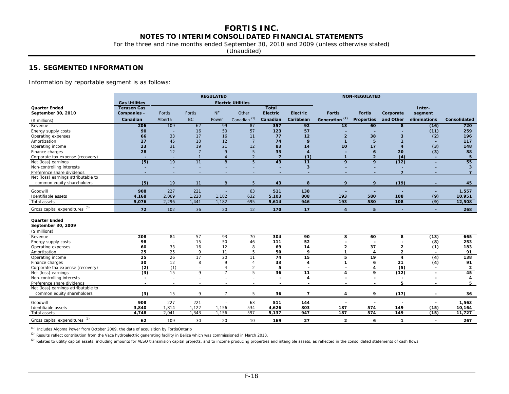For the three and nine months ended September 30, 2010 and 2009 (unless otherwise stated)

(Unaudited)

### **15. SEGMENTED INFORMATION**

Information by reportable segment is as follows:

|                                            | <b>REGULATED</b>         |                          |                          |                |                           |                          |                          | <b>NON-REGULATED</b>     |                          |                         |                          |                         |
|--------------------------------------------|--------------------------|--------------------------|--------------------------|----------------|---------------------------|--------------------------|--------------------------|--------------------------|--------------------------|-------------------------|--------------------------|-------------------------|
|                                            | <b>Gas Utilities</b>     |                          |                          |                | <b>Electric Utilities</b> |                          |                          |                          |                          |                         |                          |                         |
| <b>Quarter Ended</b>                       | <b>Terasen Gas</b>       |                          |                          |                |                           | <b>Total</b>             |                          |                          |                          |                         | Inter-                   |                         |
| September 30, 2010                         | Companies -              | Fortis                   | Fortis                   | <b>NF</b>      | Other                     | <b>Electric</b>          | <b>Electric</b>          | <b>Fortis</b>            | <b>Fortis</b>            | Corporate               | segment                  |                         |
| (\$ millions)                              | Canadian                 | Alberta                  | <b>BC</b>                | Power          | Canadian <sup>(1)</sup>   | Canadian                 | Caribbean                | (2)<br>Generation        | Properties               | and Other               | eliminations             | Consolidated            |
| Revenue                                    | 206                      | 109                      | 62                       | 99             | 87                        | 357                      | 92                       | 13                       | 60                       | 8                       | (16)                     | $\overline{720}$        |
| Energy supply costs                        | 90                       |                          | 16                       | 50             | 57                        | 123                      | 57                       |                          |                          |                         | (11)                     | 259                     |
| Operating expenses                         | 66                       | 33                       | 17                       | 16             | 11                        | 77                       | 12                       | $\overline{2}$           | 38                       | 3                       | (2)                      | 196                     |
| Amortization                               | 27                       | 45                       | 10                       | 12             | 7                         | 74                       | 9                        | $\mathbf{1}$             | 5                        | $\mathbf{1}$            | $\overline{a}$           | 117                     |
| Operating income                           | $\overline{23}$          | 31                       | $\overline{19}$          | 21             | 12                        | $\overline{83}$          | 14                       | 10                       | 17                       | $\overline{4}$          | (3)                      | $\frac{1}{148}$         |
| Finance charges                            | 28                       | 12                       | $\overline{7}$           | 9              | 5                         | 33                       | $\overline{4}$           |                          | 6                        | 20                      | (3)                      | 88                      |
| Corporate tax expense (recovery)           |                          | $\sim$                   | $\overline{1}$           | $\overline{A}$ | $\overline{2}$            | $\overline{7}$           | (1)                      | $\mathbf{1}$             | $\overline{2}$           | (4)                     | $\sim$                   | 5                       |
| Net (loss) earnings                        | (5)                      | $\overline{19}$          | 11                       | $\overline{8}$ | $\overline{5}$            | 43                       | 11                       | $\overline{9}$           | $\overline{9}$           | (12)                    | $\overline{a}$           | $\overline{55}$         |
| Non-controlling interests                  |                          |                          |                          |                |                           |                          | $\overline{\mathbf{3}}$  |                          |                          |                         |                          | $\overline{\mathbf{3}}$ |
| Preference share dividends                 |                          |                          |                          |                |                           |                          |                          |                          |                          | $\overline{7}$          |                          | $\overline{7}$          |
| Net (loss) earnings attributable to        |                          |                          |                          |                |                           |                          |                          |                          |                          |                         |                          |                         |
| common equity shareholders                 | (5)                      | 19                       | 11                       | 8              | 5                         | 43                       | 8                        | 9                        | 9                        | (19)                    |                          | 45                      |
| Goodwill                                   | 908                      | 227                      | 221                      |                | 63                        | 511                      | 138                      |                          |                          |                         |                          | 1,557                   |
| Identifiable assets                        | 4,168                    | 2,069                    | 1,220                    | 1,182          | 632                       | 5,103                    | 808                      | 193                      | 580                      | 108                     | (9)                      | 10,951                  |
| Total assets                               | 5,076                    | 2,296                    | 1,441                    | 1,182          | 695                       | 5,614                    | 946                      | 193                      | 580                      | $\overline{108}$        | (9)                      | 12,508                  |
| Gross capital expenditures (3)             | 72                       | 102                      | 36                       | 20             | 12                        | 170                      | 17                       | $\overline{\mathbf{A}}$  | 5                        |                         | $\sim$                   | 268                     |
| <b>Quarter Ended</b><br>September 30, 2009 |                          |                          |                          |                |                           |                          |                          |                          |                          |                         |                          |                         |
| (\$ millions)                              |                          |                          |                          |                |                           |                          |                          |                          |                          |                         |                          |                         |
| Revenue                                    | 208                      | 84                       | 57                       | 93             | 70                        | 304                      | 90                       | 8                        | 60                       | 8                       | (13)                     | 665                     |
| Energy supply costs                        | 98                       |                          | 15                       | 50             | 46                        | 111                      | 52                       |                          |                          |                         | (8)                      | 253                     |
| Operating expenses                         | 60                       | 33                       | 16                       | 12             | 8                         | 69                       | 14                       | 2                        | 37                       | $\overline{\mathbf{2}}$ | (1)                      | 183                     |
| Amortization                               | 25                       | 25                       | 9                        | 11             | 5                         | 50                       | 9                        | -1                       | 4                        | $\overline{2}$          | $\overline{\phantom{a}}$ | 91                      |
| Operating income                           | 25                       | 26                       | 17                       | 20             | 11                        | $\overline{74}$          | 15                       | 5                        | $\overline{19}$          | $\overline{4}$          | $\overline{(4)}$         | 138                     |
| Finance charges                            | 30                       | 12                       | 8                        | 9              | $\overline{A}$            | 33                       | $\overline{4}$           |                          | 6                        | 21                      | (4)                      | 91                      |
| Corporate tax expense (recovery)           | (2)                      | (1)                      | $\sim$                   | 4              | $\overline{2}$            | 5                        | $\overline{\phantom{0}}$ | $\overline{\phantom{0}}$ | 4                        | (5)                     | $\blacksquare$           | $\overline{2}$          |
| Net (loss) earnings                        | $\overline{3}$           | 15                       | $\overline{9}$           | $\overline{7}$ | 5                         | 36                       | $\overline{11}$          | 4                        | 9                        | (12)                    | $\blacksquare$           | 45                      |
| Non-controlling interests                  |                          | $\overline{\phantom{a}}$ | ٠                        |                | ٠                         |                          | $\overline{4}$           |                          |                          | $\overline{a}$          |                          | 4                       |
| Preference share dividends                 | $\overline{\phantom{0}}$ | $\sim$                   | $\overline{\phantom{a}}$ |                | $\overline{\phantom{a}}$  | $\overline{\phantom{0}}$ |                          |                          | $\overline{\phantom{0}}$ | 5                       |                          | 5                       |
| Net (loss) earnings attributable to        |                          |                          |                          |                |                           |                          |                          |                          |                          |                         |                          |                         |
| common equity shareholders                 | (3)                      | 15                       | 9                        | $\overline{7}$ | 5                         | 36                       | $\overline{7}$           | 4                        | 9                        | (17)                    |                          | 36                      |
| Goodwill                                   | 908                      | 227                      | 221                      |                | 63                        | 511                      | 144                      |                          |                          |                         |                          | 1,563                   |
| Identifiable assets                        | 3,840                    | 1,814                    | 1,122                    | 1,156          | 534                       | 4,626                    | 803                      | 187                      | 574                      | 149                     | (15)                     | 10,164                  |
| Total assets                               | 4,748                    | 2,041                    | 1,343                    | 1,156          | 597                       | 5,137                    | 947                      | 187                      | 574                      | 149                     | (15)                     | 11,727                  |
| Gross capital expenditures (3)             | 62                       | 109                      | 30                       | 20             | 10                        | 169                      | 27                       | $\overline{2}$           | 6                        | $\mathbf{1}$            |                          | 267                     |

*(1)* Includes Algoma Power from October 2009, the date of acquisition by FortisOntario

*(2)* Results reflect contribution from the Vaca hydroelectric generating facility in Belize which was commissioned in March 2010.

<sup>(3)</sup> Relates to utility capital assets, including amounts for AESO transmision capital projects, and to income producing properties and intangible assets, as reflected in the consolidated statements of cash flows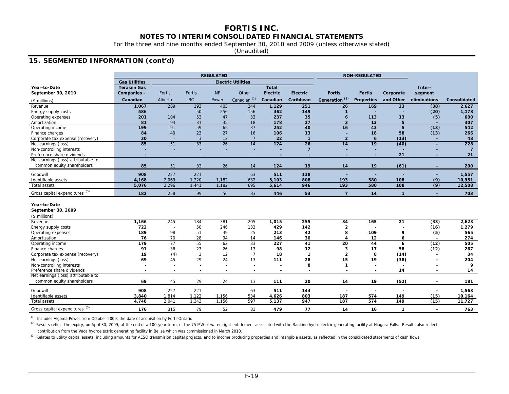For the three and nine months ended September 30, 2010 and 2009 (unless otherwise stated)

(Unaudited)

## **15. SEGMENTED INFORMATION (cont'd)**

|                                                     |                      | <b>REGULATED</b>         |              |                 |                           |                  |                          |                           |                     | <b>NON-REGULATED</b> |                          |                     |  |
|-----------------------------------------------------|----------------------|--------------------------|--------------|-----------------|---------------------------|------------------|--------------------------|---------------------------|---------------------|----------------------|--------------------------|---------------------|--|
|                                                     | <b>Gas Utilities</b> |                          |              |                 | <b>Electric Utilities</b> |                  |                          |                           |                     |                      |                          |                     |  |
| Year-to-Date                                        | <b>Terasen Gas</b>   |                          |              |                 |                           | <b>Total</b>     |                          |                           |                     |                      | Inter-                   |                     |  |
| September 30, 2010                                  | Companies -          | <b>Fortis</b>            | Fortis       | <b>NF</b>       | Other                     | <b>Electric</b>  | <b>Electric</b>          | <b>Fortis</b>             | <b>Fortis</b>       | Corporate            | segment                  |                     |  |
| (\$ millions)                                       | Canadian             | Alberta                  | <b>BC</b>    | Power           | Canadian <sup>(1)</sup>   | Canadian         | Caribbean                | Generation <sup>(2)</sup> | <b>Properties</b>   | and Other            | eliminations             | <b>Consolidated</b> |  |
| Revenue                                             | 1,067                | 289                      | 193          | 403             | 244                       | 1,129            | 251                      | $\overline{26}$           | 169                 | $\overline{23}$      | (38)                     | 2,627               |  |
| Energy supply costs                                 | 586                  |                          | 50           | 256             | 156                       | 462              | 149                      | -1                        |                     |                      | (20)                     | 1,178               |  |
| Operating expenses                                  | 201                  | 104                      | 53           | 47              | 33                        | 237              | 35                       | $\ddot{\mathbf{6}}$       | 113                 | 13                   | (5)                      | 600                 |  |
| Amortization                                        | 81                   | 94                       | 31           | 35              | 18                        | 178              | 27                       | $\overline{\mathbf{3}}$   | 13                  | 5                    |                          | 307                 |  |
| Operating income                                    | 199                  | 91                       | 59           | 65              | 37                        | 252              | 40                       | $\overline{16}$           | 43                  | $\overline{5}$       | (13)                     | 542                 |  |
| Finance charges                                     | 84                   | 40                       | 23           | 27              | 16                        | 106              | 13                       |                           | 18                  | 58                   | (13)                     | 266                 |  |
| Corporate tax expense (recovery)                    | 30                   | $\overline{\phantom{a}}$ | $\mathbf{3}$ | 12              | $\overline{7}$            | 22               | $\overline{1}$           | $\overline{2}$            | $\ddot{\mathbf{6}}$ | (13)                 |                          | 48                  |  |
| Net earnings (loss)                                 | 85                   | 51                       | 33           | $\overline{26}$ | 14                        | $\frac{1}{24}$   | $\overline{26}$          | $\overline{14}$           | $\overline{19}$     | (40)                 |                          | 228                 |  |
| Non-controlling interests                           |                      |                          |              |                 |                           |                  | $\overline{7}$           |                           |                     |                      |                          | $\overline{7}$      |  |
| Preference share dividends                          |                      | $\sim$                   |              |                 |                           |                  | $\overline{\phantom{a}}$ |                           | ٠                   | 21                   |                          | 21                  |  |
| Net earnings (loss) attributable to                 |                      |                          |              |                 |                           |                  |                          |                           |                     |                      |                          |                     |  |
| common equity shareholders                          | 85                   | 51                       | 33           | 26              | 14                        | 124              | 19                       | 14                        | 19                  | (61)                 |                          | 200                 |  |
| Goodwill                                            | 908                  | 227                      | 221          | L,              | 63                        | 511              | 138                      | ÷,                        |                     |                      |                          | 1,557               |  |
| Identifiable assets                                 | 4,168                | 2,069                    | 1,220        | 1,182           | 632                       | 5,103            | 808                      | 193                       | 580                 | 108                  | (9)                      | 10,951              |  |
| Total assets                                        | 5,076                | 2,296                    | 1,441        | 1,182           | 695                       | 5,614            | 946                      | 193                       | 580                 | 108                  | (9)                      | 12,508              |  |
| Gross capital expenditures (3)                      | 182                  | 258                      | 99           | 56              | 33                        | 446              | 53                       | $\overline{7}$            | 14                  | $\mathbf{1}$         | ٠.                       | 703                 |  |
| Year-to-Date<br>September 30, 2009<br>(\$ millions) |                      |                          |              |                 |                           |                  |                          |                           |                     |                      |                          |                     |  |
| Revenue                                             | 1,166                | 245                      | 184          | 381             | 205                       | 1,015            | 255                      | 34                        | 165                 | $\overline{21}$      | (33)                     | 2,623               |  |
| Energy supply costs                                 | 722                  | Ē,                       | 50           | 246             | 133                       | 429              | 142                      | $\overline{2}$            |                     |                      | (16)                     | 1,279               |  |
| Operating expenses                                  | 189                  | 98                       | 51           | 39              | 25                        | 213              | 42                       | 8                         | 109                 | 9                    | (5)                      | 565                 |  |
| Amortization                                        | 76                   | 70                       | 28           | 34              | 14                        | 146              | 30                       | Δ                         | 12                  | 6                    |                          | 274                 |  |
| Operating income                                    | $\overline{179}$     | 77                       | 55           | 62              | 33                        | $\overline{227}$ | 41                       | $\overline{20}$           | 44                  | 6                    | (12)                     | 505                 |  |
| Finance charges                                     | 91                   | 36                       | 23           | 26              | 13                        | 98               | 12                       | 3                         | 17                  | 58                   | (12)                     | 267                 |  |
| Corporate tax expense (recovery)                    | 19                   | (4)                      | 3            | 12              | $\overline{7}$            | 18               | $\mathbf{1}$             | $\overline{2}$            | 8                   | (14)                 | $\overline{\phantom{a}}$ | 34                  |  |
| Net earnings (loss)                                 | 69                   | 45                       | 29           | 24              | $\overline{13}$           | 111              | $\overline{28}$          | $\overline{15}$           | 19                  | (38)                 |                          | 204                 |  |
| Non-controlling interests                           | ٠                    | $\overline{\phantom{a}}$ |              |                 |                           |                  | 8                        | -1                        |                     |                      |                          | 9                   |  |
| Preference share dividends                          |                      |                          |              |                 |                           |                  |                          |                           |                     | 14                   |                          | 14                  |  |
| Net earnings (loss) attributable to                 |                      |                          |              |                 |                           |                  |                          |                           |                     |                      |                          |                     |  |
| common equity shareholders                          | 69                   | 45                       | 29           | 24              | 13                        | 111              | 20                       | 14                        | 19                  | (52)                 | $\overline{\phantom{a}}$ | 181                 |  |
| Goodwill                                            | 908                  | 227                      | 221          |                 | 63                        | 511              | 144                      |                           | ٠.                  |                      |                          | 1,563               |  |
| Identifiable assets                                 | 3,840                | 1,814                    | 1,122        | 1,156           | 534                       | 4,626            | 803                      | 187                       | 574                 | 149                  | (15)                     | 10,164              |  |
| <b>Total assets</b>                                 | 4,748                | 2,041                    | 1,343        | 1,156           | 597                       | 5,137            | 947                      | 187                       | 574                 | 149                  | (15)                     | 11,727              |  |
| Gross capital expenditures (3)                      | 176                  | 315                      | 79           | 52              | 33                        | 479              | 77                       | 14                        | 16                  | 1                    |                          | 763                 |  |

*(1)* Includes Algoma Power from October 2009, the date of acquisition by FortisOntario

(2) Results reflect the expiry, on April 30, 2009, at the end of a 100-year term, of the 75 MW of water-right entitlement associated with the Rankine hydroelectric generating facility at Niagara Falls. Results also reflect contribution from the Vaca hydroelectric generating facility in Belize which was commissioned in March 2010.

<sup>(3)</sup> Relates to utility capital assets, including amounts for AESO transmision capital projects, and to income producing properties and intangible assets, as reflected in the consolidated statements of cash flows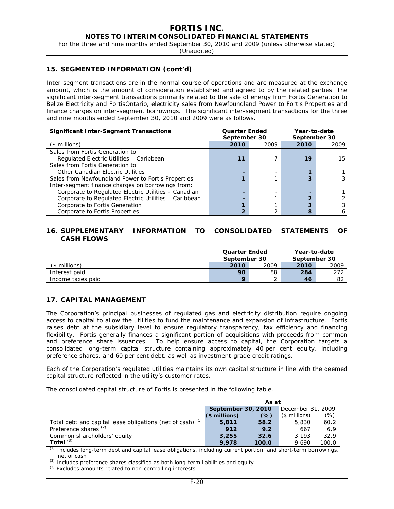For the three and nine months ended September 30, 2010 and 2009 (unless otherwise stated)

(Unaudited)

### **15. SEGMENTED INFORMATION (cont'd)**

Inter-segment transactions are in the normal course of operations and are measured at the exchange amount, which is the amount of consideration established and agreed to by the related parties. The significant inter-segment transactions primarily related to the sale of energy from Fortis Generation to Belize Electricity and FortisOntario, electricity sales from Newfoundland Power to Fortis Properties and finance charges on inter-segment borrowings. The significant inter-segment transactions for the three and nine months ended September 30, 2010 and 2009 were as follows.

| <b>Significant Inter-Segment Transactions</b>         | <b>Quarter Ended</b><br>September 30 |      | Year-to-date<br>September 30 |      |  |  |
|-------------------------------------------------------|--------------------------------------|------|------------------------------|------|--|--|
| (\$ millions)                                         | 2010                                 | 2009 | 2010                         | 2009 |  |  |
| Sales from Fortis Generation to                       |                                      |      |                              |      |  |  |
| Regulated Electric Utilities - Caribbean              | 11                                   |      | 19                           | 15   |  |  |
| Sales from Fortis Generation to                       |                                      |      |                              |      |  |  |
| Other Canadian Electric Utilities                     |                                      |      |                              |      |  |  |
| Sales from Newfoundland Power to Fortis Properties    |                                      |      |                              |      |  |  |
| Inter-segment finance charges on borrowings from:     |                                      |      |                              |      |  |  |
| Corporate to Regulated Electric Utilities - Canadian  |                                      |      |                              |      |  |  |
| Corporate to Regulated Electric Utilities - Caribbean |                                      |      |                              |      |  |  |
| Corporate to Fortis Generation                        |                                      |      |                              |      |  |  |
| Corporate to Fortis Properties                        |                                      |      |                              |      |  |  |

## **16. SUPPLEMENTARY INFORMATION TO CONSOLIDATED STATEMENTS OF CASH FLOWS**

|                   | <b>Quarter Ended</b><br>September 30 |      | Year-to-date<br>September 30 |      |  |
|-------------------|--------------------------------------|------|------------------------------|------|--|
| (\$ millions)     | 2010                                 | 2009 | 2010                         | 2009 |  |
| Interest paid     | 90                                   | 88   | 284                          | 272  |  |
| Income taxes paid | $\Omega$                             |      | 46                           | 82   |  |

#### **17. CAPITAL MANAGEMENT**

The Corporation's principal businesses of regulated gas and electricity distribution require ongoing access to capital to allow the utilities to fund the maintenance and expansion of infrastructure. Fortis raises debt at the subsidiary level to ensure regulatory transparency, tax efficiency and financing flexibility. Fortis generally finances a significant portion of acquisitions with proceeds from common and preference share issuances. To help ensure access to capital, the Corporation targets a consolidated long-term capital structure containing approximately 40 per cent equity, including preference shares, and 60 per cent debt, as well as investment-grade credit ratings.

Each of the Corporation's regulated utilities maintains its own capital structure in line with the deemed capital structure reflected in the utility's customer rates.

The consolidated capital structure of Fortis is presented in the following table.

|                                                            | As at         |                    |                |                   |
|------------------------------------------------------------|---------------|--------------------|----------------|-------------------|
|                                                            |               | September 30, 2010 |                | December 31, 2009 |
|                                                            | $$$ millions) | (%)                | $($$ millions) | (%)               |
| Total debt and capital lease obligations (net of cash) (1) | 5,811         | 58.2               | 5,830          | 60.2              |
| Preference shares <sup>(2)</sup>                           | 912           | 9.2                | 667            | 6.9               |
| Common shareholders' equity                                | 3.255         | 32.6               | 3.193          | 32.9              |
| Total $(3)$                                                | 9.978         | 100.0              | 9.690          | 100.0             |

*(1)* Includes long-term debt and capital lease obligations, including current portion, and short-term borrowings, net of cash

*(2)* Includes preference shares classified as both long-term liabilities and equity

*(3)* Excludes amounts related to non-controlling interests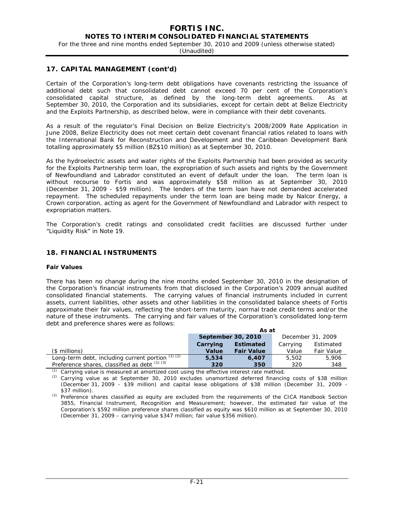For the three and nine months ended September 30, 2010 and 2009 (unless otherwise stated)

(Unaudited)

#### **17. CAPITAL MANAGEMENT (cont'd)**

Certain of the Corporation's long-term debt obligations have covenants restricting the issuance of additional debt such that consolidated debt cannot exceed 70 per cent of the Corporation's consolidated capital structure, as defined by the long-term debt agreements. As at September 30, 2010, the Corporation and its subsidiaries, except for certain debt at Belize Electricity and the Exploits Partnership, as described below, were in compliance with their debt covenants.

As a result of the regulator's Final Decision on Belize Electricity's 2008/2009 Rate Application in June 2008, Belize Electricity does not meet certain debt covenant financial ratios related to loans with the International Bank for Reconstruction and Development and the Caribbean Development Bank totalling approximately \$5 million (BZ\$10 million) as at September 30, 2010.

As the hydroelectric assets and water rights of the Exploits Partnership had been provided as security for the Exploits Partnership term loan, the expropriation of such assets and rights by the Government of Newfoundland and Labrador constituted an event of default under the loan. The term loan is without recourse to Fortis and was approximately \$58 million as at September 30, 2010 (December 31, 2009 - \$59 million). The lenders of the term loan have not demanded accelerated repayment. The scheduled repayments under the term loan are being made by Nalcor Energy, a Crown corporation, acting as agent for the Government of Newfoundland and Labrador with respect to expropriation matters.

The Corporation's credit ratings and consolidated credit facilities are discussed further under "Liquidity Risk" in Note 19.

### **18. FINANCIAL INSTRUMENTS**

#### **Fair Values**

There has been no change during the nine months ended September 30, 2010 in the designation of the Corporation's financial instruments from that disclosed in the Corporation's 2009 annual audited consolidated financial statements. The carrying values of financial instruments included in current assets, current liabilities, other assets and other liabilities in the consolidated balance sheets of Fortis approximate their fair values, reflecting the short-term maturity, normal trade credit terms and/or the nature of these instruments. The carrying and fair values of the Corporation's consolidated long-term debt and preference shares were as follows:

|                                                        | As at              |                   |          |                   |
|--------------------------------------------------------|--------------------|-------------------|----------|-------------------|
|                                                        | September 30, 2010 |                   |          | December 31, 2009 |
|                                                        | Carrying           | <b>Estimated</b>  | Carrying | Estimated         |
| (\$ millions)                                          | Value              | <b>Fair Value</b> | Value    | <b>Fair Value</b> |
| Long-term debt, including current portion $\sqrt{7/2}$ | 5,534              | 6,407             | 5,502    | 5,906             |
| Preference shares, classified as debt $(1)(3)$         | 320                | 350               | 320      | 348               |

Carrying value is measured at amortized cost using the effective interest rate method.

*(2)* Carrying value as at September 30, 2010 excludes unamortized deferred financing costs of \$38 million (December 31, 2009 - \$39 million) and capital lease obligations of \$38 million (December 31, 2009 - \$37 million).

*(3)* Preference shares classified as equity are excluded from the requirements of the CICA Handbook Section 3855, *Financial Instrument, Recognition and Measurement*; however, the estimated fair value of the Corporation's \$592 million preference shares classified as equity was \$610 million as at September 30, 2010 (December 31, 2009 – carrying value \$347 million; fair value \$356 million).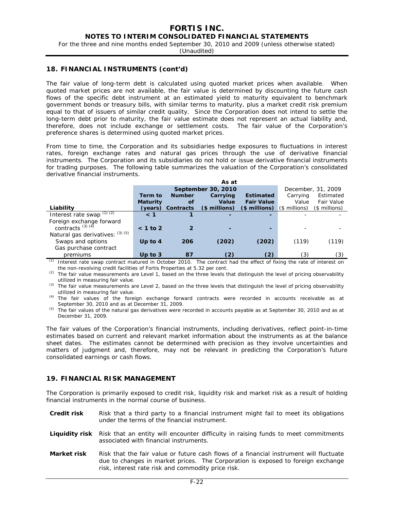For the three and nine months ended September 30, 2010 and 2009 (unless otherwise stated)

(Unaudited)

#### **18. FINANCIAL INSTRUMENTS (cont'd)**

The fair value of long-term debt is calculated using quoted market prices when available. When quoted market prices are not available, the fair value is determined by discounting the future cash flows of the specific debt instrument at an estimated yield to maturity equivalent to benchmark government bonds or treasury bills, with similar terms to maturity, plus a market credit risk premium equal to that of issuers of similar credit quality. Since the Corporation does not intend to settle the long-term debt prior to maturity, the fair value estimate does not represent an actual liability and, therefore, does not include exchange or settlement costs. The fair value of the Corporation's preference shares is determined using quoted market prices.

From time to time, the Corporation and its subsidiaries hedge exposures to fluctuations in interest rates, foreign exchange rates and natural gas prices through the use of derivative financial instruments. The Corporation and its subsidiaries do not hold or issue derivative financial instruments for trading purposes. The following table summarizes the valuation of the Corporation's consolidated derivative financial instruments.

|                                           | As at           |               |                          |                   |                |                    |  |
|-------------------------------------------|-----------------|---------------|--------------------------|-------------------|----------------|--------------------|--|
|                                           |                 |               | September 30, 2010       |                   |                | December, 31, 2009 |  |
|                                           | Term to         | <b>Number</b> | Carrying                 | <b>Estimated</b>  | Carrying       | Estimated          |  |
|                                           | <b>Maturity</b> | οf            | Value                    | <b>Fair Value</b> | Value          | Fair Value         |  |
| Liability                                 | (years)         | Contracts     | $$$ millions)            | (\$ millions)     | $($$ millions) | (\$ millions)      |  |
| Interest rate swap $(1)$ $\overline{(2)}$ | < 1             |               | $\overline{\phantom{0}}$ | -                 |                |                    |  |
| Foreign exchange forward                  |                 |               |                          |                   |                |                    |  |
| contracts $(3)$ $(4)$                     | $< 1$ to 2      |               |                          |                   |                |                    |  |
| Natural gas derivatives: (3) (5)          |                 |               |                          |                   |                |                    |  |
| Swaps and options                         | Up to $4$       | 206           | (202)                    | (202)             | (119)          | (119)              |  |
| Gas purchase contract                     |                 |               |                          |                   |                |                    |  |
| premiums                                  | Up to $3$       | 87            | (2)                      | (2)               | (3)            | (3)                |  |

*(1)* Interest rate swap contract matured in October 2010. The contract had the effect of fixing the rate of interest on the non-revolving credit facilities of Fortis Properties at 5.32 per cent.

*(2)* The fair value measurements are Level 1, based on the three levels that distinguish the level of pricing observability utilized in measuring fair value.

*(3)* The fair value measurements are Level 2, based on the three levels that distinguish the level of pricing observability utilized in measuring fair value.

*(4)* The fair values of the foreign exchange forward contracts were recorded in accounts receivable as at September 30, 2010 and as at December 31, 2009.

*(5)* The fair values of the natural gas derivatives were recorded in accounts payable as at September 30, 2010 and as at December 31, 2009.

The fair values of the Corporation's financial instruments, including derivatives, reflect point-in-time estimates based on current and relevant market information about the instruments as at the balance sheet dates. The estimates cannot be determined with precision as they involve uncertainties and matters of judgment and, therefore, may not be relevant in predicting the Corporation's future consolidated earnings or cash flows.

### **19. FINANCIAL RISK MANAGEMENT**

The Corporation is primarily exposed to credit risk, liquidity risk and market risk as a result of holding financial instruments in the normal course of business.

- **Credit risk** Risk that a third party to a financial instrument might fail to meet its obligations under the terms of the financial instrument.
- **Liquidity risk** Risk that an entity will encounter difficulty in raising funds to meet commitments associated with financial instruments.
- **Market risk** Risk that the fair value or future cash flows of a financial instrument will fluctuate due to changes in market prices. The Corporation is exposed to foreign exchange risk, interest rate risk and commodity price risk.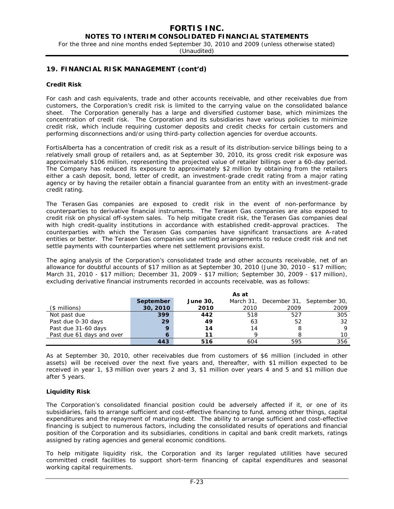For the three and nine months ended September 30, 2010 and 2009 (unless otherwise stated)

(Unaudited)

### **19. FINANCIAL RISK MANAGEMENT (cont'd)**

#### **Credit Risk**

For cash and cash equivalents, trade and other accounts receivable, and other receivables due from customers, the Corporation's credit risk is limited to the carrying value on the consolidated balance sheet. The Corporation generally has a large and diversified customer base, which minimizes the concentration of credit risk. The Corporation and its subsidiaries have various policies to minimize credit risk, which include requiring customer deposits and credit checks for certain customers and performing disconnections and/or using third-party collection agencies for overdue accounts.

FortisAlberta has a concentration of credit risk as a result of its distribution-service billings being to a relatively small group of retailers and, as at September 30, 2010, its gross credit risk exposure was approximately \$106 million, representing the projected value of retailer billings over a 60-day period. The Company has reduced its exposure to approximately \$2 million by obtaining from the retailers either a cash deposit, bond, letter of credit, an investment-grade credit rating from a major rating agency or by having the retailer obtain a financial guarantee from an entity with an investment-grade credit rating.

The Terasen Gas companies are exposed to credit risk in the event of non-performance by counterparties to derivative financial instruments. The Terasen Gas companies are also exposed to credit risk on physical off-system sales. To help mitigate credit risk, the Terasen Gas companies deal with high credit-quality institutions in accordance with established credit-approval practices. The counterparties with which the Terasen Gas companies have significant transactions are A-rated entities or better. The Terasen Gas companies use netting arrangements to reduce credit risk and net settle payments with counterparties where net settlement provisions exist.

The aging analysis of the Corporation's consolidated trade and other accounts receivable, net of an allowance for doubtful accounts of \$17 million as at September 30, 2010 (June 30, 2010 - \$17 million; March 31, 2010 - \$17 million; December 31, 2009 - \$17 million; September 30, 2009 - \$17 million), excluding derivative financial instruments recorded in accounts receivable, was as follows:

|                           | As at       |                 |      |      |                                      |
|---------------------------|-------------|-----------------|------|------|--------------------------------------|
|                           | September   | <b>June 30,</b> |      |      | March 31, December 31, September 30, |
| $($$ millions)            | 30, 2010    | 2010            | 2010 | 2009 | 2009                                 |
| Not past due              | 399         | 442             | 518  | 527  | 305                                  |
| Past due 0-30 days        | 29          | 49              | 63   | 52   | 32                                   |
| Past due 31-60 days       | $\mathbf Q$ | 14              | 14   | 8    | Q                                    |
| Past due 61 days and over |             | 11              |      |      | 10                                   |
|                           | 443         | 516             | 604  | 595  | 356                                  |

As at September 30, 2010, other receivables due from customers of \$6 million (included in other assets) will be received over the next five years and, thereafter, with \$1 million expected to be received in year 1, \$3 million over years 2 and 3, \$1 million over years 4 and 5 and \$1 million due after 5 years.

#### **Liquidity Risk**

The Corporation's consolidated financial position could be adversely affected if it, or one of its subsidiaries, fails to arrange sufficient and cost-effective financing to fund, among other things, capital expenditures and the repayment of maturing debt. The ability to arrange sufficient and cost-effective financing is subject to numerous factors, including the consolidated results of operations and financial position of the Corporation and its subsidiaries, conditions in capital and bank credit markets, ratings assigned by rating agencies and general economic conditions.

To help mitigate liquidity risk, the Corporation and its larger regulated utilities have secured committed credit facilities to support short-term financing of capital expenditures and seasonal working capital requirements.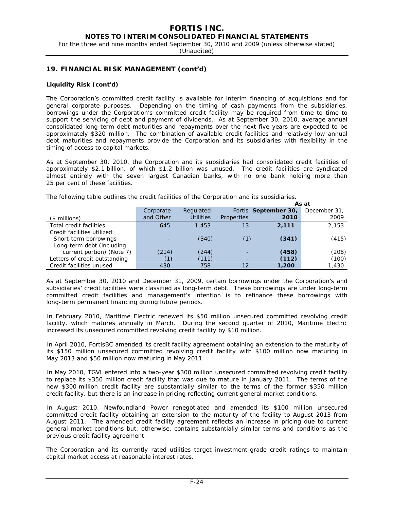For the three and nine months ended September 30, 2010 and 2009 (unless otherwise stated)

(Unaudited)

### **19. FINANCIAL RISK MANAGEMENT (cont'd)**

#### **Liquidity Risk (cont'd)**

The Corporation's committed credit facility is available for interim financing of acquisitions and for general corporate purposes. Depending on the timing of cash payments from the subsidiaries, borrowings under the Corporation's committed credit facility may be required from time to time to support the servicing of debt and payment of dividends. As at September 30, 2010, average annual consolidated long-term debt maturities and repayments over the next five years are expected to be approximately \$320 million. The combination of available credit facilities and relatively low annual debt maturities and repayments provide the Corporation and its subsidiaries with flexibility in the timing of access to capital markets.

As at September 30, 2010, the Corporation and its subsidiaries had consolidated credit facilities of approximately \$2.1 billion, of which \$1.2 billion was unused. The credit facilities are syndicated almost entirely with the seven largest Canadian banks, with no one bank holding more than 25 per cent of these facilities.

The following table outlines the credit facilities of the Corporation and its subsidiaries.

|                               |           |                  |            |                      | As at        |
|-------------------------------|-----------|------------------|------------|----------------------|--------------|
|                               | Corporate | Regulated        |            | Fortis September 30, | December 31, |
| $($$ millions)                | and Other | <b>Utilities</b> | Properties | 2010                 | 2009         |
| Total credit facilities       | 645       | 1,453            | 13         | 2.111                | 2.153        |
| Credit facilities utilized:   |           |                  |            |                      |              |
| Short-term borrowings         |           | (340)            | (1)        | (341)                | (415)        |
| Long-term debt (including     |           |                  |            |                      |              |
| current portion) (Note 7)     | (214)     | (244)            |            | (458)                | (208)        |
| Letters of credit outstanding |           | (111)            |            | (112)                | (100)        |
| Credit facilities unused      | 430       | 758              | 12         | 1,200                | 1,430        |

As at September 30, 2010 and December 31, 2009, certain borrowings under the Corporation's and subsidiaries' credit facilities were classified as long-term debt. These borrowings are under long-term committed credit facilities and management's intention is to refinance these borrowings with long-term permanent financing during future periods.

In February 2010, Maritime Electric renewed its \$50 million unsecured committed revolving credit facility, which matures annually in March. During the second quarter of 2010, Maritime Electric increased its unsecured committed revolving credit facility by \$10 million.

In April 2010, FortisBC amended its credit facility agreement obtaining an extension to the maturity of its \$150 million unsecured committed revolving credit facility with \$100 million now maturing in May 2013 and \$50 million now maturing in May 2011.

In May 2010, TGVI entered into a two-year \$300 million unsecured committed revolving credit facility to replace its \$350 million credit facility that was due to mature in January 2011. The terms of the new \$300 million credit facility are substantially similar to the terms of the former \$350 million credit facility, but there is an increase in pricing reflecting current general market conditions.

In August 2010, Newfoundland Power renegotiated and amended its \$100 million unsecured committed credit facility obtaining an extension to the maturity of the facility to August 2013 from August 2011. The amended credit facility agreement reflects an increase in pricing due to current general market conditions but, otherwise, contains substantially similar terms and conditions as the previous credit facility agreement.

The Corporation and its currently rated utilities target investment-grade credit ratings to maintain capital market access at reasonable interest rates.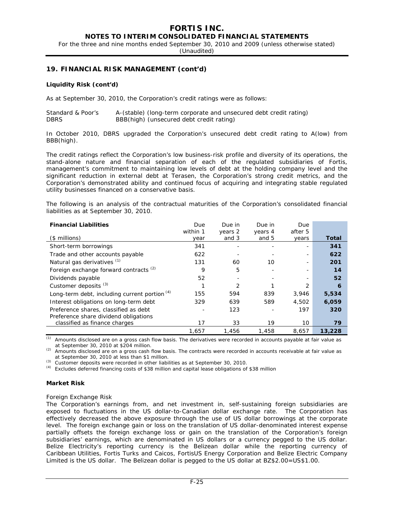For the three and nine months ended September 30, 2010 and 2009 (unless otherwise stated)

(Unaudited)

### **19. FINANCIAL RISK MANAGEMENT (cont'd)**

#### **Liquidity Risk (cont'd)**

As at September 30, 2010, the Corporation's credit ratings were as follows:

| Standard & Poor's | A-(stable) (long-term corporate and unsecured debt credit rating) |
|-------------------|-------------------------------------------------------------------|
| <b>DBRS</b>       | BBB(high) (unsecured debt credit rating)                          |

In October 2010, DBRS upgraded the Corporation's unsecured debt credit rating to A(low) from BBB(high).

The credit ratings reflect the Corporation's low business-risk profile and diversity of its operations, the stand-alone nature and financial separation of each of the regulated subsidiaries of Fortis, management's commitment to maintaining low levels of debt at the holding company level and the significant reduction in external debt at Terasen, the Corporation's strong credit metrics, and the Corporation's demonstrated ability and continued focus of acquiring and integrating stable regulated utility businesses financed on a conservative basis.

The following is an analysis of the contractual maturities of the Corporation's consolidated financial liabilities as at September 30, 2010.

| <b>Financial Liabilities</b>                      | Due      | Due in        | Due in  | Due     |                  |
|---------------------------------------------------|----------|---------------|---------|---------|------------------|
|                                                   | within 1 | years 2       | years 4 | after 5 |                  |
| $($$ millions)                                    | year     | and 3         | and 5   | years   | Total            |
| Short-term borrowings                             | 341      |               |         |         | 341              |
| Trade and other accounts payable                  | 622      |               |         |         | 622              |
| Natural gas derivatives (1)                       | 131      | 60            | 10      |         | 201              |
| Foreign exchange forward contracts <sup>(2)</sup> | 9        | 5             |         |         | 14               |
| Dividends payable                                 | 52       |               |         |         | 52               |
| Customer deposits <sup>(3)</sup>                  |          | $\mathcal{P}$ |         | 2       | $\boldsymbol{6}$ |
| Long-term debt, including current portion $(4)$   | 155      | 594           | 839     | 3,946   | 5,534            |
| Interest obligations on long-term debt            | 329      | 639           | 589     | 4,502   | 6,059            |
| Preference shares, classified as debt             |          | 123           |         | 197     | 320              |
| Preference share dividend obligations             |          |               |         |         |                  |
| classified as finance charges                     | 17       | 33            | 19      | 10      | 79               |
|                                                   | 1,657    | 1,456         | 1,458   | 8,657   | 13,228           |

*(1)* Amounts disclosed are on a gross cash flow basis. The derivatives were recorded in accounts payable at fair value as at September 30, 2010 at \$204 million.

*(2)* Amounts disclosed are on a gross cash flow basis. The contracts were recorded in accounts receivable at fair value as at September 30, 2010 at less than \$1 million.

*(3)* Customer deposits were recorded in other liabilities as at September 30, 2010.

*(4)* Excludes deferred financing costs of \$38 million and capital lease obligations of \$38 million

#### **Market Risk**

#### *Foreign Exchange Risk*

The Corporation's earnings from, and net investment in, self-sustaining foreign subsidiaries are exposed to fluctuations in the US dollar-to-Canadian dollar exchange rate. The Corporation has effectively decreased the above exposure through the use of US dollar borrowings at the corporate level. The foreign exchange gain or loss on the translation of US dollar-denominated interest expense partially offsets the foreign exchange loss or gain on the translation of the Corporation's foreign subsidiaries' earnings, which are denominated in US dollars or a currency pegged to the US dollar. Belize Electricity's reporting currency is the Belizean dollar while the reporting currency of Caribbean Utilities, Fortis Turks and Caicos, FortisUS Energy Corporation and Belize Electric Company Limited is the US dollar. The Belizean dollar is pegged to the US dollar at BZ\$2.00=US\$1.00.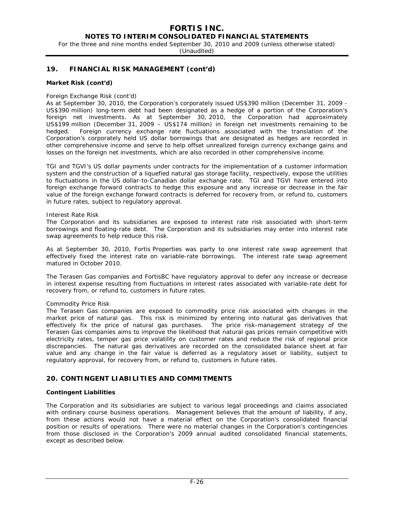### **NOTES TO INTERIM CONSOLIDATED FINANCIAL STATEMENTS**

For the three and nine months ended September 30, 2010 and 2009 (unless otherwise stated)

(Unaudited)

### **19. FINANCIAL RISK MANAGEMENT (cont'd)**

#### **Market Risk (cont'd)**

#### *Foreign Exchange Risk (cont'd)*

As at September 30, 2010, the Corporation's corporately issued US\$390 million (December 31, 2009 - US\$390 million) long-term debt had been designated as a hedge of a portion of the Corporation's foreign net investments. As at September 30, 2010, the Corporation had approximately US\$199 million (December 31, 2009 – US\$174 million) in foreign net investments remaining to be hedged. Foreign currency exchange rate fluctuations associated with the translation of the Corporation's corporately held US dollar borrowings that are designated as hedges are recorded in other comprehensive income and serve to help offset unrealized foreign currency exchange gains and losses on the foreign net investments, which are also recorded in other comprehensive income.

TGI and TGVI's US dollar payments under contracts for the implementation of a customer information system and the construction of a liquefied natural gas storage facility, respectively, expose the utilities to fluctuations in the US dollar-to-Canadian dollar exchange rate. TGI and TGVI have entered into foreign exchange forward contracts to hedge this exposure and any increase or decrease in the fair value of the foreign exchange forward contracts is deferred for recovery from, or refund to, customers in future rates, subject to regulatory approval.

#### *Interest Rate Risk*

The Corporation and its subsidiaries are exposed to interest rate risk associated with short-term borrowings and floating-rate debt. The Corporation and its subsidiaries may enter into interest rate swap agreements to help reduce this risk.

As at September 30, 2010, Fortis Properties was party to one interest rate swap agreement that effectively fixed the interest rate on variable-rate borrowings. The interest rate swap agreement matured in October 2010.

The Terasen Gas companies and FortisBC have regulatory approval to defer any increase or decrease in interest expense resulting from fluctuations in interest rates associated with variable-rate debt for recovery from, or refund to, customers in future rates.

#### *Commodity Price Risk*

The Terasen Gas companies are exposed to commodity price risk associated with changes in the market price of natural gas. This risk is minimized by entering into natural gas derivatives that effectively fix the price of natural gas purchases. The price risk-management strategy of the Terasen Gas companies aims to improve the likelihood that natural gas prices remain competitive with electricity rates, temper gas price volatility on customer rates and reduce the risk of regional price discrepancies. The natural gas derivatives are recorded on the consolidated balance sheet at fair value and any change in the fair value is deferred as a regulatory asset or liability, subject to regulatory approval, for recovery from, or refund to, customers in future rates.

### **20. CONTINGENT LIABILITIES AND COMMITMENTS**

#### **Contingent Liabilities**

The Corporation and its subsidiaries are subject to various legal proceedings and claims associated with ordinary course business operations. Management believes that the amount of liability, if any, from these actions would not have a material effect on the Corporation's consolidated financial position or results of operations. There were no material changes in the Corporation's contingencies from those disclosed in the Corporation's 2009 annual audited consolidated financial statements, except as described below.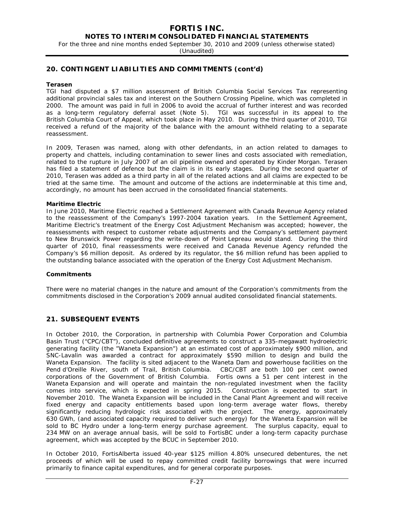**NOTES TO INTERIM CONSOLIDATED FINANCIAL STATEMENTS** 

For the three and nine months ended September 30, 2010 and 2009 (unless otherwise stated)

(Unaudited)

### **20. CONTINGENT LIABILITIES AND COMMITMENTS (cont'd)**

#### **Terasen**

TGI had disputed a \$7 million assessment of British Columbia Social Services Tax representing additional provincial sales tax and interest on the Southern Crossing Pipeline, which was completed in 2000. The amount was paid in full in 2006 to avoid the accrual of further interest and was recorded as a long-term regulatory deferral asset (Note 5). TGI was successful in its appeal to the British Columbia Court of Appeal, which took place in May 2010. During the third quarter of 2010, TGI received a refund of the majority of the balance with the amount withheld relating to a separate reassessment.

In 2009, Terasen was named, along with other defendants, in an action related to damages to property and chattels, including contamination to sewer lines and costs associated with remediation, related to the rupture in July 2007 of an oil pipeline owned and operated by Kinder Morgan. Terasen has filed a statement of defence but the claim is in its early stages. During the second quarter of 2010, Terasen was added as a third party in all of the related actions and all claims are expected to be tried at the same time. The amount and outcome of the actions are indeterminable at this time and, accordingly, no amount has been accrued in the consolidated financial statements.

#### **Maritime Electric**

In June 2010, Maritime Electric reached a Settlement Agreement with Canada Revenue Agency related to the reassessment of the Company's 1997-2004 taxation years. In the Settlement Agreement, Maritime Electric's treatment of the Energy Cost Adjustment Mechanism was accepted; however, the reassessments with respect to customer rebate adjustments and the Company's settlement payment to New Brunswick Power regarding the write-down of Point Lepreau would stand. During the third quarter of 2010, final reassessments were received and Canada Revenue Agency refunded the Company's \$6 million deposit. As ordered by its regulator, the \$6 million refund has been applied to the outstanding balance associated with the operation of the Energy Cost Adjustment Mechanism.

#### **Commitments**

There were no material changes in the nature and amount of the Corporation's commitments from the commitments disclosed in the Corporation's 2009 annual audited consolidated financial statements.

### **21. SUBSEQUENT EVENTS**

In October 2010, the Corporation, in partnership with Columbia Power Corporation and Columbia Basin Trust ("CPC/CBT"), concluded definitive agreements to construct a 335-megawatt hydroelectric generating facility (the "Waneta Expansion") at an estimated cost of approximately \$900 million, and SNC-Lavalin was awarded a contract for approximately \$590 million to design and build the Waneta Expansion. The facility is sited adjacent to the Waneta Dam and powerhouse facilities on the Pend d'Oreille River, south of Trail, British Columbia. CBC/CBT are both 100 per cent owned corporations of the Government of British Columbia. Fortis owns a 51 per cent interest in the Waneta Expansion and will operate and maintain the non-regulated investment when the facility comes into service, which is expected in spring 2015. Construction is expected to start in November 2010. The Waneta Expansion will be included in the Canal Plant Agreement and will receive fixed energy and capacity entitlements based upon long-term average water flows, thereby significantly reducing hydrologic risk associated with the project. The energy, approximately 630 GWh, (and associated capacity required to deliver such energy) for the Waneta Expansion will be sold to BC Hydro under a long-term energy purchase agreement. The surplus capacity, equal to 234 MW on an average annual basis, will be sold to FortisBC under a long-term capacity purchase agreement, which was accepted by the BCUC in September 2010.

In October 2010, FortisAlberta issued 40-year \$125 million 4.80% unsecured debentures, the net proceeds of which will be used to repay committed credit facility borrowings that were incurred primarily to finance capital expenditures, and for general corporate purposes.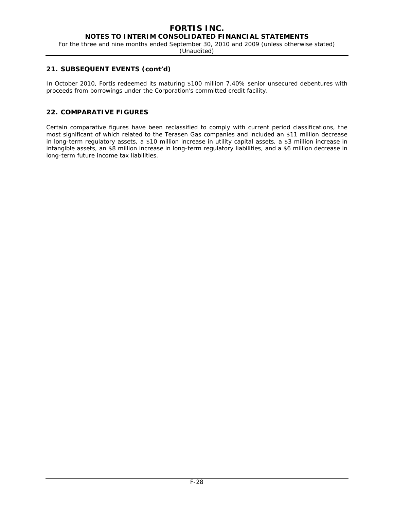For the three and nine months ended September 30, 2010 and 2009 (unless otherwise stated)

(Unaudited)

## **21. SUBSEQUENT EVENTS (cont'd)**

In October 2010, Fortis redeemed its maturing \$100 million 7.40% senior unsecured debentures with proceeds from borrowings under the Corporation's committed credit facility.

## **22. COMPARATIVE FIGURES**

Certain comparative figures have been reclassified to comply with current period classifications, the most significant of which related to the Terasen Gas companies and included an \$11 million decrease in long-term regulatory assets, a \$10 million increase in utility capital assets, a \$3 million increase in intangible assets, an \$8 million increase in long-term regulatory liabilities, and a \$6 million decrease in long-term future income tax liabilities.